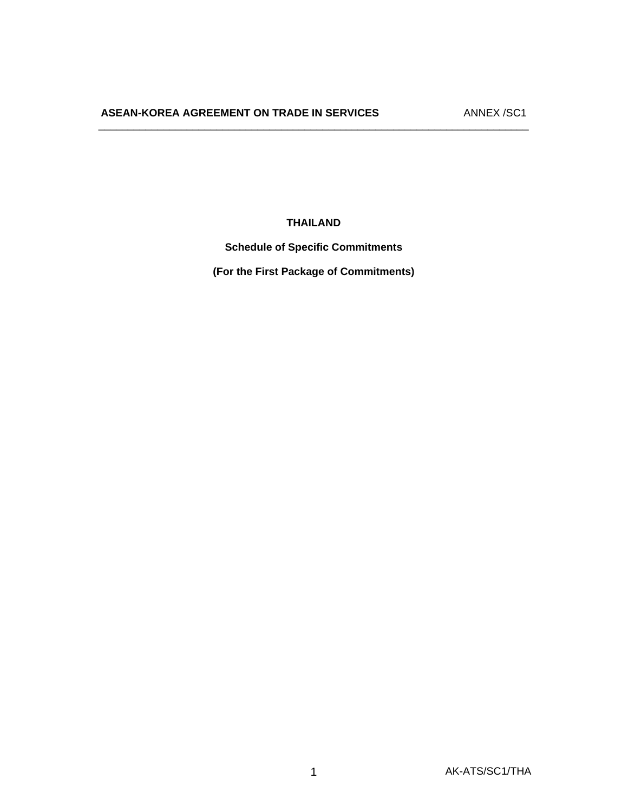**THAILAND** 

 $\overline{\phantom{a}}$  , and the contribution of the contribution of the contribution of the contribution of the contribution of the contribution of the contribution of the contribution of the contribution of the contribution of the

**Schedule of Specific Commitments** 

**(For the First Package of Commitments)**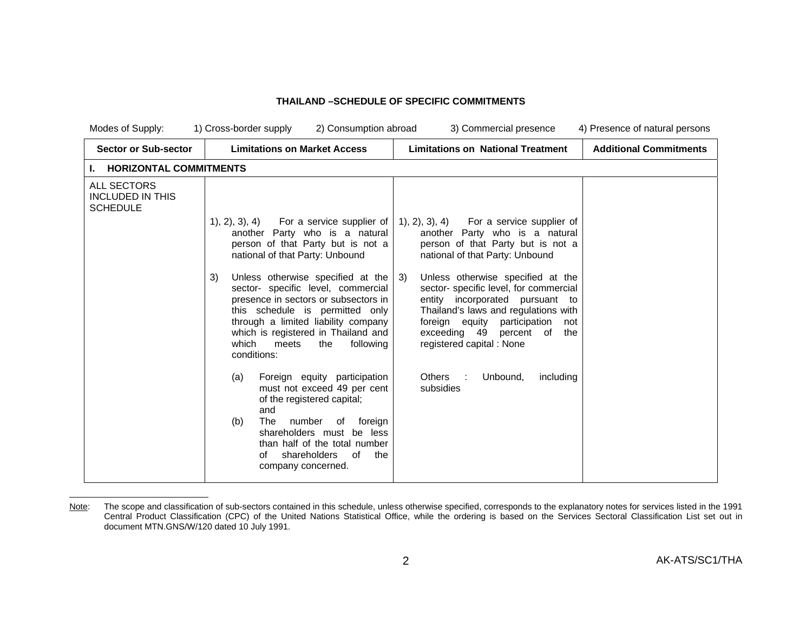### **THAILAND –SCHEDULE OF SPECIFIC COMMITMENTS**

| Modes of Supply:                                                 | 2) Consumption abroad<br>1) Cross-border supply                                                                                                                                                                                                                                             | 3) Commercial presence                                                                                                                                                                                                                                           | 4) Presence of natural persons |
|------------------------------------------------------------------|---------------------------------------------------------------------------------------------------------------------------------------------------------------------------------------------------------------------------------------------------------------------------------------------|------------------------------------------------------------------------------------------------------------------------------------------------------------------------------------------------------------------------------------------------------------------|--------------------------------|
| <b>Sector or Sub-sector</b>                                      | <b>Limitations on Market Access</b>                                                                                                                                                                                                                                                         | <b>Limitations on National Treatment</b>                                                                                                                                                                                                                         | <b>Additional Commitments</b>  |
| <b>HORIZONTAL COMMITMENTS</b>                                    |                                                                                                                                                                                                                                                                                             |                                                                                                                                                                                                                                                                  |                                |
| <b>ALL SECTORS</b><br><b>INCLUDED IN THIS</b><br><b>SCHEDULE</b> | $(1), (2), (3), (4)$ For a service supplier of<br>another Party who is a natural                                                                                                                                                                                                            | $(1), (2), (3), (4)$ For a service supplier of<br>another Party who is a natural                                                                                                                                                                                 |                                |
|                                                                  | person of that Party but is not a<br>national of that Party: Unbound                                                                                                                                                                                                                        | person of that Party but is not a<br>national of that Party: Unbound                                                                                                                                                                                             |                                |
|                                                                  | Unless otherwise specified at the<br>3)<br>sector- specific level, commercial<br>presence in sectors or subsectors in<br>this schedule is permitted only<br>through a limited liability company<br>which is registered in Thailand and<br>which<br>meets<br>the<br>following<br>conditions: | Unless otherwise specified at the<br>3)<br>sector-specific level, for commercial<br>entity incorporated pursuant to<br>Thailand's laws and regulations with<br>foreign equity participation<br>not<br>exceeding 49 percent of<br>the<br>registered capital: None |                                |
|                                                                  | Foreign equity participation<br>(a)<br>must not exceed 49 per cent<br>of the registered capital;<br>and<br>The<br>(b)<br>number<br>of<br>foreign<br>shareholders must be less<br>than half of the total number<br>shareholders<br>of<br>Ωf<br>the<br>company concerned.                     | Unbound,<br>Others :<br>including<br>subsidies                                                                                                                                                                                                                   |                                |

Note: The scope and classification of sub-sectors contained in this schedule, unless otherwise specified, corresponds to the explanatory notes for services listed in the 1991 Central Product Classification (CPC) of the United Nations Statistical Office, while the ordering is based on the Services Sectoral Classification List set out in document MTN.GNS/W/120 dated 10 July 1991.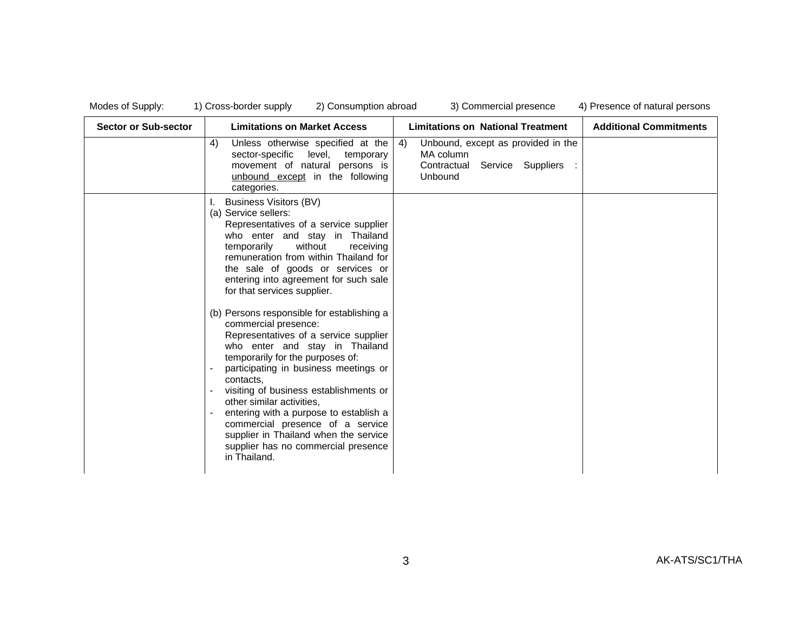| <b>Sector or Sub-sector</b> | <b>Limitations on Market Access</b>                                                                                                                                                                                                                                                                                                                                                                                                                                                                                                                                                                                                                                                                                                                                                                                          | <b>Limitations on National Treatment</b>                                                          | <b>Additional Commitments</b> |
|-----------------------------|------------------------------------------------------------------------------------------------------------------------------------------------------------------------------------------------------------------------------------------------------------------------------------------------------------------------------------------------------------------------------------------------------------------------------------------------------------------------------------------------------------------------------------------------------------------------------------------------------------------------------------------------------------------------------------------------------------------------------------------------------------------------------------------------------------------------------|---------------------------------------------------------------------------------------------------|-------------------------------|
|                             | Unless otherwise specified at the<br>4)<br>level, temporary<br>sector-specific<br>movement of natural persons is<br>unbound except in the following<br>categories.                                                                                                                                                                                                                                                                                                                                                                                                                                                                                                                                                                                                                                                           | Unbound, except as provided in the<br>4)<br>MA column<br>Contractual Service Suppliers<br>Unbound |                               |
|                             | <b>Business Visitors (BV)</b><br>(a) Service sellers:<br>Representatives of a service supplier<br>who enter and stay in Thailand<br>without<br>temporarily<br>receiving<br>remuneration from within Thailand for<br>the sale of goods or services or<br>entering into agreement for such sale<br>for that services supplier.<br>(b) Persons responsible for establishing a<br>commercial presence:<br>Representatives of a service supplier<br>who enter and stay in Thailand<br>temporarily for the purposes of:<br>participating in business meetings or<br>contacts.<br>visiting of business establishments or<br>other similar activities,<br>entering with a purpose to establish a<br>commercial presence of a service<br>supplier in Thailand when the service<br>supplier has no commercial presence<br>in Thailand. |                                                                                                   |                               |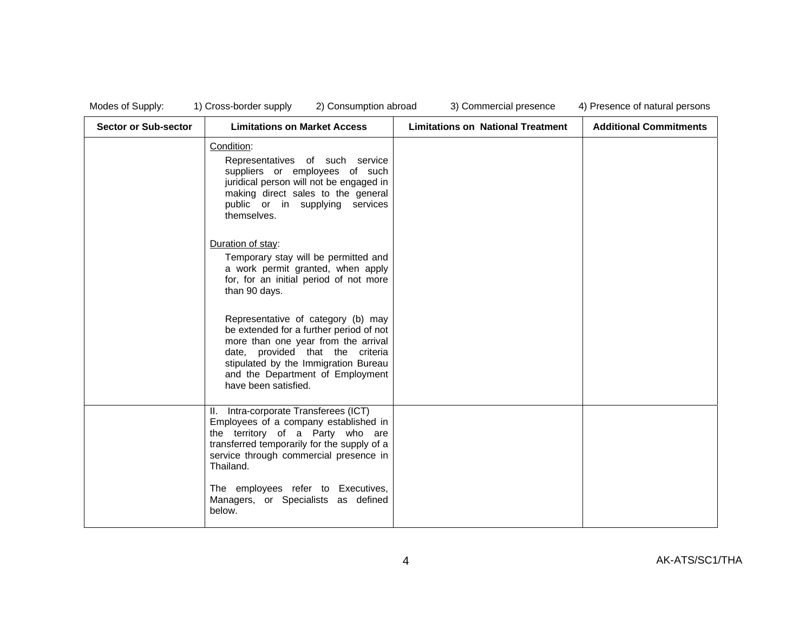| Modes of Supply: |  |  |  |
|------------------|--|--|--|
|------------------|--|--|--|

| <b>Sector or Sub-sector</b> | <b>Limitations on Market Access</b>                                                                                                                                                                                                                          | <b>Limitations on National Treatment</b> | <b>Additional Commitments</b> |
|-----------------------------|--------------------------------------------------------------------------------------------------------------------------------------------------------------------------------------------------------------------------------------------------------------|------------------------------------------|-------------------------------|
|                             | Condition:<br>Representatives of such service<br>suppliers or employees of such<br>juridical person will not be engaged in<br>making direct sales to the general<br>public or in supplying services<br>themselves.                                           |                                          |                               |
|                             | Duration of stay:<br>Temporary stay will be permitted and<br>a work permit granted, when apply<br>for, for an initial period of not more<br>than 90 days.                                                                                                    |                                          |                               |
|                             | Representative of category (b) may<br>be extended for a further period of not<br>more than one year from the arrival<br>date, provided that the criteria<br>stipulated by the Immigration Bureau<br>and the Department of Employment<br>have been satisfied. |                                          |                               |
|                             | II. Intra-corporate Transferees (ICT)<br>Employees of a company established in<br>the territory of a Party who are<br>transferred temporarily for the supply of a<br>service through commercial presence in<br>Thailand.                                     |                                          |                               |
|                             | The employees refer to Executives,<br>Managers, or Specialists as defined<br>below.                                                                                                                                                                          |                                          |                               |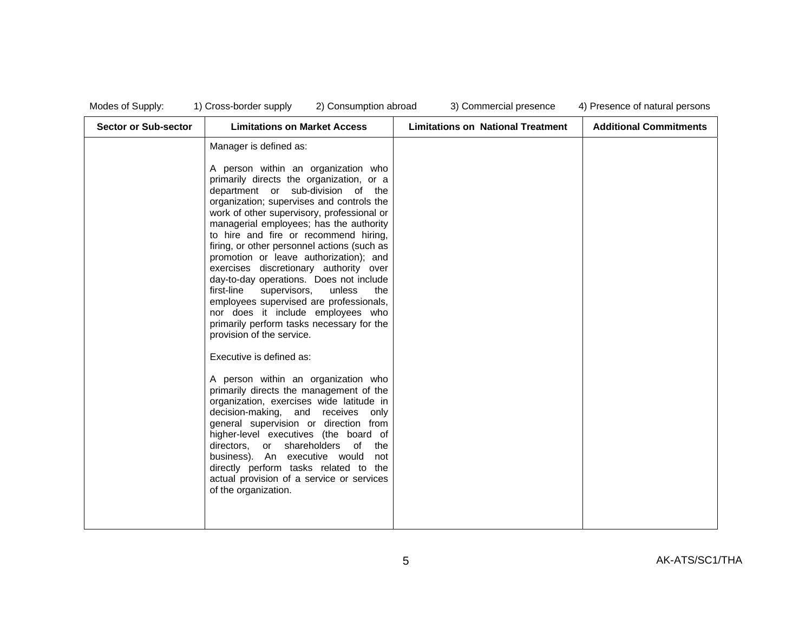| Modes of Supply |  |  |  |  |
|-----------------|--|--|--|--|
|-----------------|--|--|--|--|

| <b>Sector or Sub-sector</b> | <b>Limitations on Market Access</b>                                                                                                                                                                                                                                                                                                                                                                                                                                                                                                                                                                                                                                                                                                                                                                                                                                                                                                                                                                                                            | <b>Limitations on National Treatment</b> | <b>Additional Commitments</b> |
|-----------------------------|------------------------------------------------------------------------------------------------------------------------------------------------------------------------------------------------------------------------------------------------------------------------------------------------------------------------------------------------------------------------------------------------------------------------------------------------------------------------------------------------------------------------------------------------------------------------------------------------------------------------------------------------------------------------------------------------------------------------------------------------------------------------------------------------------------------------------------------------------------------------------------------------------------------------------------------------------------------------------------------------------------------------------------------------|------------------------------------------|-------------------------------|
|                             | Manager is defined as:<br>A person within an organization who<br>primarily directs the organization, or a<br>department or sub-division of the<br>organization; supervises and controls the<br>work of other supervisory, professional or<br>managerial employees; has the authority<br>to hire and fire or recommend hiring,<br>firing, or other personnel actions (such as<br>promotion or leave authorization); and<br>exercises discretionary authority over<br>day-to-day operations. Does not include<br>first-line<br>supervisors,<br>unless<br>the<br>employees supervised are professionals,<br>nor does it include employees who<br>primarily perform tasks necessary for the<br>provision of the service.<br>Executive is defined as:<br>A person within an organization who<br>primarily directs the management of the<br>organization, exercises wide latitude in<br>decision-making, and receives only<br>general supervision or direction from<br>higher-level executives (the board of<br>directors, or shareholders of<br>the |                                          |                               |
|                             | business). An executive would<br>not<br>directly perform tasks related to the<br>actual provision of a service or services<br>of the organization.                                                                                                                                                                                                                                                                                                                                                                                                                                                                                                                                                                                                                                                                                                                                                                                                                                                                                             |                                          |                               |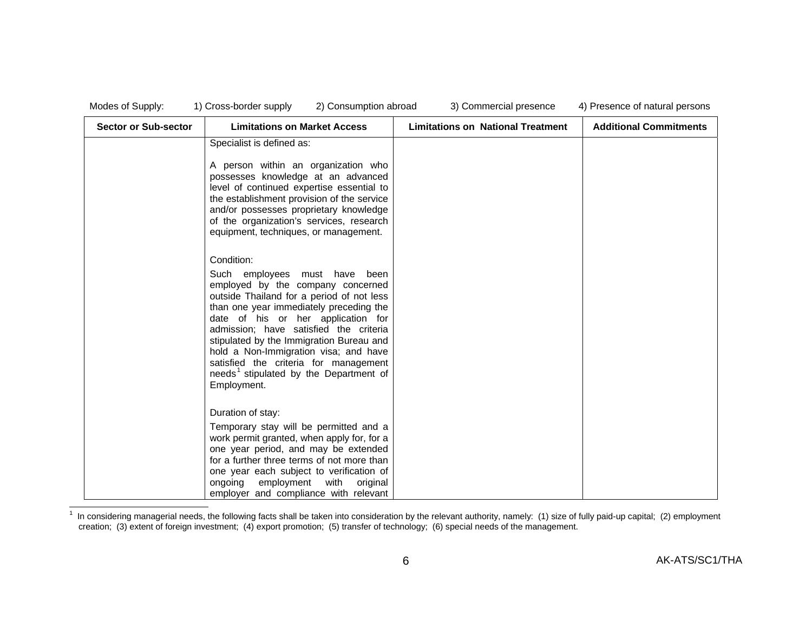| Modes of Supply: |  |
|------------------|--|
|------------------|--|

| <b>Sector or Sub-sector</b> | <b>Limitations on Market Access</b>                                                                                                                                                                                                                                                                                                                                                                                  | <b>Limitations on National Treatment</b> | <b>Additional Commitments</b> |
|-----------------------------|----------------------------------------------------------------------------------------------------------------------------------------------------------------------------------------------------------------------------------------------------------------------------------------------------------------------------------------------------------------------------------------------------------------------|------------------------------------------|-------------------------------|
|                             | Specialist is defined as:<br>A person within an organization who<br>possesses knowledge at an advanced<br>level of continued expertise essential to<br>the establishment provision of the service<br>and/or possesses proprietary knowledge<br>of the organization's services, research<br>equipment, techniques, or management.<br>Condition:<br>Such employees must have been<br>employed by the company concerned |                                          |                               |
|                             | outside Thailand for a period of not less<br>than one year immediately preceding the<br>date of his or her application for<br>admission; have satisfied the criteria<br>stipulated by the Immigration Bureau and<br>hold a Non-Immigration visa; and have<br>satisfied the criteria for management<br>needs <sup>1</sup> stipulated by the Department of<br>Employment.                                              |                                          |                               |
|                             | Duration of stay:<br>Temporary stay will be permitted and a<br>work permit granted, when apply for, for a<br>one year period, and may be extended<br>for a further three terms of not more than<br>one year each subject to verification of<br>ongoing<br>employment<br>with<br>original<br>employer and compliance with relevant                                                                                    |                                          |                               |

 $1$  In considering managerial needs, the following facts shall be taken into consideration by the relevant authority, namely: (1) size of fully paid-up capital; (2) employment creation; (3) extent of foreign investment; (4) export promotion; (5) transfer of technology; (6) special needs of the management.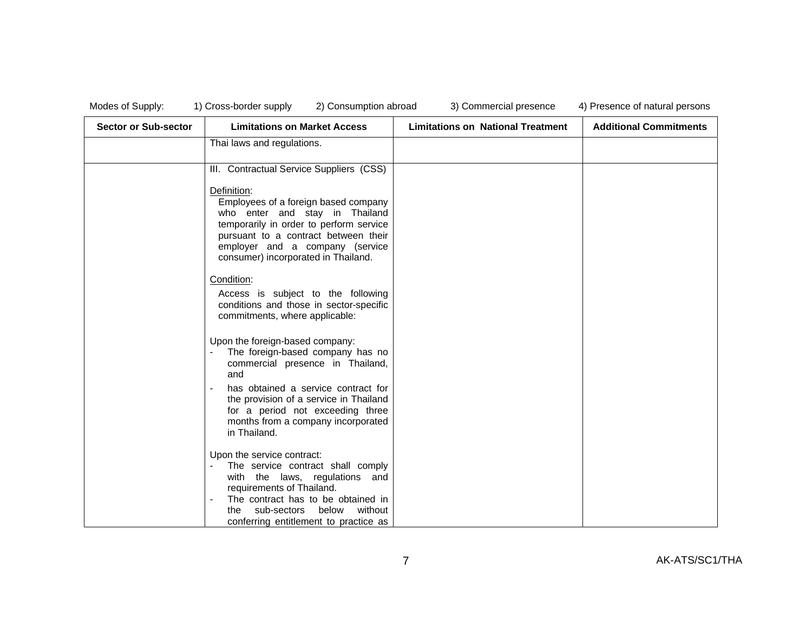| <b>Sector or Sub-sector</b> | <b>Limitations on Market Access</b>                                                                                                                                                                                                                | <b>Limitations on National Treatment</b> | <b>Additional Commitments</b> |
|-----------------------------|----------------------------------------------------------------------------------------------------------------------------------------------------------------------------------------------------------------------------------------------------|------------------------------------------|-------------------------------|
|                             | Thai laws and regulations.                                                                                                                                                                                                                         |                                          |                               |
|                             | III. Contractual Service Suppliers (CSS)                                                                                                                                                                                                           |                                          |                               |
|                             | Definition:<br>Employees of a foreign based company<br>who enter and stay in Thailand<br>temporarily in order to perform service<br>pursuant to a contract between their<br>employer and a company (service<br>consumer) incorporated in Thailand. |                                          |                               |
|                             | Condition:<br>Access is subject to the following<br>conditions and those in sector-specific<br>commitments, where applicable:                                                                                                                      |                                          |                               |
|                             | Upon the foreign-based company:<br>The foreign-based company has no<br>commercial presence in Thailand,<br>and                                                                                                                                     |                                          |                               |
|                             | has obtained a service contract for<br>the provision of a service in Thailand<br>for a period not exceeding three<br>months from a company incorporated<br>in Thailand.                                                                            |                                          |                               |
|                             | Upon the service contract:<br>The service contract shall comply<br>with the laws, regulations and<br>requirements of Thailand.<br>The contract has to be obtained in<br>the sub-sectors below without<br>conferring entitlement to practice as     |                                          |                               |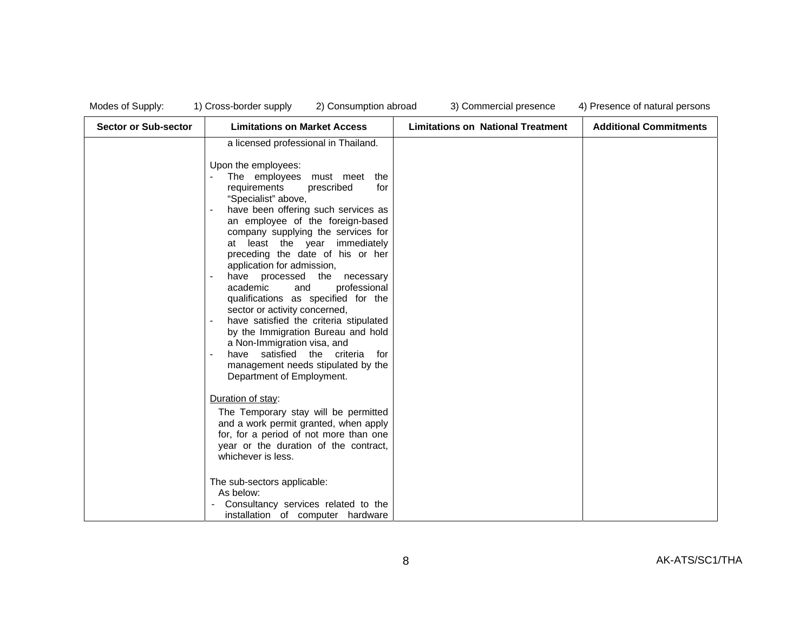| <b>Sector or Sub-sector</b> | <b>Limitations on Market Access</b>                                                                                                                                                                                                                                                                                                                                                                                                                                                                                                                                                                                                                                                                   | <b>Limitations on National Treatment</b> | <b>Additional Commitments</b> |
|-----------------------------|-------------------------------------------------------------------------------------------------------------------------------------------------------------------------------------------------------------------------------------------------------------------------------------------------------------------------------------------------------------------------------------------------------------------------------------------------------------------------------------------------------------------------------------------------------------------------------------------------------------------------------------------------------------------------------------------------------|------------------------------------------|-------------------------------|
|                             | a licensed professional in Thailand.                                                                                                                                                                                                                                                                                                                                                                                                                                                                                                                                                                                                                                                                  |                                          |                               |
|                             | Upon the employees:<br>The employees must meet the<br>requirements<br>prescribed<br>for<br>"Specialist" above,<br>have been offering such services as<br>an employee of the foreign-based<br>company supplying the services for<br>at least the year immediately<br>preceding the date of his or her<br>application for admission,<br>have processed the necessary<br>academic<br>professional<br>and<br>qualifications as specified for the<br>sector or activity concerned,<br>have satisfied the criteria stipulated<br>by the Immigration Bureau and hold<br>a Non-Immigration visa, and<br>have satisfied the criteria<br>for<br>management needs stipulated by the<br>Department of Employment. |                                          |                               |
|                             | Duration of stay:<br>The Temporary stay will be permitted<br>and a work permit granted, when apply<br>for, for a period of not more than one<br>year or the duration of the contract,<br>whichever is less.<br>The sub-sectors applicable:<br>As below:<br>Consultancy services related to the<br>installation of computer hardware                                                                                                                                                                                                                                                                                                                                                                   |                                          |                               |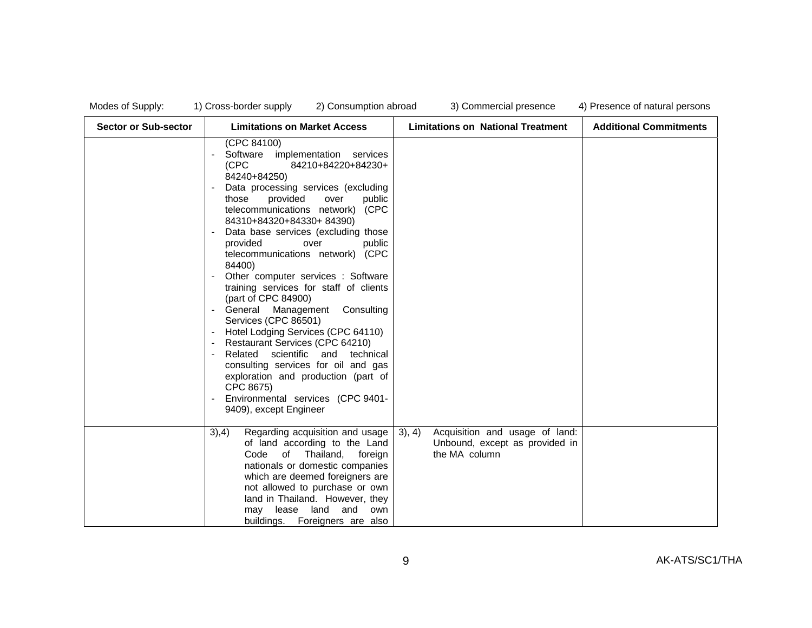| <b>Sector or Sub-sector</b> | <b>Limitations on Market Access</b>                                                                                                                                                                                                                                                                                                                                                                                                                                                                                                                                                                                                                                                                                                                                                                   | <b>Limitations on National Treatment</b>                                                    | <b>Additional Commitments</b> |
|-----------------------------|-------------------------------------------------------------------------------------------------------------------------------------------------------------------------------------------------------------------------------------------------------------------------------------------------------------------------------------------------------------------------------------------------------------------------------------------------------------------------------------------------------------------------------------------------------------------------------------------------------------------------------------------------------------------------------------------------------------------------------------------------------------------------------------------------------|---------------------------------------------------------------------------------------------|-------------------------------|
|                             | (CPC 84100)<br>Software implementation services<br>(CPC<br>84210+84220+84230+<br>84240+84250)<br>Data processing services (excluding<br>provided<br>those<br>over<br>public<br>telecommunications network) (CPC<br>84310+84320+84330+84390)<br>Data base services (excluding those<br>provided<br>over<br>public<br>telecommunications network) (CPC<br>84400)<br>Other computer services : Software<br>training services for staff of clients<br>(part of CPC 84900)<br>General Management Consulting<br>Services (CPC 86501)<br>Hotel Lodging Services (CPC 64110)<br>Restaurant Services (CPC 64210)<br>Related scientific and technical<br>consulting services for oil and gas<br>exploration and production (part of<br>CPC 8675)<br>Environmental services (CPC 9401-<br>9409), except Engineer |                                                                                             |                               |
|                             | 3),4)<br>Regarding acquisition and usage<br>of land according to the Land<br>of Thailand, foreign<br>Code<br>nationals or domestic companies<br>which are deemed foreigners are<br>not allowed to purchase or own<br>land in Thailand. However, they<br>may lease land<br>and<br>own<br>buildings. Foreigners are also                                                                                                                                                                                                                                                                                                                                                                                                                                                                                | 3), 4)<br>Acquisition and usage of land:<br>Unbound, except as provided in<br>the MA column |                               |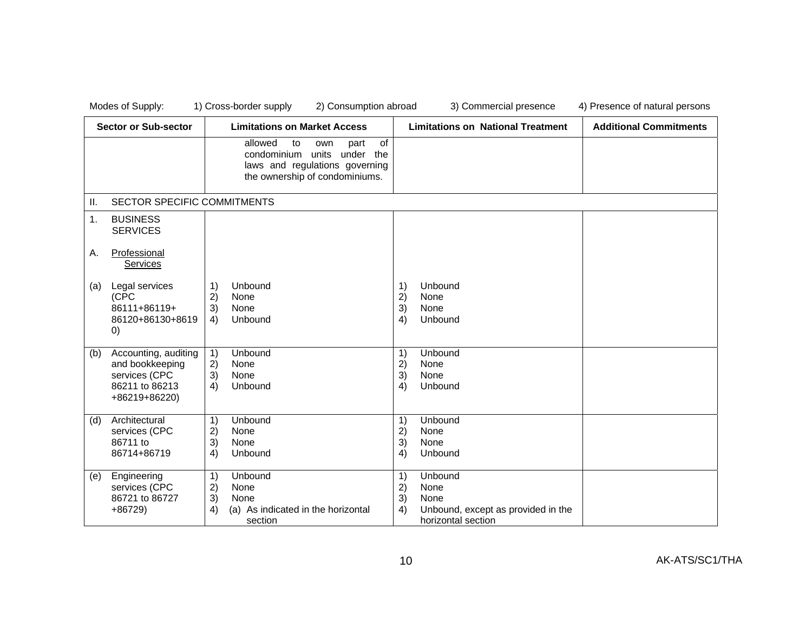|     | <b>Sector or Sub-sector</b>                                                                 | <b>Limitations on Market Access</b>                                                                                                          | <b>Limitations on National Treatment</b>                                                                    | <b>Additional Commitments</b> |
|-----|---------------------------------------------------------------------------------------------|----------------------------------------------------------------------------------------------------------------------------------------------|-------------------------------------------------------------------------------------------------------------|-------------------------------|
|     |                                                                                             | allowed<br><b>of</b><br>to<br>part<br>own<br>condominium units under the<br>laws and regulations governing<br>the ownership of condominiums. |                                                                                                             |                               |
| Ш.  | SECTOR SPECIFIC COMMITMENTS                                                                 |                                                                                                                                              |                                                                                                             |                               |
| 1.  | <b>BUSINESS</b><br><b>SERVICES</b>                                                          |                                                                                                                                              |                                                                                                             |                               |
| Α.  | Professional<br><b>Services</b>                                                             |                                                                                                                                              |                                                                                                             |                               |
| (a) | Legal services<br>(CPC<br>86111+86119+<br>86120+86130+8619<br>$\left( 0\right)$             | Unbound<br>1)<br>2)<br>None<br>3)<br>None<br>Unbound<br>4)                                                                                   | Unbound<br>1)<br>2)<br>None<br>3)<br>None<br>Unbound<br>4)                                                  |                               |
| (b) | Accounting, auditing<br>and bookkeeping<br>services (CPC<br>86211 to 86213<br>+86219+86220) | Unbound<br>1)<br>2)<br>None<br>3)<br>None<br>4)<br>Unbound                                                                                   | 1)<br>Unbound<br>2)<br>None<br>3)<br>None<br>Unbound<br>4)                                                  |                               |
| (d) | Architectural<br>services (CPC<br>86711 to<br>86714+86719                                   | 1)<br>Unbound<br>2)<br>None<br>3)<br>None<br>4)<br>Unbound                                                                                   | 1)<br>Unbound<br>2)<br>None<br>3)<br>None<br>4)<br>Unbound                                                  |                               |
| (e) | Engineering<br>services (CPC<br>86721 to 86727<br>$+86729$                                  | 1)<br>Unbound<br>2)<br>None<br>3)<br>None<br>4)<br>(a) As indicated in the horizontal<br>section                                             | 1)<br>Unbound<br>2)<br>None<br>3)<br>None<br>4)<br>Unbound, except as provided in the<br>horizontal section |                               |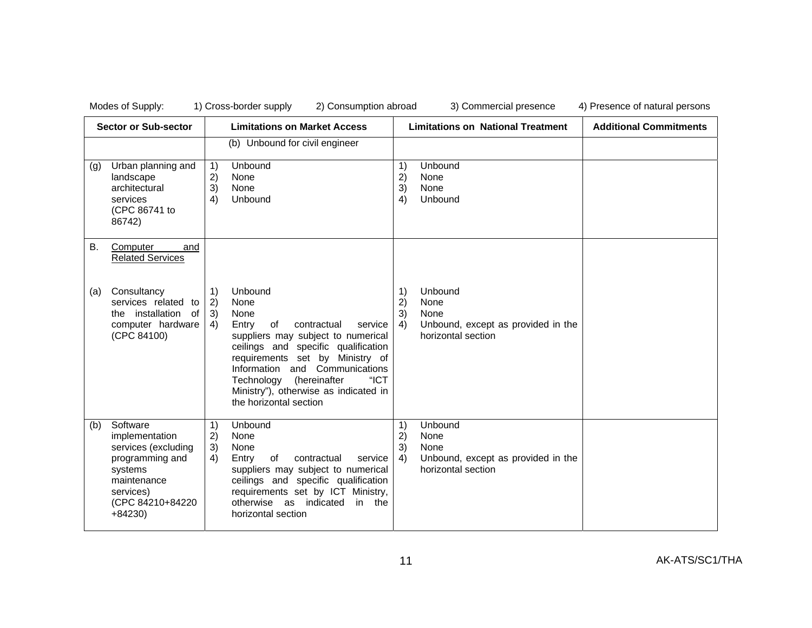| <b>Sector or Sub-sector</b> |                                                                                                                                             | <b>Limitations on Market Access</b>                              |                                                                                                                                                                                                                                                                                                                             | <b>Limitations on National Treatment</b> |                                                                                     | <b>Additional Commitments</b> |
|-----------------------------|---------------------------------------------------------------------------------------------------------------------------------------------|------------------------------------------------------------------|-----------------------------------------------------------------------------------------------------------------------------------------------------------------------------------------------------------------------------------------------------------------------------------------------------------------------------|------------------------------------------|-------------------------------------------------------------------------------------|-------------------------------|
| (g)                         | Urban planning and<br>landscape<br>architectural<br>services<br>(CPC 86741 to<br>86742)                                                     | 1)<br>2)<br>3)<br>4)                                             | (b) Unbound for civil engineer<br>Unbound<br>None<br>None<br>Unbound                                                                                                                                                                                                                                                        | 1)<br>2)<br>3)<br>4)                     | Unbound<br>None<br>None<br>Unbound                                                  |                               |
| В.                          | Computer<br>and<br><b>Related Services</b>                                                                                                  |                                                                  |                                                                                                                                                                                                                                                                                                                             |                                          |                                                                                     |                               |
| (a)                         | Consultancy<br>services related to<br>the installation<br>of<br>computer hardware<br>(CPC 84100)                                            | $\left( \begin{matrix} 1 \end{matrix} \right)$<br>2)<br>3)<br>4) | Unbound<br>None<br>None<br>Entry<br>of<br>contractual<br>service<br>suppliers may subject to numerical<br>ceilings and specific qualification<br>requirements set by Ministry of<br>Information and Communications<br>"ICT<br>(hereinafter<br>Technology<br>Ministry"), otherwise as indicated in<br>the horizontal section | 1)<br>2)<br>3)<br>4)                     | Unbound<br>None<br>None<br>Unbound, except as provided in the<br>horizontal section |                               |
| (b)                         | Software<br>implementation<br>services (excluding<br>programming and<br>systems<br>maintenance<br>services)<br>(CPC 84210+84220<br>$+84230$ | 1)<br>2)<br>3)<br>4)                                             | Unbound<br>None<br>None<br>Entry<br>of<br>contractual<br>service<br>suppliers may subject to numerical<br>ceilings and specific qualification<br>requirements set by ICT Ministry,<br>otherwise as indicated<br>in the<br>horizontal section                                                                                | 1)<br>2)<br>3)<br>4)                     | Unbound<br>None<br>None<br>Unbound, except as provided in the<br>horizontal section |                               |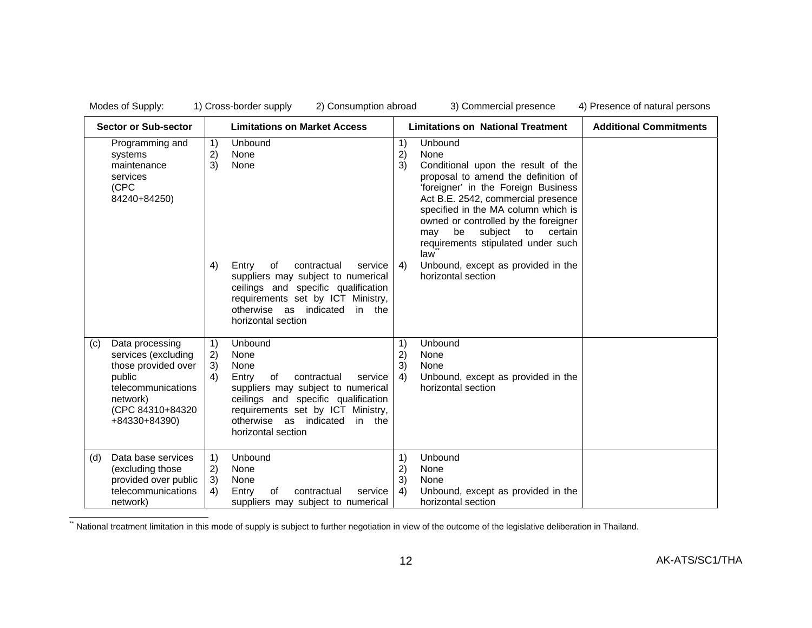| <b>Sector or Sub-sector</b><br><b>Limitations on Market Access</b> |                                                                                                                                                |                      | <b>Limitations on National Treatment</b>                                                                                                                                                                                                     |                      | <b>Additional Commitments</b>                                                                                                                                                                                                                                                                                                                  |  |
|--------------------------------------------------------------------|------------------------------------------------------------------------------------------------------------------------------------------------|----------------------|----------------------------------------------------------------------------------------------------------------------------------------------------------------------------------------------------------------------------------------------|----------------------|------------------------------------------------------------------------------------------------------------------------------------------------------------------------------------------------------------------------------------------------------------------------------------------------------------------------------------------------|--|
|                                                                    | Programming and<br>systems<br>maintenance<br>services<br>(CPC<br>84240+84250)                                                                  | 1)<br>2)<br>3)       | Unbound<br>None<br>None                                                                                                                                                                                                                      | 1)<br>2)<br>3)       | Unbound<br>None<br>Conditional upon the result of the<br>proposal to amend the definition of<br>'foreigner' in the Foreign Business<br>Act B.E. 2542, commercial presence<br>specified in the MA column which is<br>owned or controlled by the foreigner<br>subject<br>be<br>certain<br>to<br>may<br>requirements stipulated under such<br>law |  |
|                                                                    |                                                                                                                                                | 4)                   | Entry<br>of<br>contractual<br>service<br>suppliers may subject to numerical<br>ceilings and specific qualification<br>requirements set by ICT Ministry,<br>otherwise as indicated<br>in the<br>horizontal section                            | 4)                   | Unbound, except as provided in the<br>horizontal section                                                                                                                                                                                                                                                                                       |  |
| (c)                                                                | Data processing<br>services (excluding<br>those provided over<br>public<br>telecommunications<br>network)<br>(CPC 84310+84320<br>+84330+84390) | 1)<br>2)<br>3)<br>4) | Unbound<br>None<br>None<br>Entry<br>of<br>contractual<br>service<br>suppliers may subject to numerical<br>ceilings and specific qualification<br>requirements set by ICT Ministry,<br>otherwise as indicated<br>in the<br>horizontal section | 1)<br>2)<br>3)<br>4) | Unbound<br>None<br>None<br>Unbound, except as provided in the<br>horizontal section                                                                                                                                                                                                                                                            |  |
| (d)                                                                | Data base services<br>(excluding those<br>provided over public<br>telecommunications<br>network)                                               | 1)<br>2)<br>3)<br>4) | Unbound<br>None<br>None<br>Entry<br>of<br>contractual<br>service<br>suppliers may subject to numerical                                                                                                                                       | 1)<br>2)<br>3)<br>4) | Unbound<br>None<br>None<br>Unbound, except as provided in the<br>horizontal section                                                                                                                                                                                                                                                            |  |

\*\* National treatment limitation in this mode of supply is subject to further negotiation in view of the outcome of the legislative deliberation in Thailand.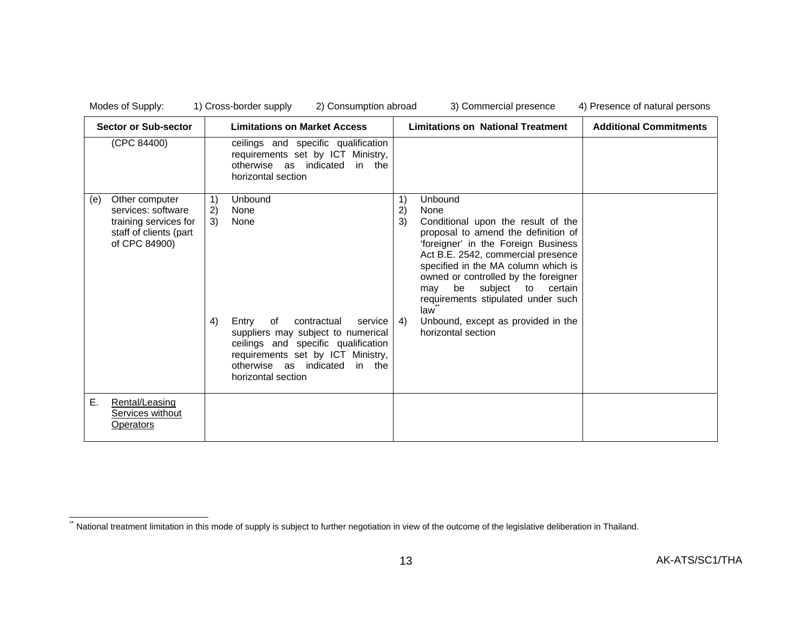|     | <b>Sector or Sub-sector</b>                                                                              |                      | <b>Limitations on Market Access</b>                                                                                                                                                                                                       |                      | <b>Limitations on National Treatment</b>                                                                                                                                                                                                                                                                                                                                                             | <b>Additional Commitments</b> |
|-----|----------------------------------------------------------------------------------------------------------|----------------------|-------------------------------------------------------------------------------------------------------------------------------------------------------------------------------------------------------------------------------------------|----------------------|------------------------------------------------------------------------------------------------------------------------------------------------------------------------------------------------------------------------------------------------------------------------------------------------------------------------------------------------------------------------------------------------------|-------------------------------|
|     | (CPC 84400)                                                                                              |                      | ceilings and specific qualification<br>requirements set by ICT Ministry,<br>otherwise as indicated in the<br>horizontal section                                                                                                           |                      |                                                                                                                                                                                                                                                                                                                                                                                                      |                               |
| (e) | Other computer<br>services: software<br>training services for<br>staff of clients (part<br>of CPC 84900) | 1)<br>2)<br>3)<br>4) | Unbound<br>None<br>None<br>contractual<br>Entry<br>of<br>service<br>suppliers may subject to numerical<br>ceilings and specific qualification<br>requirements set by ICT Ministry,<br>otherwise as indicated in the<br>horizontal section | 1)<br>2)<br>3)<br>4) | Unbound<br>None<br>Conditional upon the result of the<br>proposal to amend the definition of<br>'foreigner' in the Foreign Business<br>Act B.E. 2542, commercial presence<br>specified in the MA column which is<br>owned or controlled by the foreigner<br>be subject to<br>certain<br>may<br>requirements stipulated under such<br>law<br>Unbound, except as provided in the<br>horizontal section |                               |
| Е.  | Rental/Leasing<br>Services without<br>Operators                                                          |                      |                                                                                                                                                                                                                                           |                      |                                                                                                                                                                                                                                                                                                                                                                                                      |                               |

<sup>\*\*</sup> National treatment limitation in this mode of supply is subject to further negotiation in view of the outcome of the legislative deliberation in Thailand.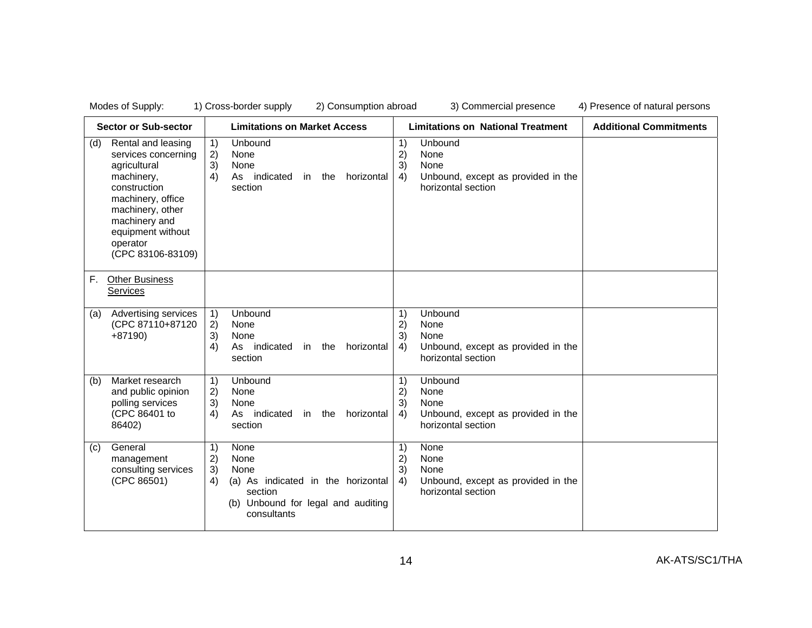| <b>Sector or Sub-sector</b> |                                                                                                                                                                                                         | <b>Limitations on Market Access</b> |                                                                                                                            |                      | <b>Limitations on National Treatment</b>                                            | <b>Additional Commitments</b> |
|-----------------------------|---------------------------------------------------------------------------------------------------------------------------------------------------------------------------------------------------------|-------------------------------------|----------------------------------------------------------------------------------------------------------------------------|----------------------|-------------------------------------------------------------------------------------|-------------------------------|
| (d)                         | Rental and leasing<br>services concerning<br>agricultural<br>machinery,<br>construction<br>machinery, office<br>machinery, other<br>machinery and<br>equipment without<br>operator<br>(CPC 83106-83109) | 1)<br>2)<br>3)<br>4)                | Unbound<br>None<br>None<br>As indicated<br>the<br>horizontal<br>in<br>section                                              | 1)<br>2)<br>3)<br>4) | Unbound<br>None<br>None<br>Unbound, except as provided in the<br>horizontal section |                               |
| F.                          | <b>Other Business</b><br>Services                                                                                                                                                                       |                                     |                                                                                                                            |                      |                                                                                     |                               |
| (a)                         | Advertising services<br>(CPC 87110+87120<br>$+87190$                                                                                                                                                    | 1)<br>2)<br>3)<br>4)                | Unbound<br>None<br>None<br>As indicated<br>in the<br>horizontal<br>section                                                 | 1)<br>2)<br>3)<br>4) | Unbound<br>None<br>None<br>Unbound, except as provided in the<br>horizontal section |                               |
| (b)                         | Market research<br>and public opinion<br>polling services<br>(CPC 86401 to<br>86402)                                                                                                                    | 1)<br>2)<br>3)<br>4)                | Unbound<br>None<br>None<br>As indicated<br>horizontal<br>in the<br>section                                                 | 1)<br>2)<br>3)<br>4) | Unbound<br>None<br>None<br>Unbound, except as provided in the<br>horizontal section |                               |
| (c)                         | General<br>management<br>consulting services<br>(CPC 86501)                                                                                                                                             | 1)<br>2)<br>3)<br>4)                | None<br>None<br>None<br>(a) As indicated in the horizontal<br>section<br>(b) Unbound for legal and auditing<br>consultants | 1)<br>2)<br>3)<br>4) | None<br>None<br>None<br>Unbound, except as provided in the<br>horizontal section    |                               |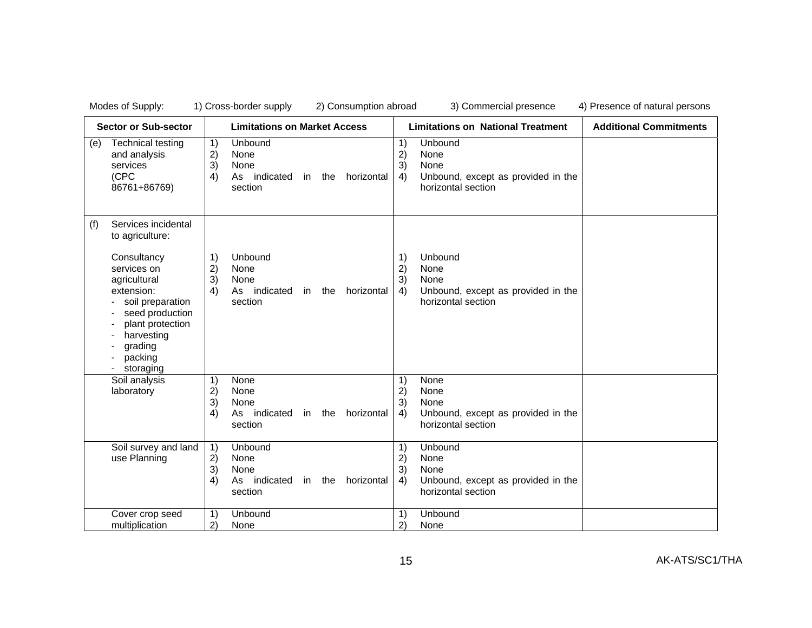| <b>Sector or Sub-sector</b>                                                                                                                                                                                           | <b>Limitations on Market Access</b>                                                                              | <b>Limitations on National Treatment</b>                                                                                  | <b>Additional Commitments</b> |
|-----------------------------------------------------------------------------------------------------------------------------------------------------------------------------------------------------------------------|------------------------------------------------------------------------------------------------------------------|---------------------------------------------------------------------------------------------------------------------------|-------------------------------|
| <b>Technical testing</b><br>(e)<br>and analysis<br>services<br>(CPC<br>86761+86769)                                                                                                                                   | Unbound<br>1)<br>2)<br>None<br>3)<br>None<br>4)<br>As indicated<br>in the<br>horizontal<br>section               | Unbound<br>1)<br>2)<br>None<br>3)<br>None<br>Unbound, except as provided in the<br>4)<br>horizontal section               |                               |
| Services incidental<br>(f)<br>to agriculture:<br>Consultancy<br>services on<br>agricultural<br>extension:<br>soil preparation<br>seed production<br>plant protection<br>harvesting<br>grading<br>packing<br>storaging | Unbound<br>1)<br>2)<br>None<br>3)<br>None<br>4)<br>As indicated<br>horizontal<br>the<br>in<br>section            | Unbound<br>1)<br>2)<br>None<br>3)<br>None<br>Unbound, except as provided in the<br>4)<br>horizontal section               |                               |
| Soil analysis<br>laboratory<br>Soil survey and land                                                                                                                                                                   | 1)<br>None<br>2)<br>None<br>3)<br>None<br>4)<br>As indicated<br>horizontal<br>in the<br>section<br>1)<br>Unbound | 1)<br>None<br>2)<br>None<br>3)<br>None<br>Unbound, except as provided in the<br>4)<br>horizontal section<br>Unbound<br>1) |                               |
| use Planning                                                                                                                                                                                                          | 2)<br>None<br>3)<br>None<br>4)<br>As indicated<br>in the<br>horizontal<br>section                                | None<br>2)<br>3)<br>None<br>Unbound, except as provided in the<br>4)<br>horizontal section                                |                               |
| Cover crop seed<br>multiplication                                                                                                                                                                                     | Unbound<br>1)<br>2)<br>None                                                                                      | Unbound<br>1)<br>$\mathbf{2}$<br>None                                                                                     |                               |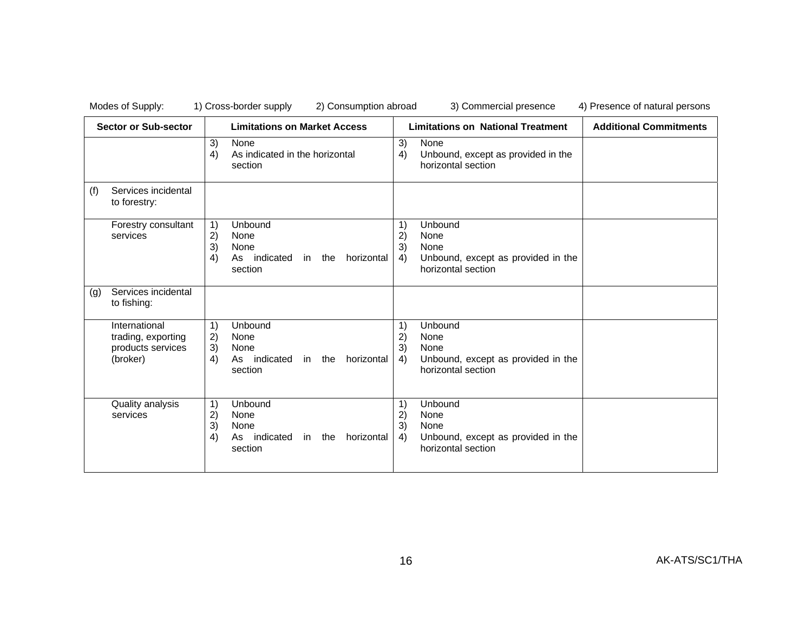| <b>Sector or Sub-sector</b> |                                                                      | <b>Limitations on Market Access</b>                              |                                                                               |                      | <b>Limitations on National Treatment</b>                                            | <b>Additional Commitments</b> |
|-----------------------------|----------------------------------------------------------------------|------------------------------------------------------------------|-------------------------------------------------------------------------------|----------------------|-------------------------------------------------------------------------------------|-------------------------------|
|                             |                                                                      | 3)<br>4)                                                         | None<br>As indicated in the horizontal<br>section                             | 3)<br>4)             | None<br>Unbound, except as provided in the<br>horizontal section                    |                               |
| (f)                         | Services incidental<br>to forestry:                                  |                                                                  |                                                                               |                      |                                                                                     |                               |
|                             | Forestry consultant<br>services                                      | $\left( \begin{matrix} 1 \end{matrix} \right)$<br>2)<br>3)<br>4) | Unbound<br>None<br>None<br>As indicated<br>horizontal<br>in the<br>section    | 1)<br>2)<br>3)<br>4) | Unbound<br>None<br>None<br>Unbound, except as provided in the<br>horizontal section |                               |
| (g)                         | Services incidental<br>to fishing:                                   |                                                                  |                                                                               |                      |                                                                                     |                               |
|                             | International<br>trading, exporting<br>products services<br>(broker) | 1)<br>2)<br>3)<br>4)                                             | Unbound<br>None<br>None<br>horizontal<br>As indicated<br>the<br>in<br>section | 1)<br>2)<br>3)<br>4) | Unbound<br>None<br>None<br>Unbound, except as provided in the<br>horizontal section |                               |
|                             | Quality analysis<br>services                                         | 1)<br>2)<br>3)<br>4)                                             | Unbound<br>None<br>None<br>As indicated<br>horizontal<br>in the<br>section    | 1)<br>2)<br>3)<br>4) | Unbound<br>None<br>None<br>Unbound, except as provided in the<br>horizontal section |                               |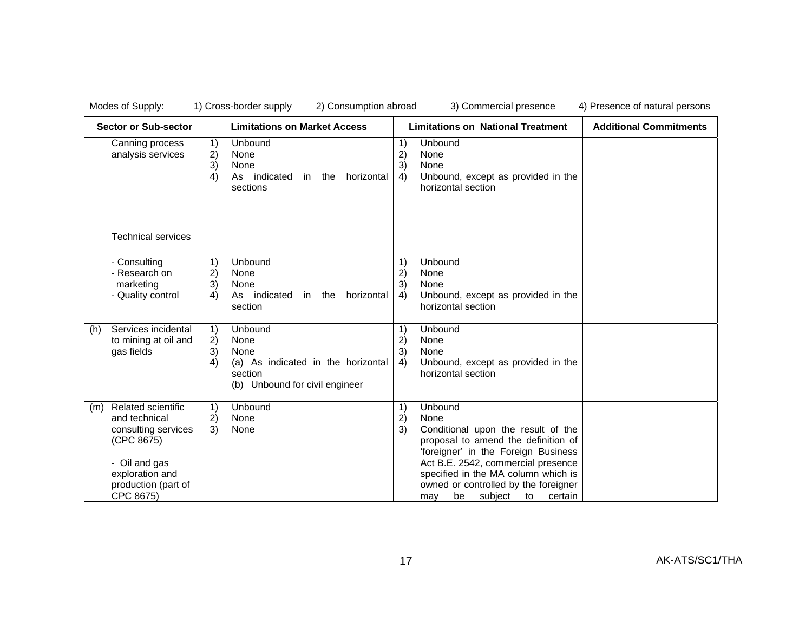|     | <b>Sector or Sub-sector</b>                                                                                                                             |                      | <b>Limitations on Market Access</b>                                                                        |                      | <b>Limitations on National Treatment</b>                                                                                                                                                                                                                                                          | <b>Additional Commitments</b> |
|-----|---------------------------------------------------------------------------------------------------------------------------------------------------------|----------------------|------------------------------------------------------------------------------------------------------------|----------------------|---------------------------------------------------------------------------------------------------------------------------------------------------------------------------------------------------------------------------------------------------------------------------------------------------|-------------------------------|
|     | Canning process<br>analysis services                                                                                                                    | 1)<br>2)<br>3)<br>4) | Unbound<br>None<br>None<br>As indicated<br>horizontal<br>in the<br>sections                                | 1)<br>2)<br>3)<br>4) | Unbound<br>None<br>None<br>Unbound, except as provided in the<br>horizontal section                                                                                                                                                                                                               |                               |
|     | <b>Technical services</b>                                                                                                                               |                      |                                                                                                            |                      |                                                                                                                                                                                                                                                                                                   |                               |
|     | - Consulting<br>- Research on<br>marketing<br>- Quality control                                                                                         | 1)<br>2)<br>3)<br>4) | Unbound<br>None<br>None<br>As indicated<br>horizontal<br>in<br>the<br>section                              | 1)<br>2)<br>3)<br>4) | Unbound<br>None<br>None<br>Unbound, except as provided in the<br>horizontal section                                                                                                                                                                                                               |                               |
| (h) | Services incidental<br>to mining at oil and<br>gas fields                                                                                               | 1)<br>2)<br>3)<br>4) | Unbound<br>None<br>None<br>(a) As indicated in the horizontal<br>section<br>(b) Unbound for civil engineer | 1)<br>2)<br>3)<br>4) | Unbound<br>None<br>None<br>Unbound, except as provided in the<br>horizontal section                                                                                                                                                                                                               |                               |
| (m) | <b>Related scientific</b><br>and technical<br>consulting services<br>(CPC 8675)<br>- Oil and gas<br>exploration and<br>production (part of<br>CPC 8675) | 1)<br>2)<br>3)       | Unbound<br>None<br>None                                                                                    | 1)<br>2)<br>3)       | Unbound<br>None<br>Conditional upon the result of the<br>proposal to amend the definition of<br>'foreigner' in the Foreign Business<br>Act B.E. 2542, commercial presence<br>specified in the MA column which is<br>owned or controlled by the foreigner<br>subject<br>certain<br>may<br>be<br>to |                               |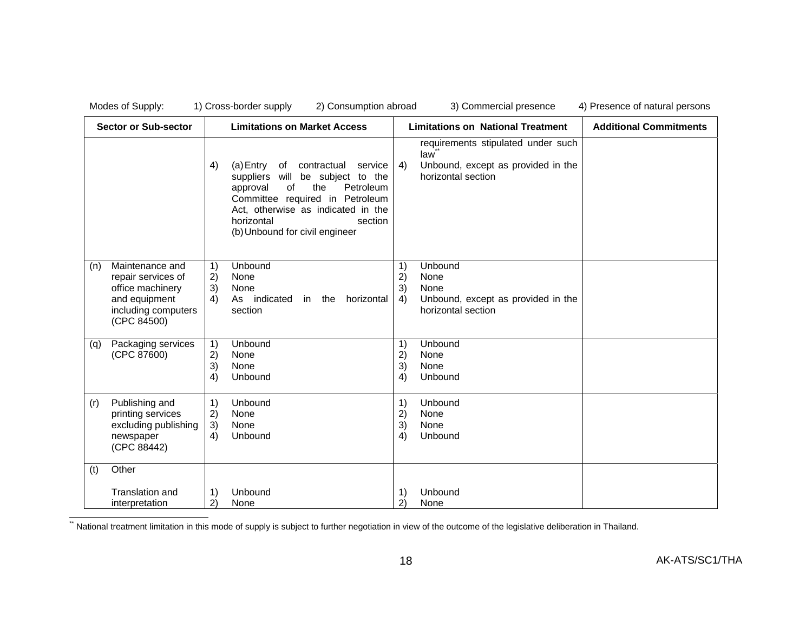|     | Modes of Supply:                                                                                                 |                      | 1) Cross-border supply<br>2) Consumption abroad                                                                                                                                                                                                      |                      | 3) Commercial presence                                                                                | 4) Presence of natural persons |
|-----|------------------------------------------------------------------------------------------------------------------|----------------------|------------------------------------------------------------------------------------------------------------------------------------------------------------------------------------------------------------------------------------------------------|----------------------|-------------------------------------------------------------------------------------------------------|--------------------------------|
|     | <b>Sector or Sub-sector</b>                                                                                      |                      | <b>Limitations on Market Access</b>                                                                                                                                                                                                                  |                      | <b>Limitations on National Treatment</b>                                                              | <b>Additional Commitments</b>  |
|     |                                                                                                                  | 4)                   | of contractual<br>(a) Entry<br>service<br>suppliers will be subject to the<br>the<br>Petroleum<br>approval<br>0f<br>Committee required in Petroleum<br>Act, otherwise as indicated in the<br>horizontal<br>section<br>(b) Unbound for civil engineer | 4)                   | requirements stipulated under such<br>law<br>Unbound, except as provided in the<br>horizontal section |                                |
| (n) | Maintenance and<br>repair services of<br>office machinery<br>and equipment<br>including computers<br>(CPC 84500) | 1)<br>2)<br>3)<br>4) | Unbound<br>None<br>None<br>As indicated<br>the<br>horizontal<br>in<br>section                                                                                                                                                                        | 1)<br>2)<br>3)<br>4) | Unbound<br>None<br>None<br>Unbound, except as provided in the<br>horizontal section                   |                                |
| (q) | Packaging services<br>(CPC 87600)                                                                                | 1)<br>2)<br>3)<br>4) | Unbound<br>None<br>None<br>Unbound                                                                                                                                                                                                                   | 1)<br>2)<br>3)<br>4) | Unbound<br>None<br>None<br>Unbound                                                                    |                                |
| (r) | Publishing and<br>printing services<br>excluding publishing<br>newspaper<br>(CPC 88442)                          | 1)<br>2)<br>3)<br>4) | Unbound<br>None<br>None<br>Unbound                                                                                                                                                                                                                   | 1)<br>2)<br>3)<br>4) | Unbound<br>None<br>None<br>Unbound                                                                    |                                |
| (t) | Other<br><b>Translation and</b><br>interpretation                                                                | 1)<br>2)             | Unbound<br>None                                                                                                                                                                                                                                      | 1)<br>2)             | Unbound<br>None                                                                                       |                                |

\*\* National treatment limitation in this mode of supply is subject to further negotiation in view of the outcome of the legislative deliberation in Thailand.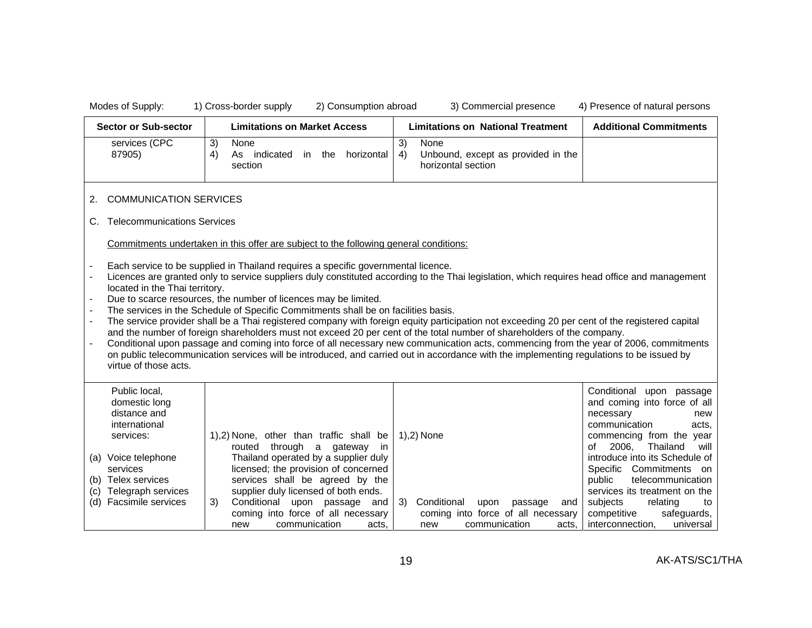$\Gamma$ 

Modes of Supply: 1) Cross-border supply 2) Consumption abroad 3) Commercial presence 4) Presence of natural persons

 $\top$ 

|     | <b>Sector or Sub-sector</b>                                                                                                                                                                                                                                                                                                                                                                                                                                                                                                                                                                                                                                                                                                                                                                                                                                                                                                                                                                                           | <b>Limitations on Market Access</b>                                                                                                                                                                                                                                                                                                                                                              | <b>Limitations on National Treatment</b>                                               | <b>Additional Commitments</b>                                                                                                                                                                                                                                                                                                                                                                      |  |  |
|-----|-----------------------------------------------------------------------------------------------------------------------------------------------------------------------------------------------------------------------------------------------------------------------------------------------------------------------------------------------------------------------------------------------------------------------------------------------------------------------------------------------------------------------------------------------------------------------------------------------------------------------------------------------------------------------------------------------------------------------------------------------------------------------------------------------------------------------------------------------------------------------------------------------------------------------------------------------------------------------------------------------------------------------|--------------------------------------------------------------------------------------------------------------------------------------------------------------------------------------------------------------------------------------------------------------------------------------------------------------------------------------------------------------------------------------------------|----------------------------------------------------------------------------------------|----------------------------------------------------------------------------------------------------------------------------------------------------------------------------------------------------------------------------------------------------------------------------------------------------------------------------------------------------------------------------------------------------|--|--|
|     | services (CPC<br>87905)                                                                                                                                                                                                                                                                                                                                                                                                                                                                                                                                                                                                                                                                                                                                                                                                                                                                                                                                                                                               | 3)<br>None<br>3)<br>None<br>4)<br>As indicated<br>4)<br>horizontal<br>in the<br>section<br>horizontal section                                                                                                                                                                                                                                                                                    | Unbound, except as provided in the                                                     |                                                                                                                                                                                                                                                                                                                                                                                                    |  |  |
| 2.  | <b>COMMUNICATION SERVICES</b>                                                                                                                                                                                                                                                                                                                                                                                                                                                                                                                                                                                                                                                                                                                                                                                                                                                                                                                                                                                         |                                                                                                                                                                                                                                                                                                                                                                                                  |                                                                                        |                                                                                                                                                                                                                                                                                                                                                                                                    |  |  |
| C.  | <b>Telecommunications Services</b>                                                                                                                                                                                                                                                                                                                                                                                                                                                                                                                                                                                                                                                                                                                                                                                                                                                                                                                                                                                    |                                                                                                                                                                                                                                                                                                                                                                                                  |                                                                                        |                                                                                                                                                                                                                                                                                                                                                                                                    |  |  |
|     |                                                                                                                                                                                                                                                                                                                                                                                                                                                                                                                                                                                                                                                                                                                                                                                                                                                                                                                                                                                                                       | Commitments undertaken in this offer are subject to the following general conditions:                                                                                                                                                                                                                                                                                                            |                                                                                        |                                                                                                                                                                                                                                                                                                                                                                                                    |  |  |
|     | Each service to be supplied in Thailand requires a specific governmental licence.<br>Licences are granted only to service suppliers duly constituted according to the Thai legislation, which requires head office and management<br>located in the Thai territory.<br>Due to scarce resources, the number of licences may be limited.<br>The services in the Schedule of Specific Commitments shall be on facilities basis.<br>The service provider shall be a Thai registered company with foreign equity participation not exceeding 20 per cent of the registered capital<br>and the number of foreign shareholders must not exceed 20 per cent of the total number of shareholders of the company.<br>Conditional upon passage and coming into force of all necessary new communication acts, commencing from the year of 2006, commitments<br>on public telecommunication services will be introduced, and carried out in accordance with the implementing regulations to be issued by<br>virtue of those acts. |                                                                                                                                                                                                                                                                                                                                                                                                  |                                                                                        |                                                                                                                                                                                                                                                                                                                                                                                                    |  |  |
| (c) | Public local,<br>domestic long<br>distance and<br>international<br>services:<br>(a) Voice telephone<br>services<br>(b) Telex services<br>Telegraph services<br>(d) Facsimile services                                                                                                                                                                                                                                                                                                                                                                                                                                                                                                                                                                                                                                                                                                                                                                                                                                 | 1),2) None, other than traffic shall be<br>1), 2) None<br>routed through a<br>gateway<br>-in<br>Thailand operated by a supplier duly<br>licensed; the provision of concerned<br>services shall be agreed by the<br>supplier duly licensed of both ends.<br>3)<br>Conditional<br>3)<br>Conditional upon passage and<br>coming into force of all necessary<br>communication<br>acts.<br>new<br>new | upon<br>passage<br>and<br>coming into force of all necessary<br>communication<br>acts. | Conditional<br>upon passage<br>and coming into force of all<br>necessary<br>new<br>communication<br>acts.<br>commencing from the year<br>2006,<br>Thailand<br>οf<br>will<br>introduce into its Schedule of<br>Specific Commitments on<br>public<br>telecommunication<br>services its treatment on the<br>subjects<br>relating<br>to<br>competitive<br>safeguards,<br>interconnection,<br>universal |  |  |

AK-ATS/SC1/THA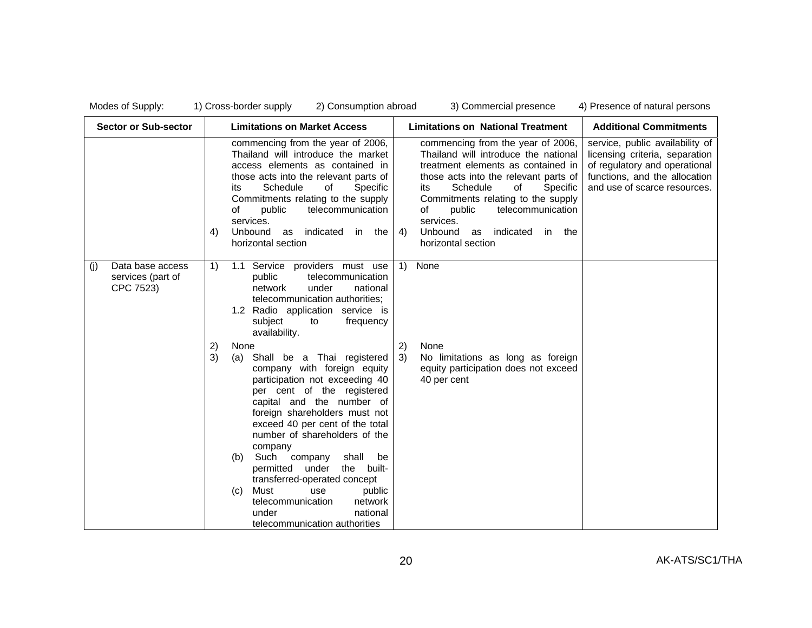| <b>Sector or Sub-sector</b>                               | <b>Limitations on Market Access</b>                                                                                                                                                                                                                                                                                                                                                                                                                                                                                            | <b>Limitations on National Treatment</b>                                                                                                                                                                                                                                                                                                                   | <b>Additional Commitments</b>                                                                                                                                       |
|-----------------------------------------------------------|--------------------------------------------------------------------------------------------------------------------------------------------------------------------------------------------------------------------------------------------------------------------------------------------------------------------------------------------------------------------------------------------------------------------------------------------------------------------------------------------------------------------------------|------------------------------------------------------------------------------------------------------------------------------------------------------------------------------------------------------------------------------------------------------------------------------------------------------------------------------------------------------------|---------------------------------------------------------------------------------------------------------------------------------------------------------------------|
|                                                           | commencing from the year of 2006,<br>Thailand will introduce the market<br>access elements as contained in<br>those acts into the relevant parts of<br>Schedule<br>of<br>Specific<br>its<br>Commitments relating to the supply<br>telecommunication<br>οf<br>public<br>services.<br>Unbound as indicated in the<br>4)<br>horizontal section                                                                                                                                                                                    | commencing from the year of 2006,<br>Thailand will introduce the national<br>treatment elements as contained in<br>those acts into the relevant parts of<br>Schedule<br>of<br>Specific<br>its<br>Commitments relating to the supply<br>telecommunication<br>οf<br>public<br>services.<br><b>Unbound</b><br>as indicated in the<br>4)<br>horizontal section | service, public availability of<br>licensing criteria, separation<br>of regulatory and operational<br>functions, and the allocation<br>and use of scarce resources. |
| Data base access<br>(i)<br>services (part of<br>CPC 7523) | 1.1 Service providers must use<br>1)<br>public<br>telecommunication<br>under<br>network<br>national<br>telecommunication authorities;<br>1.2 Radio application service is<br>subject<br>to<br>frequency<br>availability.                                                                                                                                                                                                                                                                                                       | None<br>$\left( \begin{matrix} 1 \end{matrix} \right)$                                                                                                                                                                                                                                                                                                     |                                                                                                                                                                     |
|                                                           | 2)<br>None<br>3)<br>Shall be a Thai registered<br>(a)<br>company with foreign equity<br>participation not exceeding 40<br>per cent of the registered<br>capital and the number of<br>foreign shareholders must not<br>exceed 40 per cent of the total<br>number of shareholders of the<br>company<br>Such company<br>shall<br>be<br>(b)<br>permitted under<br>the built-<br>transferred-operated concept<br>Must<br>use<br>public<br>(c)<br>telecommunication<br>network<br>under<br>national<br>telecommunication authorities | 2)<br>None<br>3)<br>No limitations as long as foreign<br>equity participation does not exceed<br>40 per cent                                                                                                                                                                                                                                               |                                                                                                                                                                     |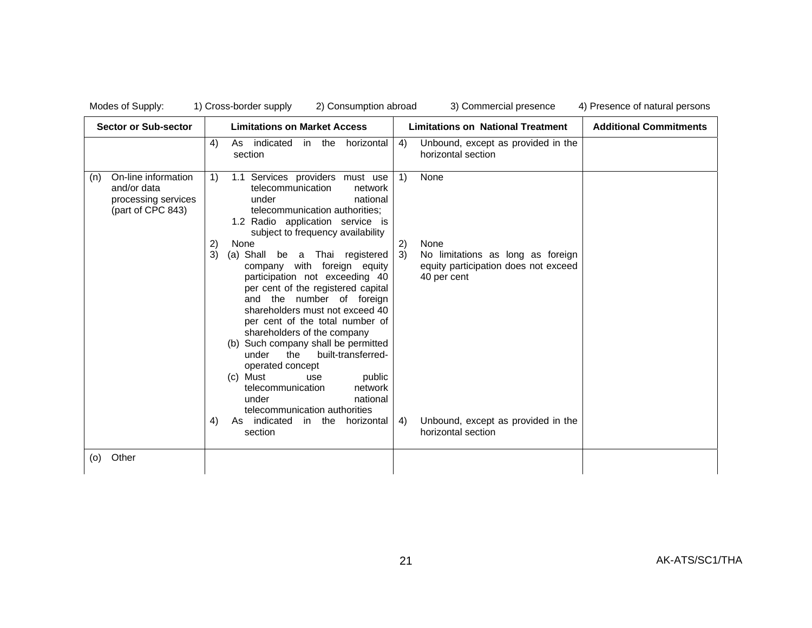| Modes of Supply:                                                                      | 1) Cross-border supply<br>2) Consumption abroad                                                                                                                                                                                                                                                                                                                                                                                                                                                                                                                                                                                                                                                                                                                                   | 3) Commercial presence                                                                                                                                                                       | 4) Presence of natural persons |
|---------------------------------------------------------------------------------------|-----------------------------------------------------------------------------------------------------------------------------------------------------------------------------------------------------------------------------------------------------------------------------------------------------------------------------------------------------------------------------------------------------------------------------------------------------------------------------------------------------------------------------------------------------------------------------------------------------------------------------------------------------------------------------------------------------------------------------------------------------------------------------------|----------------------------------------------------------------------------------------------------------------------------------------------------------------------------------------------|--------------------------------|
| <b>Sector or Sub-sector</b>                                                           | <b>Limitations on Market Access</b>                                                                                                                                                                                                                                                                                                                                                                                                                                                                                                                                                                                                                                                                                                                                               | <b>Limitations on National Treatment</b>                                                                                                                                                     | <b>Additional Commitments</b>  |
|                                                                                       | As indicated<br>4)<br>in the<br>horizontal<br>section                                                                                                                                                                                                                                                                                                                                                                                                                                                                                                                                                                                                                                                                                                                             | Unbound, except as provided in the<br>4)<br>horizontal section                                                                                                                               |                                |
| On-line information<br>(n)<br>and/or data<br>processing services<br>(part of CPC 843) | 1.1 Services providers must use<br>1)<br>telecommunication<br>network<br>under<br>national<br>telecommunication authorities;<br>1.2 Radio application service is<br>subject to frequency availability<br>2)<br>None<br>3)<br>(a) Shall be a Thai registered<br>company with foreign equity<br>participation not exceeding 40<br>per cent of the registered capital<br>and the number of foreign<br>shareholders must not exceed 40<br>per cent of the total number of<br>shareholders of the company<br>(b) Such company shall be permitted<br>the<br>built-transferred-<br>under<br>operated concept<br>(c) Must<br>public<br>use<br>telecommunication<br>network<br>under<br>national<br>telecommunication authorities<br>As indicated<br>in the<br>horizontal<br>4)<br>section | 1)<br>None<br>2)<br>None<br>3)<br>No limitations as long as foreign<br>equity participation does not exceed<br>40 per cent<br>Unbound, except as provided in the<br>4)<br>horizontal section |                                |
| Other<br>(0)                                                                          |                                                                                                                                                                                                                                                                                                                                                                                                                                                                                                                                                                                                                                                                                                                                                                                   |                                                                                                                                                                                              |                                |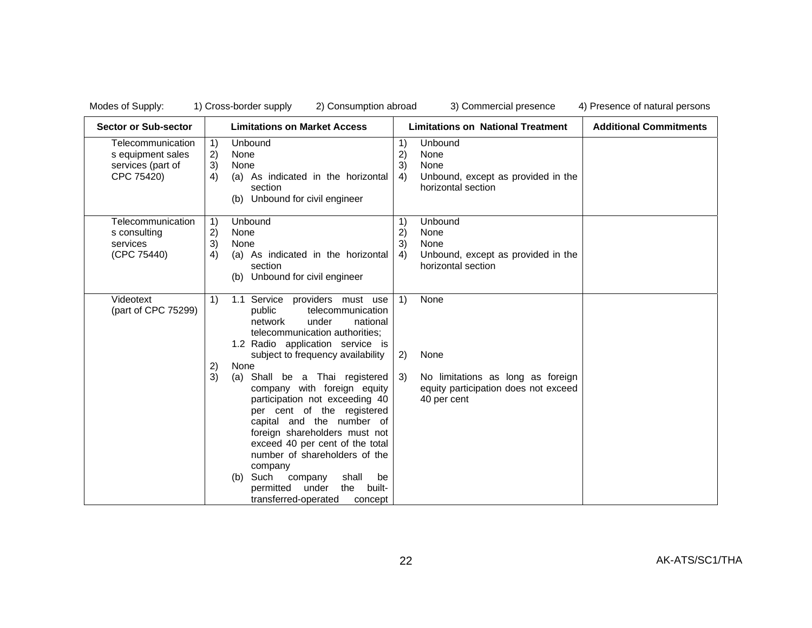| <b>Sector or Sub-sector</b>                                               | <b>Limitations on Market Access</b>                                                                                                                                                                                                                                                                                                                                                              | <b>Limitations on National Treatment</b>                                                                    | <b>Additional Commitments</b> |
|---------------------------------------------------------------------------|--------------------------------------------------------------------------------------------------------------------------------------------------------------------------------------------------------------------------------------------------------------------------------------------------------------------------------------------------------------------------------------------------|-------------------------------------------------------------------------------------------------------------|-------------------------------|
| Telecommunication<br>s equipment sales<br>services (part of<br>CPC 75420) | Unbound<br>1)<br>2)<br>None<br>3)<br>None<br>(a) As indicated in the horizontal<br>4)<br>section<br>Unbound for civil engineer<br>(b)                                                                                                                                                                                                                                                            | Unbound<br>1)<br>2)<br>None<br>3)<br>None<br>Unbound, except as provided in the<br>4)<br>horizontal section |                               |
| Telecommunication<br>s consulting<br>services<br>(CPC 75440)              | Unbound<br>1)<br>2)<br>None<br>3)<br>None<br>4)<br>(a) As indicated in the horizontal<br>section<br>Unbound for civil engineer<br>(b)                                                                                                                                                                                                                                                            | Unbound<br>1)<br>2)<br>None<br>3)<br>None<br>Unbound, except as provided in the<br>4)<br>horizontal section |                               |
| Videotext<br>(part of CPC 75299)                                          | 1)<br>1.1 Service providers must use<br>public<br>telecommunication<br>network<br>under<br>national<br>telecommunication authorities;<br>1.2 Radio application service is<br>subject to frequency availability<br>2)<br>None                                                                                                                                                                     | None<br>1)<br>(2)<br>None                                                                                   |                               |
|                                                                           | 3)<br>(a) Shall be a Thai registered<br>company with foreign equity<br>participation not exceeding 40<br>per cent of the registered<br>capital and the number of<br>foreign shareholders must not<br>exceed 40 per cent of the total<br>number of shareholders of the<br>company<br>shall<br>Such company<br>be<br>(b)<br>under<br>built-<br>permitted<br>the<br>transferred-operated<br>concept | 3)<br>No limitations as long as foreign<br>equity participation does not exceed<br>40 per cent              |                               |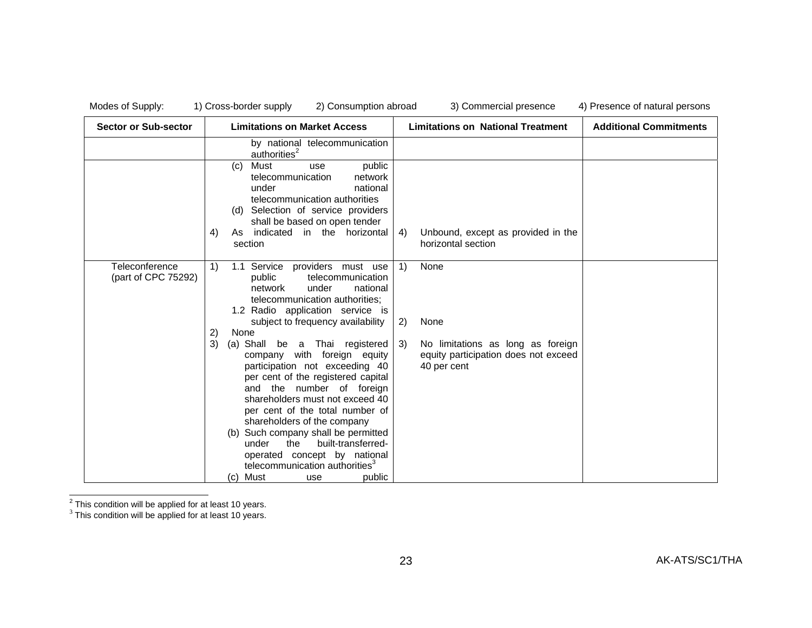| <b>Sector or Sub-sector</b>           | <b>Limitations on Market Access</b>                                                                                                                                                                                                                                                                                                                                                                                                                                                                           | <b>Limitations on National Treatment</b>                                                                                                                               | <b>Additional Commitments</b> |
|---------------------------------------|---------------------------------------------------------------------------------------------------------------------------------------------------------------------------------------------------------------------------------------------------------------------------------------------------------------------------------------------------------------------------------------------------------------------------------------------------------------------------------------------------------------|------------------------------------------------------------------------------------------------------------------------------------------------------------------------|-------------------------------|
|                                       | by national telecommunication<br>authorities $2$                                                                                                                                                                                                                                                                                                                                                                                                                                                              |                                                                                                                                                                        |                               |
|                                       | Must<br>public<br>(c)<br>use<br>telecommunication<br>network<br>national<br>under<br>telecommunication authorities<br>(d) Selection of service providers<br>shall be based on open tender<br>As indicated in the horizontal<br>4)<br>section                                                                                                                                                                                                                                                                  | Unbound, except as provided in the<br>4)<br>horizontal section                                                                                                         |                               |
| Teleconference<br>(part of CPC 75292) | 1.1 Service providers must use<br>1)<br>telecommunication<br>public<br>network<br>under<br>national<br>telecommunication authorities;<br>1.2 Radio application service is<br>subject to frequency availability<br>2)<br>None<br>3)<br>(a) Shall be a Thai registered<br>company with foreign equity<br>participation not exceeding 40<br>per cent of the registered capital<br>and the number of foreign<br>shareholders must not exceed 40<br>per cent of the total number of<br>shareholders of the company | $\left( \begin{matrix} 1 \end{matrix} \right)$<br>None<br>2)<br>None<br>No limitations as long as foreign<br>3)<br>equity participation does not exceed<br>40 per cent |                               |
|                                       | (b) Such company shall be permitted<br>built-transferred-<br>under<br>the<br>operated concept by national<br>telecommunication authorities <sup>3</sup><br>(c) Must<br>public<br>use                                                                                                                                                                                                                                                                                                                          |                                                                                                                                                                        |                               |

 $^2$  This condition will be applied for at least 10 years.<br> $^3$  This condition will be applied for at least 10 years.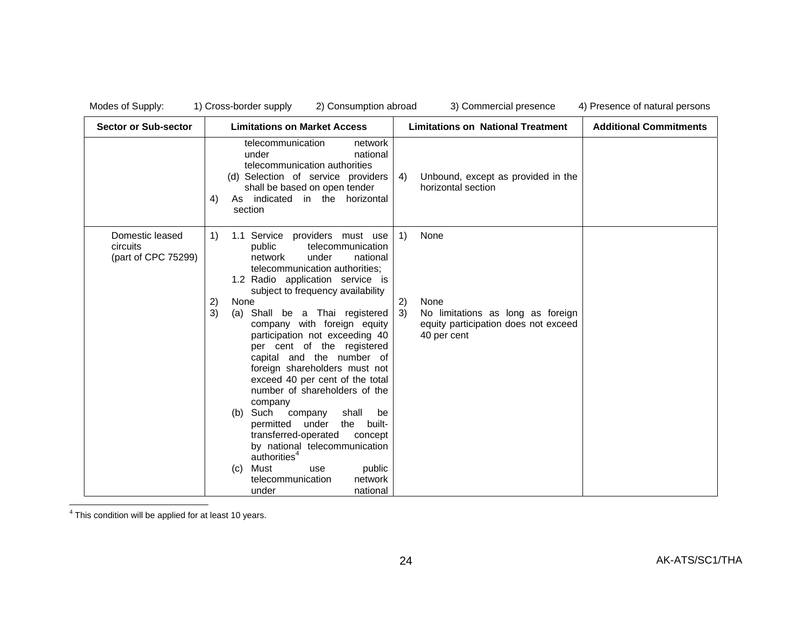| <b>Sector or Sub-sector</b>                               | <b>Limitations on Market Access</b>                                                                                                                                                                                                                                                                                                                                                                                                                                                                                                                        | <b>Limitations on National Treatment</b>                                                                     | <b>Additional Commitments</b> |
|-----------------------------------------------------------|------------------------------------------------------------------------------------------------------------------------------------------------------------------------------------------------------------------------------------------------------------------------------------------------------------------------------------------------------------------------------------------------------------------------------------------------------------------------------------------------------------------------------------------------------------|--------------------------------------------------------------------------------------------------------------|-------------------------------|
|                                                           | telecommunication<br>network<br>under<br>national<br>telecommunication authorities<br>(d) Selection of service providers<br>shall be based on open tender<br>As indicated in the horizontal<br>4)<br>section                                                                                                                                                                                                                                                                                                                                               | Unbound, except as provided in the<br>4)<br>horizontal section                                               |                               |
| Domestic leased<br><b>circuits</b><br>(part of CPC 75299) | $\left( \begin{matrix} 1 \end{matrix} \right)$<br>1.1 Service providers must use<br>public<br>telecommunication<br>national<br>network<br>under<br>telecommunication authorities;<br>1.2 Radio application service is<br>subject to frequency availability                                                                                                                                                                                                                                                                                                 | 1)<br>None                                                                                                   |                               |
|                                                           | 2)<br>None<br>3)<br>(a) Shall be a Thai registered<br>company with foreign equity<br>participation not exceeding 40<br>per cent of the registered<br>capital and the number of<br>foreign shareholders must not<br>exceed 40 per cent of the total<br>number of shareholders of the<br>company<br>(b) Such company<br>shall<br>be<br>permitted<br>under<br>the built-<br>transferred-operated<br>concept<br>by national telecommunication<br>authorities <sup>4</sup><br>Must<br>public<br>(c)<br>use<br>telecommunication<br>network<br>national<br>under | None<br>2)<br>3)<br>No limitations as long as foreign<br>equity participation does not exceed<br>40 per cent |                               |

 $4$  This condition will be applied for at least 10 years.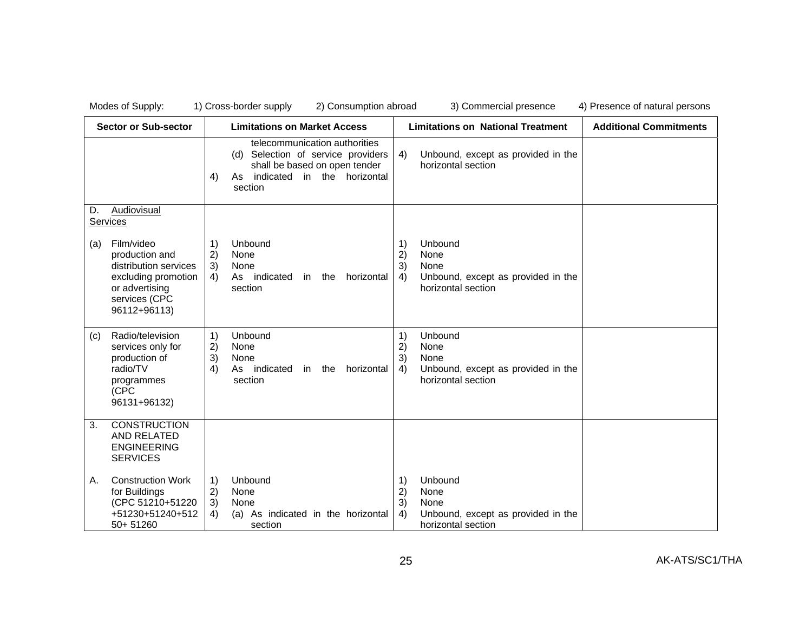|     | <b>Sector or Sub-sector</b>                                                                                                     |                                                                  | <b>Limitations on Market Access</b>                                                                                                                           | <b>Limitations on National Treatment</b> |                                                                                     | <b>Additional Commitments</b> |
|-----|---------------------------------------------------------------------------------------------------------------------------------|------------------------------------------------------------------|---------------------------------------------------------------------------------------------------------------------------------------------------------------|------------------------------------------|-------------------------------------------------------------------------------------|-------------------------------|
|     |                                                                                                                                 | 4)                                                               | telecommunication authorities<br>Selection of service providers<br>(d)<br>shall be based on open tender<br>indicated<br>horizontal<br>in the<br>As<br>section | 4)                                       | Unbound, except as provided in the<br>horizontal section                            |                               |
| D.  | Audiovisual<br>Services                                                                                                         |                                                                  |                                                                                                                                                               |                                          |                                                                                     |                               |
| (a) | Film/video<br>production and<br>distribution services<br>excluding promotion<br>or advertising<br>services (CPC<br>96112+96113) | 1)<br>2)<br>3)<br>4)                                             | Unbound<br>None<br>None<br>As indicated<br>in the<br>horizontal<br>section                                                                                    | 1)<br>2)<br>3)<br>4)                     | Unbound<br>None<br>None<br>Unbound, except as provided in the<br>horizontal section |                               |
| (c) | Radio/television<br>services only for<br>production of<br>radio/TV<br>programmes<br>(CPC<br>96131+96132)                        | 1)<br>2)<br>3)<br>4)                                             | Unbound<br>None<br>None<br>As indicated<br>in the<br>horizontal<br>section                                                                                    | 1)<br>2)<br>3)<br>4)                     | Unbound<br>None<br>None<br>Unbound, except as provided in the<br>horizontal section |                               |
| 3.  | <b>CONSTRUCTION</b><br>AND RELATED<br><b>ENGINEERING</b><br><b>SERVICES</b>                                                     |                                                                  |                                                                                                                                                               |                                          |                                                                                     |                               |
| Α.  | <b>Construction Work</b><br>for Buildings<br>(CPC 51210+51220<br>+51230+51240+512<br>50+51260                                   | $\left( \begin{matrix} 1 \end{matrix} \right)$<br>2)<br>3)<br>4) | Unbound<br>None<br>None<br>(a) As indicated in the horizontal<br>section                                                                                      | 1)<br>2)<br>3)<br>4)                     | Unbound<br>None<br>None<br>Unbound, except as provided in the<br>horizontal section |                               |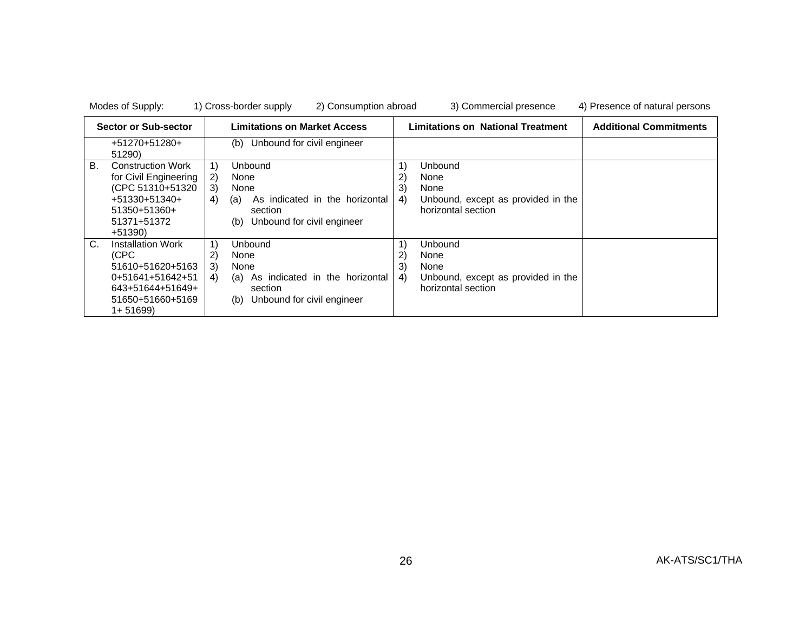| Modes of Supply: |  |  |
|------------------|--|--|
|------------------|--|--|

|             | Sector or Sub-sector                                                                                                                  |                      | <b>Limitations on Market Access</b>                                                                              | <b>Limitations on National Treatment</b> |                                                                                            | <b>Additional Commitments</b> |
|-------------|---------------------------------------------------------------------------------------------------------------------------------------|----------------------|------------------------------------------------------------------------------------------------------------------|------------------------------------------|--------------------------------------------------------------------------------------------|-------------------------------|
|             | +51270+51280+<br>51290)                                                                                                               |                      | Unbound for civil engineer<br>(b)                                                                                |                                          |                                                                                            |                               |
| В.          | <b>Construction Work</b><br>for Civil Engineering<br>(CPC 51310+51320<br>$+51330+51340+$<br>$51350+51360+$<br>51371+51372<br>$+51390$ | 1)<br>2)<br>3)<br>4) | Unbound<br>None<br>None<br>As indicated in the horizontal<br>(a)<br>section<br>Unbound for civil engineer<br>(b) | 1)<br>2)<br>3)<br>4)                     | <b>Unbound</b><br>None<br>None<br>Unbound, except as provided in the<br>horizontal section |                               |
| $C_{\cdot}$ | <b>Installation Work</b><br>(CPC<br>51610+51620+5163<br>0+51641+51642+51<br>643+51644+51649+<br>51650+51660+5169<br>$1+51699$         | 1)<br>2)<br>3)<br>4) | Unbound<br>None<br>None<br>As indicated in the horizontal<br>(a)<br>section<br>Unbound for civil engineer<br>(b) | 2)<br>3)<br>4)                           | Unbound<br>None<br>None<br>Unbound, except as provided in the<br>horizontal section        |                               |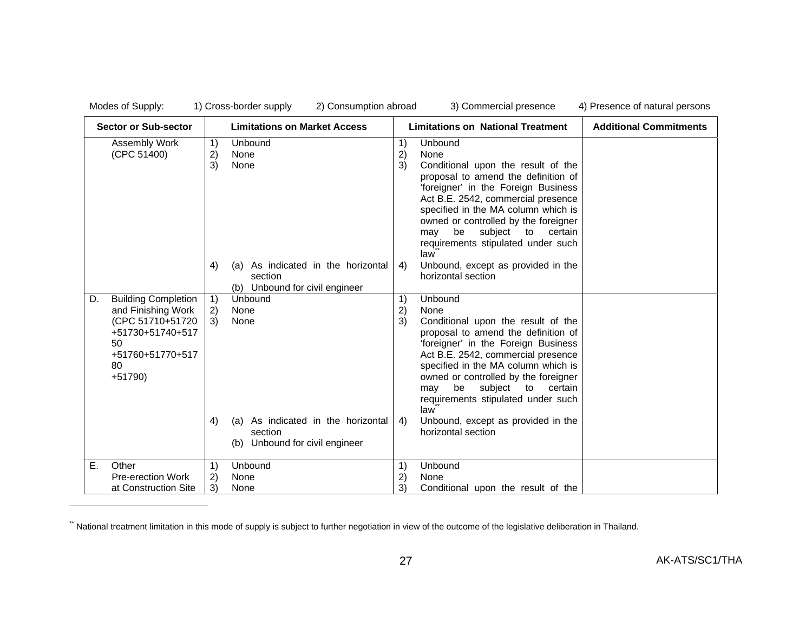| <b>Sector or Sub-sector</b>                                                                                                                |                      | <b>Limitations on Market Access</b>                                                                           | <b>Limitations on National Treatment</b> |                                                                                                                                                                                                                                                                                                                                                                                                            | <b>Additional Commitments</b> |
|--------------------------------------------------------------------------------------------------------------------------------------------|----------------------|---------------------------------------------------------------------------------------------------------------|------------------------------------------|------------------------------------------------------------------------------------------------------------------------------------------------------------------------------------------------------------------------------------------------------------------------------------------------------------------------------------------------------------------------------------------------------------|-------------------------------|
| Assembly Work<br>(CPC 51400)                                                                                                               | 1)<br>2)<br>3)       | Unbound<br>None<br>None                                                                                       | 1)<br>2)<br>3)                           | Unbound<br>None<br>Conditional upon the result of the<br>proposal to amend the definition of<br>'foreigner' in the Foreign Business<br>Act B.E. 2542, commercial presence<br>specified in the MA column which is<br>owned or controlled by the foreigner<br>subject<br>certain<br>be<br>to<br>may<br>requirements stipulated under such<br>law                                                             |                               |
|                                                                                                                                            | 4)                   | As indicated in the horizontal<br>(a)<br>section<br>(b) Unbound for civil engineer                            | 4)                                       | Unbound, except as provided in the<br>horizontal section                                                                                                                                                                                                                                                                                                                                                   |                               |
| <b>Building Completion</b><br>D.<br>and Finishing Work<br>(CPC 51710+51720<br>+51730+51740+517<br>50<br>+51760+51770+517<br>80<br>$+51790$ | 1)<br>2)<br>3)<br>4) | Unbound<br>None<br>None<br>As indicated in the horizontal<br>(a)<br>section<br>(b) Unbound for civil engineer | 1)<br>2)<br>3)<br>4)                     | Unbound<br>None<br>Conditional upon the result of the<br>proposal to amend the definition of<br>'foreigner' in the Foreign Business<br>Act B.E. 2542, commercial presence<br>specified in the MA column which is<br>owned or controlled by the foreigner<br>subject<br>be<br>to<br>certain<br>may<br>requirements stipulated under such<br>law<br>Unbound, except as provided in the<br>horizontal section |                               |
| Е.<br>Other<br><b>Pre-erection Work</b>                                                                                                    | 1)<br>2)             | Unbound<br>None                                                                                               | 1)<br>2)                                 | Unbound<br>None                                                                                                                                                                                                                                                                                                                                                                                            |                               |
| at Construction Site                                                                                                                       | 3)                   | None                                                                                                          | 3)                                       | Conditional upon the result of the                                                                                                                                                                                                                                                                                                                                                                         |                               |

\*\* National treatment limitation in this mode of supply is subject to further negotiation in view of the outcome of the legislative deliberation in Thailand.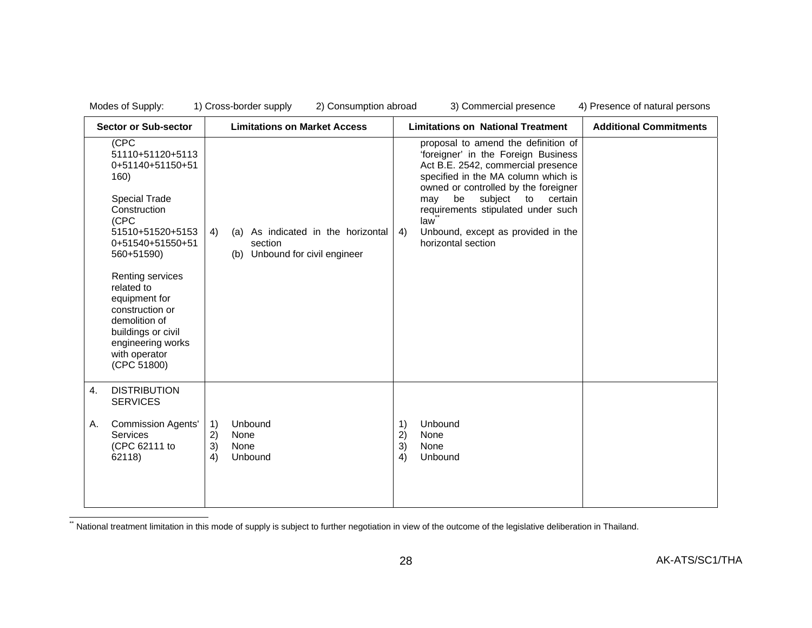| Modes of Supply:                                                                                                                                                                                                                                                                                                             | 1) Cross-border supply<br>2) Consumption abroad                                             | 3) Commercial presence                                                                                                                                                                                                                                                                                                                                  | 4) Presence of natural persons |
|------------------------------------------------------------------------------------------------------------------------------------------------------------------------------------------------------------------------------------------------------------------------------------------------------------------------------|---------------------------------------------------------------------------------------------|---------------------------------------------------------------------------------------------------------------------------------------------------------------------------------------------------------------------------------------------------------------------------------------------------------------------------------------------------------|--------------------------------|
| <b>Sector or Sub-sector</b>                                                                                                                                                                                                                                                                                                  | <b>Limitations on Market Access</b>                                                         | <b>Limitations on National Treatment</b>                                                                                                                                                                                                                                                                                                                | <b>Additional Commitments</b>  |
| (CPC<br>51110+51120+5113<br>0+51140+51150+51<br>160)<br><b>Special Trade</b><br>Construction<br>(CPC<br>51510+51520+5153<br>0+51540+51550+51<br>560+51590)<br>Renting services<br>related to<br>equipment for<br>construction or<br>demolition of<br>buildings or civil<br>engineering works<br>with operator<br>(CPC 51800) | As indicated in the horizontal<br>4)<br>(a)<br>section<br>Unbound for civil engineer<br>(b) | proposal to amend the definition of<br>'foreigner' in the Foreign Business<br>Act B.E. 2542, commercial presence<br>specified in the MA column which is<br>owned or controlled by the foreigner<br>certain<br>may<br>be<br>subject<br>to<br>requirements stipulated under such<br>law<br>Unbound, except as provided in the<br>4)<br>horizontal section |                                |
| <b>DISTRIBUTION</b><br>4.<br><b>SERVICES</b><br><b>Commission Agents'</b><br>А.<br>Services<br>(CPC 62111 to<br>62118)                                                                                                                                                                                                       | Unbound<br>1)<br>2)<br>None<br>3)<br>None<br>Unbound<br>4)                                  | Unbound<br>1)<br>2)<br>None<br>3)<br>None<br>4)<br>Unbound                                                                                                                                                                                                                                                                                              |                                |
|                                                                                                                                                                                                                                                                                                                              |                                                                                             |                                                                                                                                                                                                                                                                                                                                                         |                                |

\*\* National treatment limitation in this mode of supply is subject to further negotiation in view of the outcome of the legislative deliberation in Thailand.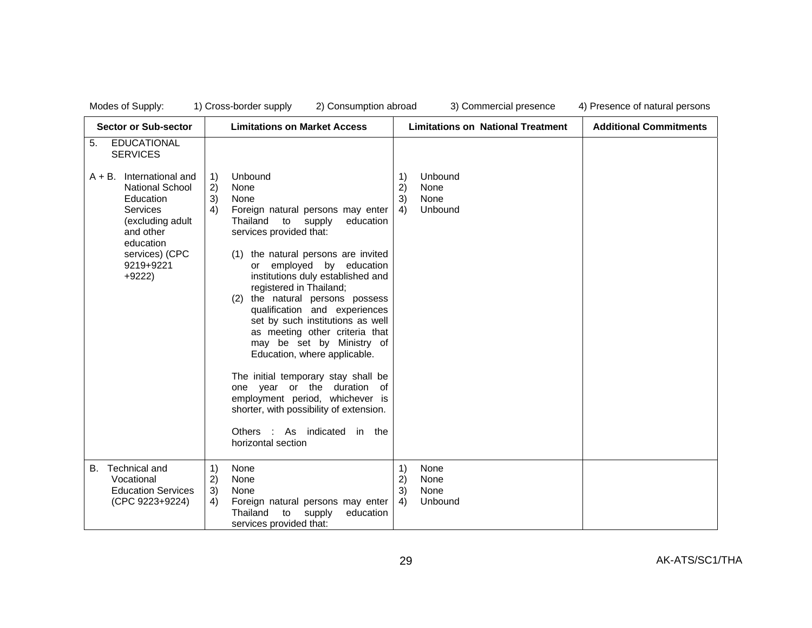| Modes of Supply |  |
|-----------------|--|
|-----------------|--|

| <b>Sector or Sub-sector</b>                                                                                                                                                                                                      | <b>Limitations on Market Access</b>                                                                                                                                                                                                                                                                                                                                                                                                                                                                                                                                                                            | <b>Limitations on National Treatment</b>                   | <b>Additional Commitments</b> |
|----------------------------------------------------------------------------------------------------------------------------------------------------------------------------------------------------------------------------------|----------------------------------------------------------------------------------------------------------------------------------------------------------------------------------------------------------------------------------------------------------------------------------------------------------------------------------------------------------------------------------------------------------------------------------------------------------------------------------------------------------------------------------------------------------------------------------------------------------------|------------------------------------------------------------|-------------------------------|
| <b>EDUCATIONAL</b><br>5.<br><b>SERVICES</b><br>International and<br>$A + B$ .<br><b>National School</b><br>Education<br><b>Services</b><br>(excluding adult<br>and other<br>education<br>services) (CPC<br>9219+9221<br>$+9222)$ | Unbound<br>1)<br>2)<br>None<br>3)<br>None<br>4)<br>Foreign natural persons may enter<br>Thailand<br>to<br>supply<br>education<br>services provided that:<br>(1) the natural persons are invited<br>employed by education<br>or<br>institutions duly established and<br>registered in Thailand;<br>(2) the natural persons possess<br>qualification and experiences<br>set by such institutions as well<br>as meeting other criteria that<br>may be set by Ministry of<br>Education, where applicable.<br>The initial temporary stay shall be<br>one year or the duration of<br>employment period, whichever is | Unbound<br>1)<br>2)<br>None<br>3)<br>None<br>Unbound<br>4) |                               |
|                                                                                                                                                                                                                                  | shorter, with possibility of extension.<br>Others : As indicated in the<br>horizontal section                                                                                                                                                                                                                                                                                                                                                                                                                                                                                                                  |                                                            |                               |
| Technical and<br>В.<br>Vocational<br><b>Education Services</b><br>(CPC 9223+9224)                                                                                                                                                | 1)<br>None<br>2)<br>None<br>3)<br>None<br>4)<br>Foreign natural persons may enter<br>Thailand<br>to<br>supply<br>education<br>services provided that:                                                                                                                                                                                                                                                                                                                                                                                                                                                          | 1)<br>None<br>2)<br>None<br>3)<br>None<br>Unbound<br>4)    |                               |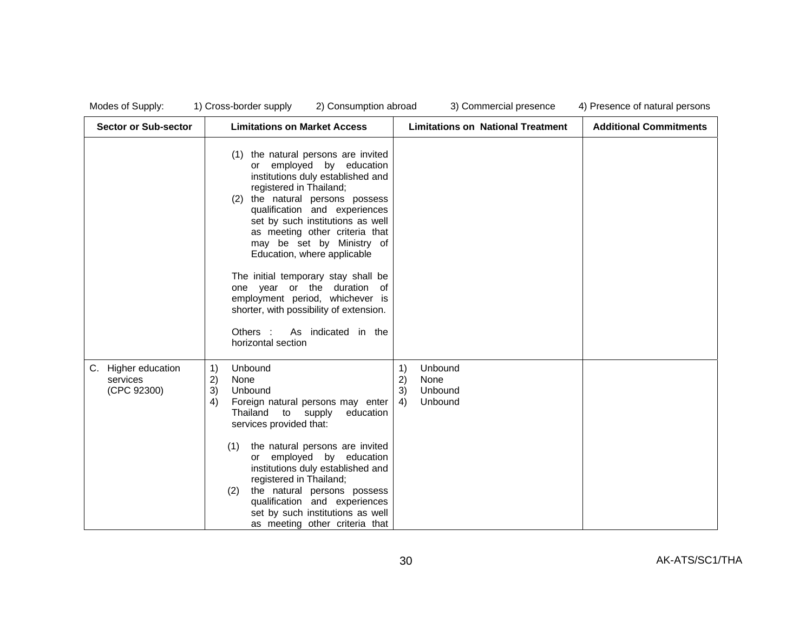| Modes of Supply |  |  |  |
|-----------------|--|--|--|
|-----------------|--|--|--|

| <b>Sector or Sub-sector</b>                    | <b>Limitations on Market Access</b>                                                                                                                                                                                                                                                                                                                                                                                                                                                                                                                      | <b>Limitations on National Treatment</b>                      | <b>Additional Commitments</b> |
|------------------------------------------------|----------------------------------------------------------------------------------------------------------------------------------------------------------------------------------------------------------------------------------------------------------------------------------------------------------------------------------------------------------------------------------------------------------------------------------------------------------------------------------------------------------------------------------------------------------|---------------------------------------------------------------|-------------------------------|
|                                                | (1) the natural persons are invited<br>employed by education<br>or<br>institutions duly established and<br>registered in Thailand;<br>the natural persons possess<br>(2)<br>qualification and experiences<br>set by such institutions as well<br>as meeting other criteria that<br>may be set by Ministry of<br>Education, where applicable<br>The initial temporary stay shall be<br>one year or the duration of<br>employment period, whichever is<br>shorter, with possibility of extension.<br>As indicated in the<br>Others :<br>horizontal section |                                                               |                               |
| C. Higher education<br>services<br>(CPC 92300) | 1)<br>Unbound<br>2)<br>None<br>3)<br>Unbound<br>4)<br>Foreign natural persons may enter<br>Thailand<br>to supply<br>education<br>services provided that:<br>the natural persons are invited<br>(1)<br>or employed by education<br>institutions duly established and<br>registered in Thailand;<br>the natural persons possess<br>(2)<br>qualification and experiences<br>set by such institutions as well<br>as meeting other criteria that                                                                                                              | Unbound<br>1)<br>2)<br>None<br>3)<br>Unbound<br>Unbound<br>4) |                               |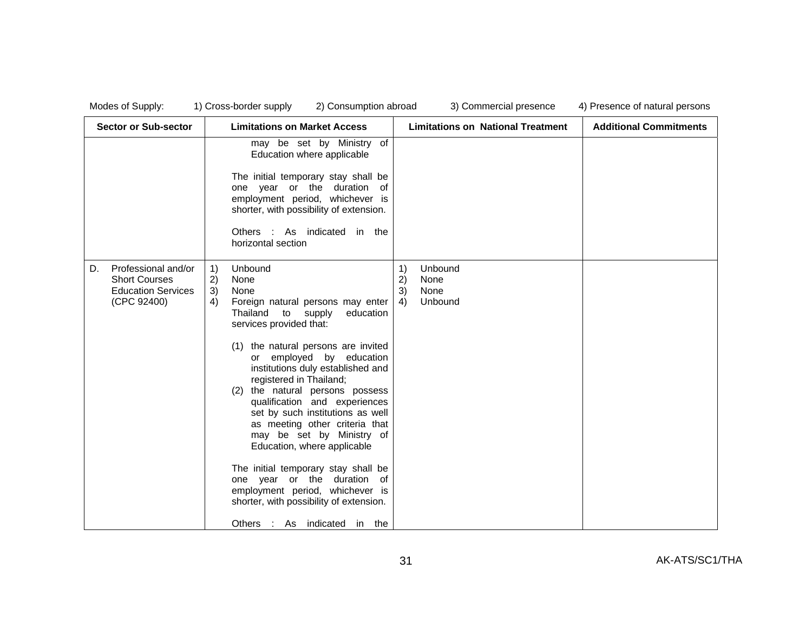| <b>Sector or Sub-sector</b>                                                                   | <b>Limitations on Market Access</b>                                                                                                                                                                                                                                                                                                                                                                                                                                                                                                                                                                                                                                                      | <b>Limitations on National Treatment</b>                                                               | <b>Additional Commitments</b> |
|-----------------------------------------------------------------------------------------------|------------------------------------------------------------------------------------------------------------------------------------------------------------------------------------------------------------------------------------------------------------------------------------------------------------------------------------------------------------------------------------------------------------------------------------------------------------------------------------------------------------------------------------------------------------------------------------------------------------------------------------------------------------------------------------------|--------------------------------------------------------------------------------------------------------|-------------------------------|
|                                                                                               | may be set by Ministry of<br>Education where applicable<br>The initial temporary stay shall be<br>one year or the duration<br>of<br>employment period, whichever is<br>shorter, with possibility of extension.<br>Others : As indicated<br>in the<br>horizontal section                                                                                                                                                                                                                                                                                                                                                                                                                  |                                                                                                        |                               |
| Professional and/or<br>D.<br><b>Short Courses</b><br><b>Education Services</b><br>(CPC 92400) | Unbound<br>1)<br>2)<br>None<br>3)<br>None<br>4)<br>Foreign natural persons may enter<br>Thailand<br>to supply<br>education<br>services provided that:<br>(1) the natural persons are invited<br>or employed by education<br>institutions duly established and<br>registered in Thailand;<br>the natural persons possess<br>(2)<br>qualification and experiences<br>set by such institutions as well<br>as meeting other criteria that<br>may be set by Ministry of<br>Education, where applicable<br>The initial temporary stay shall be<br>one year or the duration of<br>employment period, whichever is<br>shorter, with possibility of extension.<br>Others :<br>As indicated in the | Unbound<br>$\left( \begin{matrix} 1 \end{matrix} \right)$<br>2)<br>None<br>3)<br>None<br>4)<br>Unbound |                               |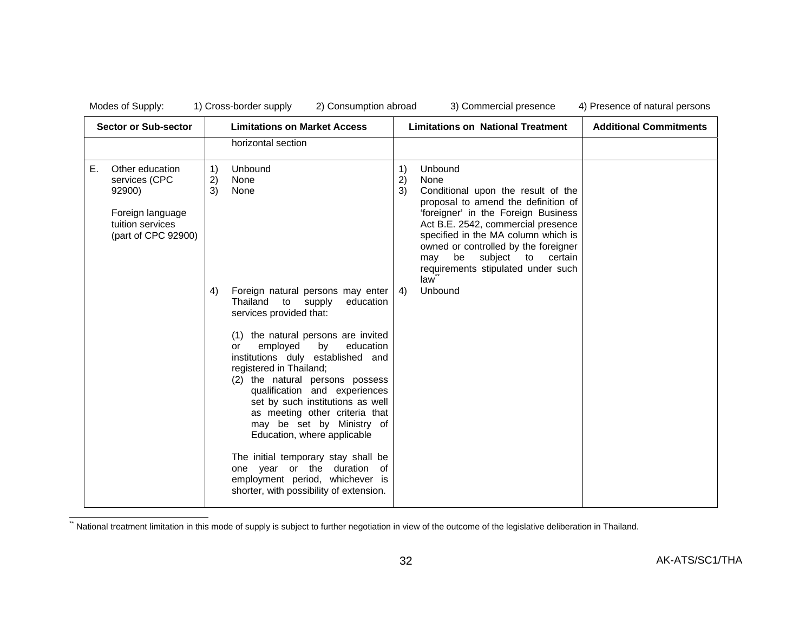|    | <b>Sector or Sub-sector</b>                                                                               |                | <b>Limitations on Market Access</b>                                                                                                                                                                                                                                                                                                                                                                                                                                                                                                                                                                         |                | <b>Limitations on National Treatment</b>                                                                                                                                                                                                                                                                                              | <b>Additional Commitments</b> |
|----|-----------------------------------------------------------------------------------------------------------|----------------|-------------------------------------------------------------------------------------------------------------------------------------------------------------------------------------------------------------------------------------------------------------------------------------------------------------------------------------------------------------------------------------------------------------------------------------------------------------------------------------------------------------------------------------------------------------------------------------------------------------|----------------|---------------------------------------------------------------------------------------------------------------------------------------------------------------------------------------------------------------------------------------------------------------------------------------------------------------------------------------|-------------------------------|
|    |                                                                                                           |                | horizontal section                                                                                                                                                                                                                                                                                                                                                                                                                                                                                                                                                                                          |                |                                                                                                                                                                                                                                                                                                                                       |                               |
| Е. | Other education<br>services (CPC<br>92900)<br>Foreign language<br>tuition services<br>(part of CPC 92900) | 1)<br>2)<br>3) | Unbound<br>None<br>None                                                                                                                                                                                                                                                                                                                                                                                                                                                                                                                                                                                     | 1)<br>2)<br>3) | Unbound<br>None<br>Conditional upon the result of the<br>proposal to amend the definition of<br>'foreigner' in the Foreign Business<br>Act B.E. 2542, commercial presence<br>specified in the MA column which is<br>owned or controlled by the foreigner<br>be subject to certain<br>may<br>requirements stipulated under such<br>law |                               |
|    |                                                                                                           | 4)             | Foreign natural persons may enter<br>Thailand<br>to<br>supply<br>education<br>services provided that:<br>(1) the natural persons are invited<br>employed<br>by<br>education<br>or<br>institutions duly established and<br>registered in Thailand;<br>(2) the natural persons possess<br>qualification and experiences<br>set by such institutions as well<br>as meeting other criteria that<br>may be set by Ministry of<br>Education, where applicable<br>The initial temporary stay shall be<br>one year or the duration of<br>employment period, whichever is<br>shorter, with possibility of extension. | 4)             | Unbound                                                                                                                                                                                                                                                                                                                               |                               |

\*\* National treatment limitation in this mode of supply is subject to further negotiation in view of the outcome of the legislative deliberation in Thailand.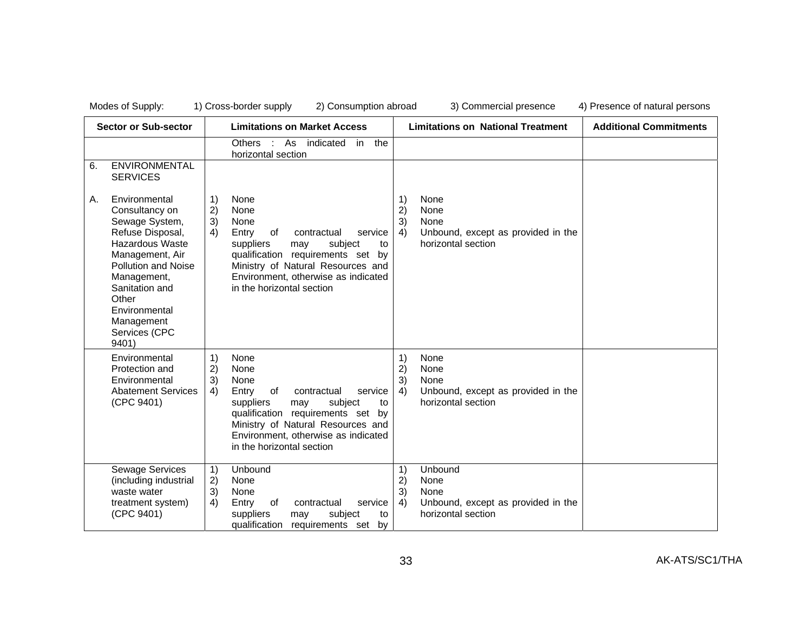| <b>Sector or Sub-sector</b> |                                                                                                                                                                                                                                              |                                                                  | <b>Limitations on Market Access</b>                                                                                                                                                                                                              |                      | <b>Limitations on National Treatment</b>                                            | <b>Additional Commitments</b> |
|-----------------------------|----------------------------------------------------------------------------------------------------------------------------------------------------------------------------------------------------------------------------------------------|------------------------------------------------------------------|--------------------------------------------------------------------------------------------------------------------------------------------------------------------------------------------------------------------------------------------------|----------------------|-------------------------------------------------------------------------------------|-------------------------------|
| 6.                          | ENVIRONMENTAL<br><b>SERVICES</b>                                                                                                                                                                                                             |                                                                  | As<br>indicated<br>the<br>Others :<br>in<br>horizontal section                                                                                                                                                                                   |                      |                                                                                     |                               |
| Α.                          | Environmental<br>Consultancy on<br>Sewage System,<br>Refuse Disposal,<br>Hazardous Waste<br>Management, Air<br><b>Pollution and Noise</b><br>Management,<br>Sanitation and<br>Other<br>Environmental<br>Management<br>Services (CPC<br>9401) | $\left( \begin{matrix} 1 \end{matrix} \right)$<br>2)<br>3)<br>4) | None<br>None<br>None<br>Entry<br>service<br>of<br>contractual<br>suppliers<br>subject<br>may<br>to<br>qualification requirements set by<br>Ministry of Natural Resources and<br>Environment, otherwise as indicated<br>in the horizontal section | 1)<br>2)<br>3)<br>4) | None<br>None<br>None<br>Unbound, except as provided in the<br>horizontal section    |                               |
|                             | Environmental<br>Protection and<br>Environmental<br><b>Abatement Services</b><br>(CPC 9401)                                                                                                                                                  | 1)<br>2)<br>3)<br>4)                                             | None<br>None<br>None<br>Entry<br>service<br>of<br>contractual<br>suppliers<br>subject<br>may<br>to<br>qualification requirements set by<br>Ministry of Natural Resources and<br>Environment, otherwise as indicated<br>in the horizontal section | 1)<br>2)<br>3)<br>4) | None<br>None<br>None<br>Unbound, except as provided in the<br>horizontal section    |                               |
|                             | <b>Sewage Services</b><br>(including industrial<br>waste water<br>treatment system)<br>(CPC 9401)                                                                                                                                            | 1)<br>2)<br>3)<br>4)                                             | Unbound<br>None<br>None<br>Entry<br>of<br>service<br>contractual<br>suppliers<br>subject<br>may<br>to<br>qualification<br>requirements set<br>by                                                                                                 | 1)<br>2)<br>3)<br>4) | Unbound<br>None<br>None<br>Unbound, except as provided in the<br>horizontal section |                               |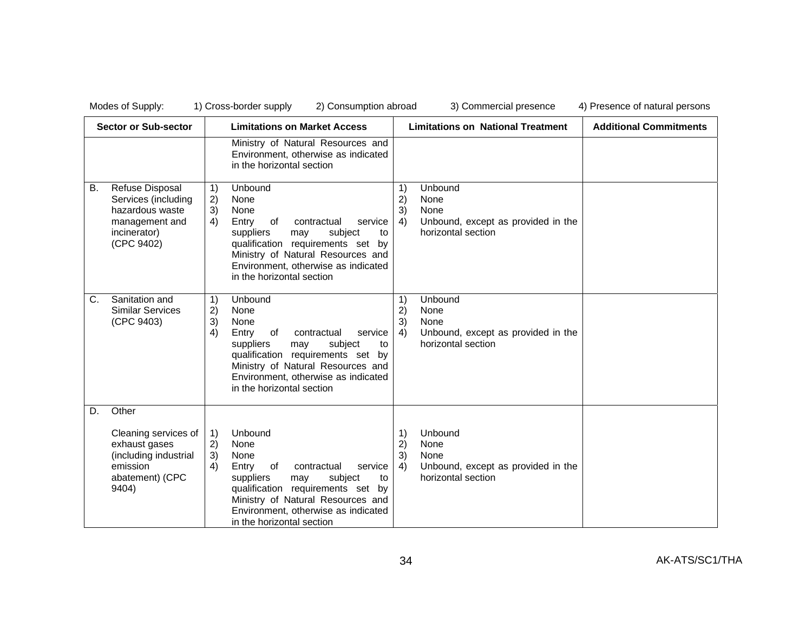| <b>Sector or Sub-sector</b> |                                                                                                                 |                      | <b>Limitations on Market Access</b>                                                                                                                                                                                                                 |                      | <b>Limitations on National Treatment</b>                                                   | <b>Additional Commitments</b> |
|-----------------------------|-----------------------------------------------------------------------------------------------------------------|----------------------|-----------------------------------------------------------------------------------------------------------------------------------------------------------------------------------------------------------------------------------------------------|----------------------|--------------------------------------------------------------------------------------------|-------------------------------|
|                             |                                                                                                                 |                      | Ministry of Natural Resources and<br>Environment, otherwise as indicated<br>in the horizontal section                                                                                                                                               |                      |                                                                                            |                               |
| В.                          | Refuse Disposal<br>Services (including<br>hazardous waste<br>management and<br>incinerator)<br>(CPC 9402)       | 1)<br>2)<br>3)<br>4) | Unbound<br>None<br>None<br>Entry<br>of<br>contractual<br>service<br>suppliers<br>subject<br>may<br>to<br>qualification requirements set by<br>Ministry of Natural Resources and<br>Environment, otherwise as indicated<br>in the horizontal section | 1)<br>2)<br>3)<br>4) | Unbound<br>None<br><b>None</b><br>Unbound, except as provided in the<br>horizontal section |                               |
| C.                          | Sanitation and<br><b>Similar Services</b><br>(CPC 9403)                                                         | 1)<br>2)<br>3)<br>4) | Unbound<br>None<br>None<br>Entry<br>of<br>service<br>contractual<br>suppliers<br>subject<br>to<br>may<br>qualification requirements set by<br>Ministry of Natural Resources and<br>Environment, otherwise as indicated<br>in the horizontal section | 1)<br>2)<br>3)<br>4) | Unbound<br>None<br>None<br>Unbound, except as provided in the<br>horizontal section        |                               |
| D.                          | Other<br>Cleaning services of<br>exhaust gases<br>(including industrial<br>emission<br>abatement) (CPC<br>9404) | 1)<br>2)<br>3)<br>4) | Unbound<br>None<br>None<br>of<br>Entry<br>contractual<br>service<br>suppliers<br>subject<br>may<br>to<br>qualification requirements set by<br>Ministry of Natural Resources and                                                                     | 1)<br>2)<br>3)<br>4) | Unbound<br>None<br>None<br>Unbound, except as provided in the<br>horizontal section        |                               |
|                             |                                                                                                                 |                      | Environment, otherwise as indicated<br>in the horizontal section                                                                                                                                                                                    |                      |                                                                                            |                               |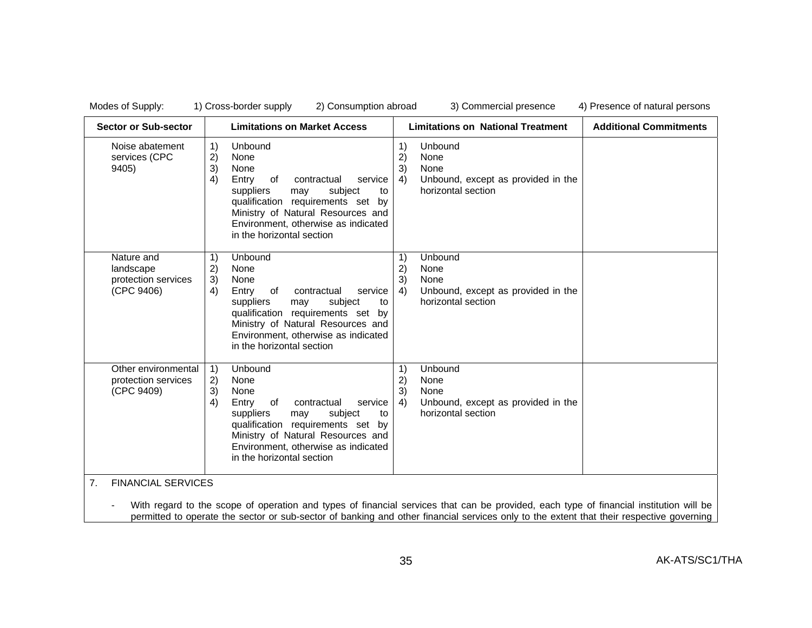| <b>Sector or Sub-sector</b>                                  | <b>Limitations on Market Access</b>                                                                                                                                                                                                                                            | <b>Limitations on National Treatment</b>                                                                                                                | <b>Additional Commitments</b> |
|--------------------------------------------------------------|--------------------------------------------------------------------------------------------------------------------------------------------------------------------------------------------------------------------------------------------------------------------------------|---------------------------------------------------------------------------------------------------------------------------------------------------------|-------------------------------|
| Noise abatement<br>services (CPC<br>9405)                    | Unbound<br>1)<br>2)<br>None<br>3)<br>None<br>4)<br>Entry<br>of<br>contractual<br>service<br>suppliers<br>subject<br>may<br>to<br>qualification requirements set<br>by<br>Ministry of Natural Resources and<br>Environment, otherwise as indicated<br>in the horizontal section | 1)<br>Unbound<br>2)<br>None<br>None<br>3)<br>Unbound, except as provided in the<br>4)<br>horizontal section                                             |                               |
| Nature and<br>landscape<br>protection services<br>(CPC 9406) | Unbound<br>1)<br>2)<br>None<br>3)<br>None<br>Entry<br>contractual<br>4)<br>of<br>service<br>suppliers<br>may<br>subject<br>to<br>qualification requirements set by<br>Ministry of Natural Resources and<br>Environment, otherwise as indicated<br>in the horizontal section    | Unbound<br>$\left( \begin{matrix} 1 \end{matrix} \right)$<br>2)<br>None<br>3)<br>None<br>Unbound, except as provided in the<br>4)<br>horizontal section |                               |
| Other environmental<br>protection services<br>(CPC 9409)     | Unbound<br>1)<br>2)<br>None<br>3)<br>None<br>4)<br>Entry<br>of<br>contractual<br>service<br>suppliers<br>subject<br>may<br>to<br>qualification requirements set by<br>Ministry of Natural Resources and<br>Environment, otherwise as indicated<br>in the horizontal section    | Unbound<br>$\left( \begin{matrix} 1 \end{matrix} \right)$<br>2)<br>None<br>3)<br>None<br>4)<br>Unbound, except as provided in the<br>horizontal section |                               |

permitted to operate the sector or sub-sector of banking and other financial services only to the extent that their respective governing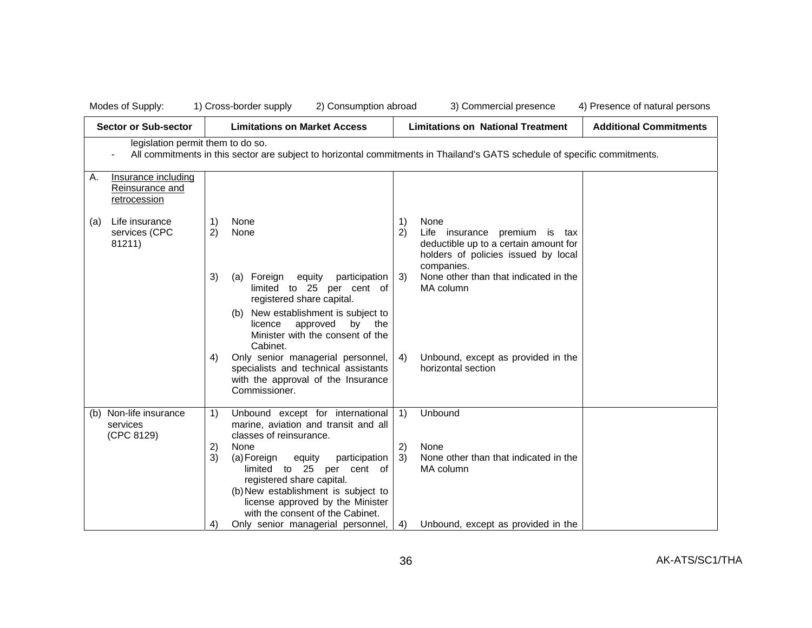|     | Modes of Supply:                                       | 2) Consumption abroad<br>1) Cross-border supply                                                                                                                                                                                   | 3) Commercial presence<br>4) Presence of natural persons                                                                                        |
|-----|--------------------------------------------------------|-----------------------------------------------------------------------------------------------------------------------------------------------------------------------------------------------------------------------------------|-------------------------------------------------------------------------------------------------------------------------------------------------|
|     | <b>Sector or Sub-sector</b>                            | <b>Limitations on Market Access</b>                                                                                                                                                                                               | <b>Additional Commitments</b><br><b>Limitations on National Treatment</b>                                                                       |
|     | legislation permit them to do so.                      |                                                                                                                                                                                                                                   | All commitments in this sector are subject to horizontal commitments in Thailand's GATS schedule of specific commitments.                       |
| Α.  | Insurance including<br>Reinsurance and<br>retrocession |                                                                                                                                                                                                                                   |                                                                                                                                                 |
| (a) | Life insurance<br>services (CPC<br>81211)              | None<br>1)<br>2)<br>None                                                                                                                                                                                                          | 1)<br>None<br>2)<br>Life insurance premium is tax<br>deductible up to a certain amount for<br>holders of policies issued by local<br>companies. |
|     |                                                        | 3)<br>Foreign equity<br>participation<br>(a)<br>limited to 25 per cent of<br>registered share capital.<br>New establishment is subject to<br>(b)<br>licence<br>approved<br>by the<br>Minister with the consent of the<br>Cabinet. | None other than that indicated in the<br>3)<br>MA column                                                                                        |
|     |                                                        | Only senior managerial personnel,<br>4)<br>specialists and technical assistants<br>with the approval of the Insurance<br>Commissioner.                                                                                            | Unbound, except as provided in the<br>4)<br>horizontal section                                                                                  |
|     | (b) Non-life insurance<br>services<br>(CPC 8129)       | Unbound except for international<br>1)<br>marine, aviation and transit and all<br>classes of reinsurance.                                                                                                                         | Unbound<br>$\left( \begin{matrix} 1 \end{matrix} \right)$                                                                                       |
|     |                                                        | 2)<br>None<br>3)<br>participation<br>(a) Foreign<br>equity<br>limited to 25 per cent of<br>registered share capital.                                                                                                              | 2)<br>None<br>None other than that indicated in the<br>3)<br>MA column                                                                          |
|     |                                                        | (b) New establishment is subject to<br>license approved by the Minister<br>with the consent of the Cabinet.<br>Only senior managerial personnel,<br>4)                                                                            | Unbound, except as provided in the<br>4)                                                                                                        |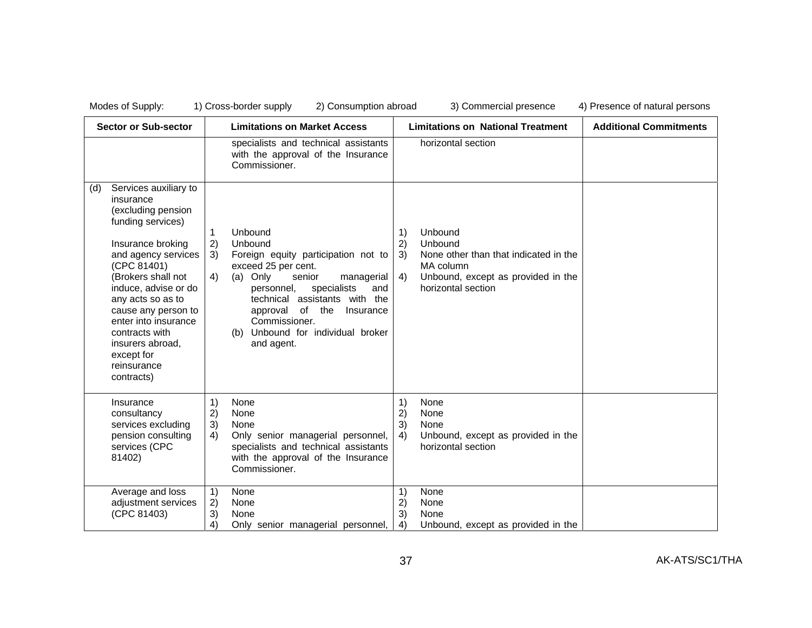|     | <b>Sector or Sub-sector</b>                                                                                                                                                                                                                                                                                                                 |                                                                  | <b>Limitations on Market Access</b>                                                                                                                                                                                                                                                              |                      | <b>Limitations on National Treatment</b>                                                                                             | <b>Additional Commitments</b> |
|-----|---------------------------------------------------------------------------------------------------------------------------------------------------------------------------------------------------------------------------------------------------------------------------------------------------------------------------------------------|------------------------------------------------------------------|--------------------------------------------------------------------------------------------------------------------------------------------------------------------------------------------------------------------------------------------------------------------------------------------------|----------------------|--------------------------------------------------------------------------------------------------------------------------------------|-------------------------------|
|     |                                                                                                                                                                                                                                                                                                                                             |                                                                  | specialists and technical assistants<br>with the approval of the Insurance<br>Commissioner.                                                                                                                                                                                                      |                      | horizontal section                                                                                                                   |                               |
| (d) | Services auxiliary to<br>insurance<br>(excluding pension<br>funding services)<br>Insurance broking<br>and agency services<br>(CPC 81401)<br>(Brokers shall not<br>induce, advise or do<br>any acts so as to<br>cause any person to<br>enter into insurance<br>contracts with<br>insurers abroad,<br>except for<br>reinsurance<br>contracts) | 1<br>2)<br>3)<br>4)                                              | Unbound<br>Unbound<br>Foreign equity participation not to<br>exceed 25 per cent.<br>(a) Only<br>senior<br>managerial<br>specialists<br>personnel,<br>and<br>technical assistants with the<br>approval of the<br>Insurance<br>Commissioner.<br>Unbound for individual broker<br>(b)<br>and agent. | 1)<br>2)<br>3)<br>4) | Unbound<br>Unbound<br>None other than that indicated in the<br>MA column<br>Unbound, except as provided in the<br>horizontal section |                               |
|     | Insurance<br>consultancy<br>services excluding<br>pension consulting<br>services (CPC<br>81402)                                                                                                                                                                                                                                             | 1)<br>2)<br>3)<br>4)                                             | None<br>None<br>None<br>Only senior managerial personnel,<br>specialists and technical assistants<br>with the approval of the Insurance<br>Commissioner.                                                                                                                                         | 1)<br>2)<br>3)<br>4) | None<br>None<br>None<br>Unbound, except as provided in the<br>horizontal section                                                     |                               |
|     | Average and loss<br>adjustment services<br>(CPC 81403)                                                                                                                                                                                                                                                                                      | $\left( \begin{matrix} 1 \end{matrix} \right)$<br>2)<br>3)<br>4) | None<br>None<br>None<br>Only senior managerial personnel,                                                                                                                                                                                                                                        | 1)<br>2)<br>3)<br>4) | None<br>None<br>None<br>Unbound, except as provided in the                                                                           |                               |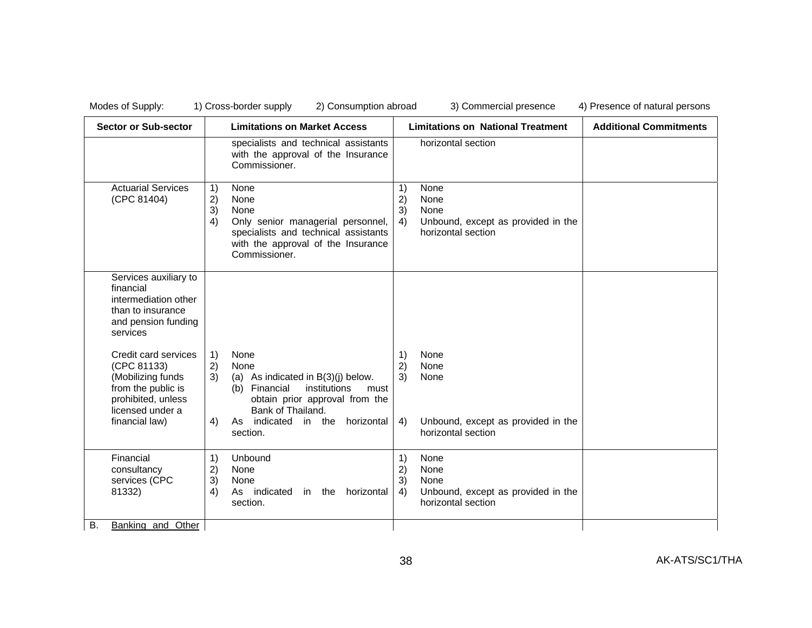| <b>Sector or Sub-sector</b>                                                                                                                | <b>Limitations on Market Access</b>                                                                                                                                                                                     | <b>Limitations on National Treatment</b>                                                                 | <b>Additional Commitments</b> |
|--------------------------------------------------------------------------------------------------------------------------------------------|-------------------------------------------------------------------------------------------------------------------------------------------------------------------------------------------------------------------------|----------------------------------------------------------------------------------------------------------|-------------------------------|
|                                                                                                                                            | specialists and technical assistants<br>with the approval of the Insurance<br>Commissioner.                                                                                                                             | horizontal section                                                                                       |                               |
| <b>Actuarial Services</b><br>(CPC 81404)                                                                                                   | 1)<br>None<br>2)<br>None<br>3)<br>None<br>4)<br>Only senior managerial personnel,<br>specialists and technical assistants<br>with the approval of the Insurance<br>Commissioner.                                        | None<br>1)<br>2)<br>None<br>3)<br>None<br>Unbound, except as provided in the<br>4)<br>horizontal section |                               |
| Services auxiliary to<br>financial<br>intermediation other<br>than to insurance<br>and pension funding<br>services                         |                                                                                                                                                                                                                         |                                                                                                          |                               |
| Credit card services<br>(CPC 81133)<br>(Mobilizing funds<br>from the public is<br>prohibited, unless<br>licensed under a<br>financial law) | None<br>1)<br>2)<br>None<br>3)<br>(a) As indicated in $B(3)(i)$ below.<br>Financial<br>institutions<br>(b)<br>must<br>obtain prior approval from the<br>Bank of Thailand.<br>As indicated<br>4)<br>in the<br>horizontal | None<br>1)<br>2)<br>None<br>3)<br>None<br>Unbound, except as provided in the<br>4)                       |                               |
|                                                                                                                                            | section.                                                                                                                                                                                                                | horizontal section                                                                                       |                               |
| Financial<br>consultancy<br>services (CPC<br>81332)                                                                                        | 1)<br>Unbound<br>2)<br>None<br>3)<br>None<br>4)<br>As indicated<br>in the<br>horizontal<br>section.                                                                                                                     | 1)<br>None<br>2)<br>None<br>3)<br>None<br>4)<br>Unbound, except as provided in the<br>horizontal section |                               |
| В.<br><b>Banking and Other</b>                                                                                                             |                                                                                                                                                                                                                         |                                                                                                          |                               |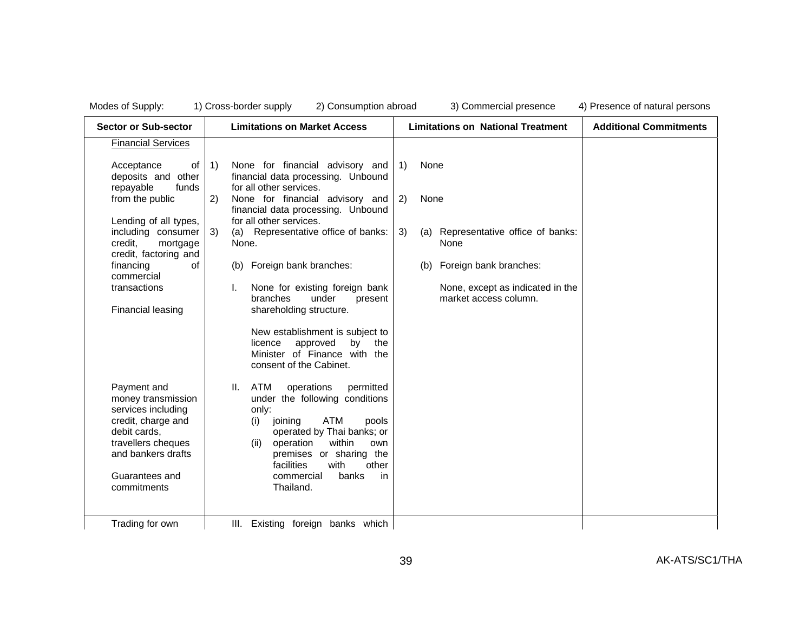| <b>Sector or Sub-sector</b>                                                                                                                                 | <b>Limitations on Market Access</b>                                                                                                                                                                                                                                                 | <b>Limitations on National Treatment</b>                  | <b>Additional Commitments</b> |
|-------------------------------------------------------------------------------------------------------------------------------------------------------------|-------------------------------------------------------------------------------------------------------------------------------------------------------------------------------------------------------------------------------------------------------------------------------------|-----------------------------------------------------------|-------------------------------|
| <b>Financial Services</b>                                                                                                                                   |                                                                                                                                                                                                                                                                                     |                                                           |                               |
| Acceptance<br>of<br>deposits and other<br>repayable<br>funds                                                                                                | 1)<br>None for financial advisory and<br>financial data processing. Unbound<br>for all other services.                                                                                                                                                                              | $\left( \begin{matrix} 1 \end{matrix} \right)$<br>None    |                               |
| from the public                                                                                                                                             | 2)<br>None for financial advisory and<br>financial data processing. Unbound                                                                                                                                                                                                         | 2)<br>None                                                |                               |
| Lending of all types,<br>including consumer<br>credit,<br>mortgage<br>credit, factoring and                                                                 | for all other services.<br>Representative office of banks:<br>3)<br>(a)<br>None.                                                                                                                                                                                                    | 3)<br>Representative office of banks:<br>(a)<br>None      |                               |
| financing<br>0f<br>commercial                                                                                                                               | Foreign bank branches:<br>(b)                                                                                                                                                                                                                                                       | Foreign bank branches:<br>(b)                             |                               |
| transactions<br>Financial leasing                                                                                                                           | None for existing foreign bank<br>branches<br>under<br>present<br>shareholding structure.                                                                                                                                                                                           | None, except as indicated in the<br>market access column. |                               |
|                                                                                                                                                             | New establishment is subject to<br>approved<br>licence<br>by<br>the<br>Minister of Finance with the<br>consent of the Cabinet.                                                                                                                                                      |                                                           |                               |
| Payment and<br>money transmission<br>services including<br>credit, charge and<br>debit cards,<br>travellers cheques<br>and bankers drafts<br>Guarantees and | ATM<br>operations<br>permitted<br>Ш.<br>under the following conditions<br>only:<br><b>ATM</b><br>joining<br>pools<br>(i)<br>operated by Thai banks; or<br>within<br>operation<br>(ii)<br>own<br>premises or sharing the<br>other<br>facilities<br>with<br>commercial<br>banks<br>in |                                                           |                               |
| commitments<br>Trading for own                                                                                                                              | Thailand.<br>III. Existing foreign banks which                                                                                                                                                                                                                                      |                                                           |                               |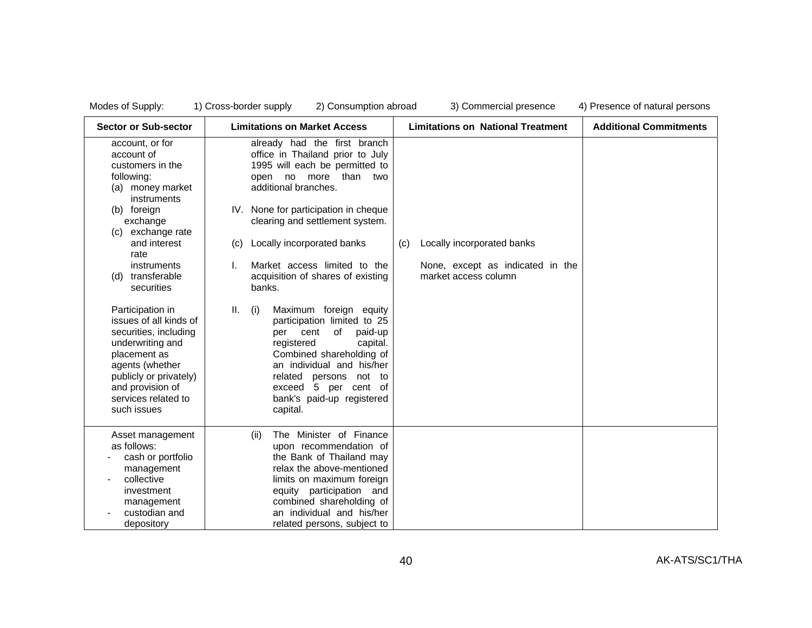| <b>Sector or Sub-sector</b>                                                                                                                                                                                                                                                                                                                                                                                                                         | <b>Limitations on Market Access</b>                                                                                                                                                                                                                                                                                                                                                                                                                                                                                                                                                                                                             | <b>Limitations on National Treatment</b>                                                      | <b>Additional Commitments</b> |
|-----------------------------------------------------------------------------------------------------------------------------------------------------------------------------------------------------------------------------------------------------------------------------------------------------------------------------------------------------------------------------------------------------------------------------------------------------|-------------------------------------------------------------------------------------------------------------------------------------------------------------------------------------------------------------------------------------------------------------------------------------------------------------------------------------------------------------------------------------------------------------------------------------------------------------------------------------------------------------------------------------------------------------------------------------------------------------------------------------------------|-----------------------------------------------------------------------------------------------|-------------------------------|
| account, or for<br>account of<br>customers in the<br>following:<br>money market<br>(a)<br>instruments<br>(b) foreign<br>exchange<br>(c) exchange rate<br>and interest<br>rate<br>instruments<br>transferable<br>(d)<br>securities<br>Participation in<br>issues of all kinds of<br>securities, including<br>underwriting and<br>placement as<br>agents (whether<br>publicly or privately)<br>and provision of<br>services related to<br>such issues | already had the first branch<br>office in Thailand prior to July<br>1995 will each be permitted to<br>open no more<br>than<br>two<br>additional branches.<br>IV. None for participation in cheque<br>clearing and settlement system.<br>Locally incorporated banks<br>(c)<br>Market access limited to the<br>acquisition of shares of existing<br>banks.<br>Maximum foreign equity<br>Ш.<br>(i)<br>participation limited to 25<br>of<br>paid-up<br>per<br>cent<br>registered<br>capital.<br>Combined shareholding of<br>an individual and his/her<br>related<br>persons not to<br>exceed 5 per cent of<br>bank's paid-up registered<br>capital. | Locally incorporated banks<br>(C)<br>None, except as indicated in the<br>market access column |                               |
| Asset management<br>as follows:<br>cash or portfolio<br>management<br>collective<br>investment<br>management                                                                                                                                                                                                                                                                                                                                        | The Minister of Finance<br>(ii)<br>upon recommendation of<br>the Bank of Thailand may<br>relax the above-mentioned<br>limits on maximum foreign<br>equity participation and<br>combined shareholding of                                                                                                                                                                                                                                                                                                                                                                                                                                         |                                                                                               |                               |
| custodian and<br>depository                                                                                                                                                                                                                                                                                                                                                                                                                         | an individual and his/her<br>related persons, subject to                                                                                                                                                                                                                                                                                                                                                                                                                                                                                                                                                                                        |                                                                                               |                               |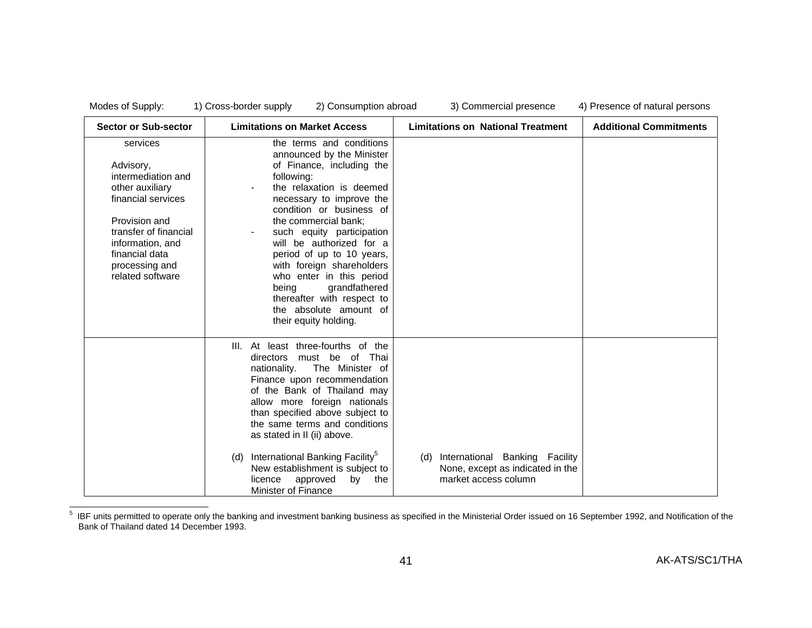| Sector or Sub-sector                                                                                                                                                                                       | <b>Limitations on Market Access</b>                                                                                                                                                                                                                                                                                                                                                                                                                                    | <b>Limitations on National Treatment</b>                                                          | <b>Additional Commitments</b> |
|------------------------------------------------------------------------------------------------------------------------------------------------------------------------------------------------------------|------------------------------------------------------------------------------------------------------------------------------------------------------------------------------------------------------------------------------------------------------------------------------------------------------------------------------------------------------------------------------------------------------------------------------------------------------------------------|---------------------------------------------------------------------------------------------------|-------------------------------|
| services<br>Advisory,<br>intermediation and<br>other auxiliary<br>financial services<br>Provision and<br>transfer of financial<br>information, and<br>financial data<br>processing and<br>related software | the terms and conditions<br>announced by the Minister<br>of Finance, including the<br>following:<br>the relaxation is deemed<br>necessary to improve the<br>condition or business of<br>the commercial bank;<br>such equity participation<br>will be authorized for a<br>period of up to 10 years,<br>with foreign shareholders<br>who enter in this period<br>grandfathered<br>being<br>thereafter with respect to<br>the absolute amount of<br>their equity holding. |                                                                                                   |                               |
|                                                                                                                                                                                                            | III. At least three-fourths of the<br>directors must be of Thai<br>nationality.<br>The Minister of<br>Finance upon recommendation<br>of the Bank of Thailand may<br>allow more foreign nationals<br>than specified above subject to<br>the same terms and conditions<br>as stated in II (ii) above.<br>International Banking Facility <sup>5</sup><br>(d)<br>New establishment is subject to<br>licence<br>approved<br>by<br>the<br>Minister of Finance                | International Banking Facility<br>(d)<br>None, except as indicated in the<br>market access column |                               |

 $<sup>5</sup>$  IBF units permitted to operate only the banking and investment banking business as specified in the Ministerial Order issued on 16 September 1992, and Notification of the</sup> Bank of Thailand dated 14 December 1993.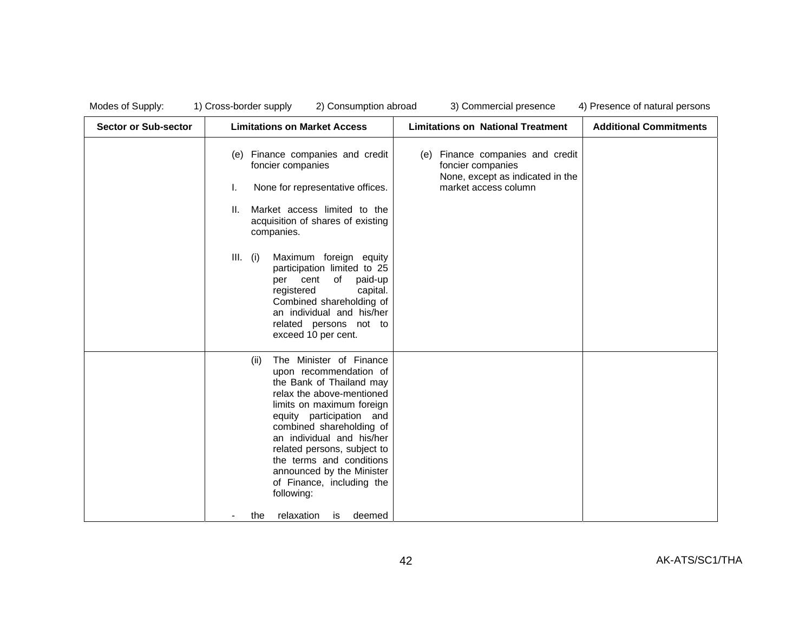| Modes of Supply:            | 1) Cross-border supply<br>2) Consumption abroad                                                                                                                                                                                                                                                                                                                                                                                      | 3) Commercial presence                                                                                               | 4) Presence of natural persons |
|-----------------------------|--------------------------------------------------------------------------------------------------------------------------------------------------------------------------------------------------------------------------------------------------------------------------------------------------------------------------------------------------------------------------------------------------------------------------------------|----------------------------------------------------------------------------------------------------------------------|--------------------------------|
| <b>Sector or Sub-sector</b> | <b>Limitations on Market Access</b>                                                                                                                                                                                                                                                                                                                                                                                                  | <b>Limitations on National Treatment</b>                                                                             | <b>Additional Commitments</b>  |
|                             | Finance companies and credit<br>(e)<br>foncier companies<br>None for representative offices.<br>Ι.<br>Market access limited to the<br>II.<br>acquisition of shares of existing<br>companies.<br>Maximum foreign equity<br>$III.$ (i)<br>participation limited to 25<br>of<br>paid-up<br>per cent<br>registered<br>capital.<br>Combined shareholding of<br>an individual and his/her<br>related persons not to<br>exceed 10 per cent. | Finance companies and credit<br>(e)<br>foncier companies<br>None, except as indicated in the<br>market access column |                                |
|                             | The Minister of Finance<br>(ii)<br>upon recommendation of<br>the Bank of Thailand may<br>relax the above-mentioned<br>limits on maximum foreign<br>equity participation and<br>combined shareholding of<br>an individual and his/her<br>related persons, subject to<br>the terms and conditions<br>announced by the Minister<br>of Finance, including the<br>following:<br>relaxation<br>the<br>deemed<br>is                         |                                                                                                                      |                                |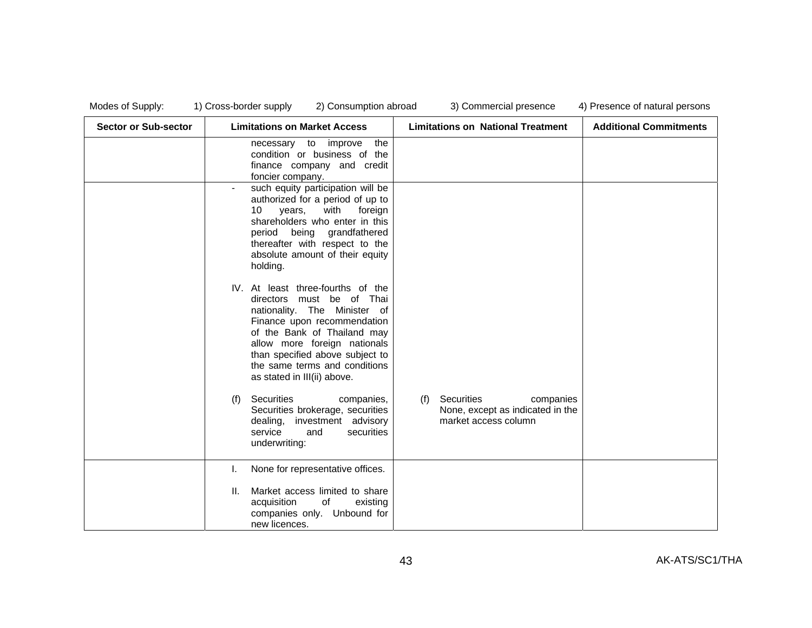| <b>Sector or Sub-sector</b> | <b>Limitations on Market Access</b>                                                                                                                                                                                                                                                             | <b>Limitations on National Treatment</b>                                                   | <b>Additional Commitments</b> |
|-----------------------------|-------------------------------------------------------------------------------------------------------------------------------------------------------------------------------------------------------------------------------------------------------------------------------------------------|--------------------------------------------------------------------------------------------|-------------------------------|
|                             | necessary to improve<br>the<br>condition or business of the<br>finance company and credit<br>foncier company.                                                                                                                                                                                   |                                                                                            |                               |
|                             | such equity participation will be<br>authorized for a period of up to<br>with<br>10<br>years,<br>foreign<br>shareholders who enter in this<br>being grandfathered<br>period<br>thereafter with respect to the<br>absolute amount of their equity<br>holding.                                    |                                                                                            |                               |
|                             | IV. At least three-fourths of the<br>directors must be of Thai<br>nationality. The Minister of<br>Finance upon recommendation<br>of the Bank of Thailand may<br>allow more foreign nationals<br>than specified above subject to<br>the same terms and conditions<br>as stated in III(ii) above. |                                                                                            |                               |
|                             | Securities<br>(f)<br>companies,<br>Securities brokerage, securities<br>dealing, investment advisory<br>service<br>securities<br>and<br>underwriting:                                                                                                                                            | Securities<br>companies<br>(f)<br>None, except as indicated in the<br>market access column |                               |
|                             | None for representative offices.                                                                                                                                                                                                                                                                |                                                                                            |                               |
|                             | Market access limited to share<br>II.<br>acquisition<br>of<br>existing<br>companies only. Unbound for<br>new licences.                                                                                                                                                                          |                                                                                            |                               |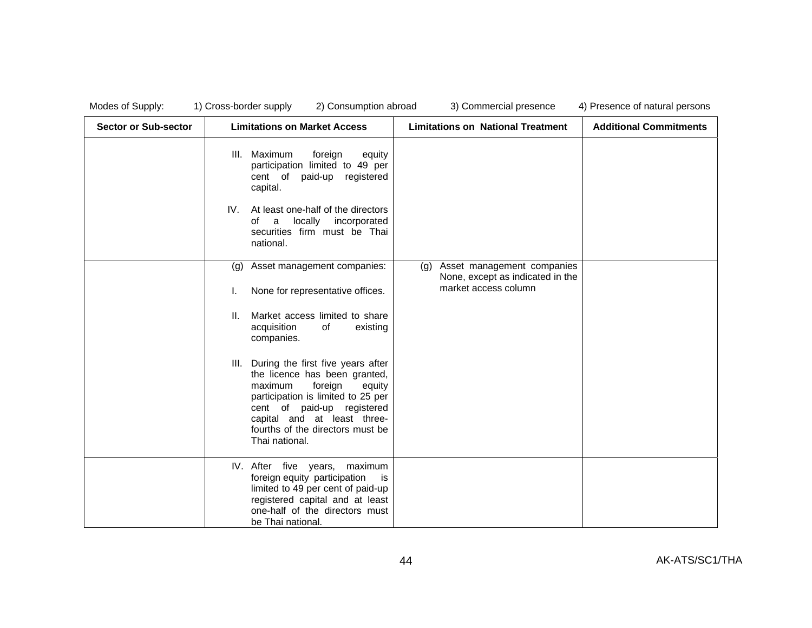| <b>Sector or Sub-sector</b> | <b>Limitations on Market Access</b>                                                                                                                                                                                                                              | <b>Limitations on National Treatment</b>                                                      | <b>Additional Commitments</b> |
|-----------------------------|------------------------------------------------------------------------------------------------------------------------------------------------------------------------------------------------------------------------------------------------------------------|-----------------------------------------------------------------------------------------------|-------------------------------|
|                             | Maximum<br>foreign<br>III.<br>equity<br>participation limited to 49 per<br>cent of paid-up<br>registered<br>capital.                                                                                                                                             |                                                                                               |                               |
|                             | IV.<br>At least one-half of the directors<br>locally<br>incorporated<br>of<br>a<br>securities firm must be Thai<br>national.                                                                                                                                     |                                                                                               |                               |
|                             | Asset management companies:<br>(g)<br>None for representative offices.<br>ı.                                                                                                                                                                                     | Asset management companies<br>(g)<br>None, except as indicated in the<br>market access column |                               |
|                             | Market access limited to share<br>II.<br>acquisition<br>of<br>existing<br>companies.                                                                                                                                                                             |                                                                                               |                               |
|                             | III. During the first five years after<br>the licence has been granted,<br>maximum<br>foreign<br>equity<br>participation is limited to 25 per<br>cent of paid-up registered<br>capital and at least three-<br>fourths of the directors must be<br>Thai national. |                                                                                               |                               |
|                             | IV. After five years, maximum<br>foreign equity participation<br>is.<br>limited to 49 per cent of paid-up<br>registered capital and at least<br>one-half of the directors must<br>be Thai national.                                                              |                                                                                               |                               |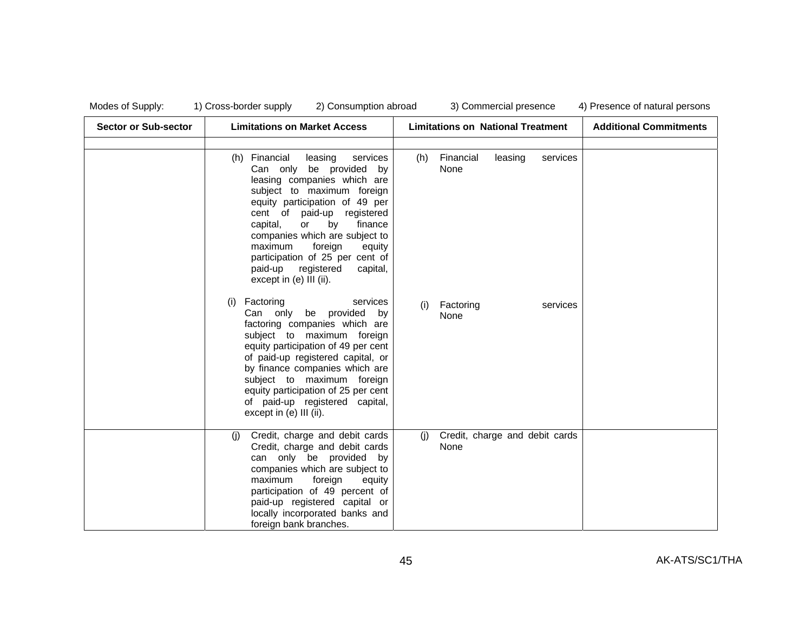| <b>Sector or Sub-sector</b> | <b>Limitations on Market Access</b>                                                                                                                                                                                                                                                                                                                                                                  | <b>Limitations on National Treatment</b>        | <b>Additional Commitments</b> |
|-----------------------------|------------------------------------------------------------------------------------------------------------------------------------------------------------------------------------------------------------------------------------------------------------------------------------------------------------------------------------------------------------------------------------------------------|-------------------------------------------------|-------------------------------|
|                             | Financial<br>leasing<br>services<br>(h)<br>Can only be provided by<br>leasing companies which are<br>subject to maximum foreign<br>equity participation of 49 per<br>cent of paid-up registered<br>by<br>capital,<br>or<br>finance<br>companies which are subject to<br>maximum<br>foreign<br>equity<br>participation of 25 per cent of<br>paid-up registered<br>capital,<br>except in (e) III (ii). | Financial<br>leasing<br>services<br>(h)<br>None |                               |
|                             | Factoring<br>(i)<br>services<br>be provided<br>Can only<br>by<br>factoring companies which are<br>subject to maximum foreign<br>equity participation of 49 per cent<br>of paid-up registered capital, or<br>by finance companies which are<br>subject to maximum foreign<br>equity participation of 25 per cent<br>of paid-up registered capital,<br>except in (e) III (ii).                         | Factoring<br>services<br>(i)<br>None            |                               |
|                             | Credit, charge and debit cards<br>(i)<br>Credit, charge and debit cards<br>can only be provided<br>by<br>companies which are subject to<br>maximum<br>foreign<br>equity<br>participation of 49 percent of<br>paid-up registered capital or<br>locally incorporated banks and<br>foreign bank branches.                                                                                               | Credit, charge and debit cards<br>(i)<br>None   |                               |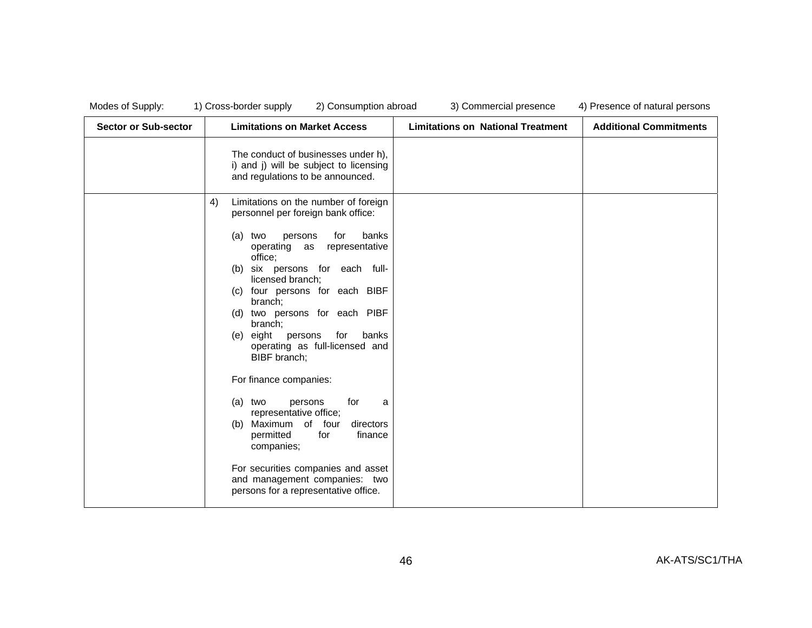| <b>Sector or Sub-sector</b> | <b>Limitations on Market Access</b>                                                                                                                                                                                                                                                                                                                                                                                                                                                                                                                                                                                                                                                                               | <b>Limitations on National Treatment</b> | <b>Additional Commitments</b> |
|-----------------------------|-------------------------------------------------------------------------------------------------------------------------------------------------------------------------------------------------------------------------------------------------------------------------------------------------------------------------------------------------------------------------------------------------------------------------------------------------------------------------------------------------------------------------------------------------------------------------------------------------------------------------------------------------------------------------------------------------------------------|------------------------------------------|-------------------------------|
|                             | The conduct of businesses under h),<br>i) and j) will be subject to licensing<br>and regulations to be announced.                                                                                                                                                                                                                                                                                                                                                                                                                                                                                                                                                                                                 |                                          |                               |
|                             | 4)<br>Limitations on the number of foreign<br>personnel per foreign bank office:<br>banks<br>two<br>persons<br>for<br>(a)<br>operating as representative<br>office;<br>six persons for each full-<br>(b)<br>licensed branch;<br>four persons for each BIBF<br>(C)<br>branch;<br>two persons for each PIBF<br>(d)<br>branch:<br>eight persons<br>for<br>banks<br>(e)<br>operating as full-licensed and<br>BIBF branch;<br>For finance companies:<br>for<br>two<br>persons<br>(a)<br>a<br>representative office;<br>Maximum of four<br>directors<br>(b)<br>permitted<br>for<br>finance<br>companies;<br>For securities companies and asset<br>and management companies: two<br>persons for a representative office. |                                          |                               |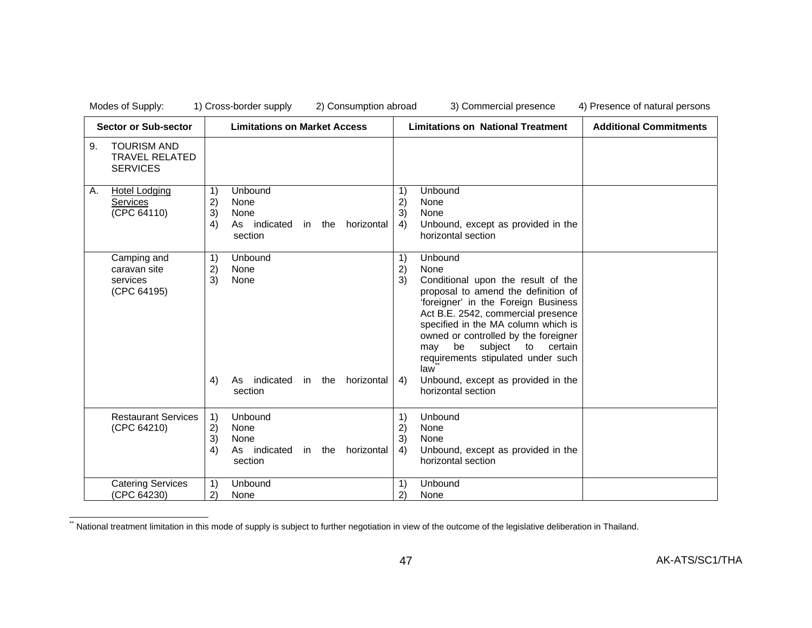Sector or Sub-sector | Limitations on Market Access | Limitations on National Treatment | Additional Commitments 9. TOURISM AND TRAVEL RELATED **SERVICES** A. Hotel Lodging Services(CPC 64110) 1) Unbound 2) None 3) None 4) As indicated in the horizontal section 1) Unbound 2) None 3) None 4) Unbound, except as provided in the horizontal section Camping and caravan site services (CPC 64195) 1) Unbound 2) None 3) None 4) As indicated in the horizontal section 1) Unbound 2) None 3) Conditional upon the result of the proposal to amend the definition of 'foreigner' in the Foreign Business Act B.E. 2542, commercial presence specified in the MA column which is owned or controlled by the foreigner may be subject to certain requirements stipulated under such law\*\* 4) Unbound, except as provided in the horizontal section Restaurant Services (CPC 64210) 1) Unbound 2) None 3) None 4) As indicated in the horizontal section 1) Unbound 2) None 3) None 4) Unbound, except as provided in the horizontal section Catering Services (CPC 64230) 1) Unbound 2) None 1) Unbound<br>2) None 2) None

National treatment limitation in this mode of supply is subject to further negotiation in view of the outcome of the legislative deliberation in Thailand.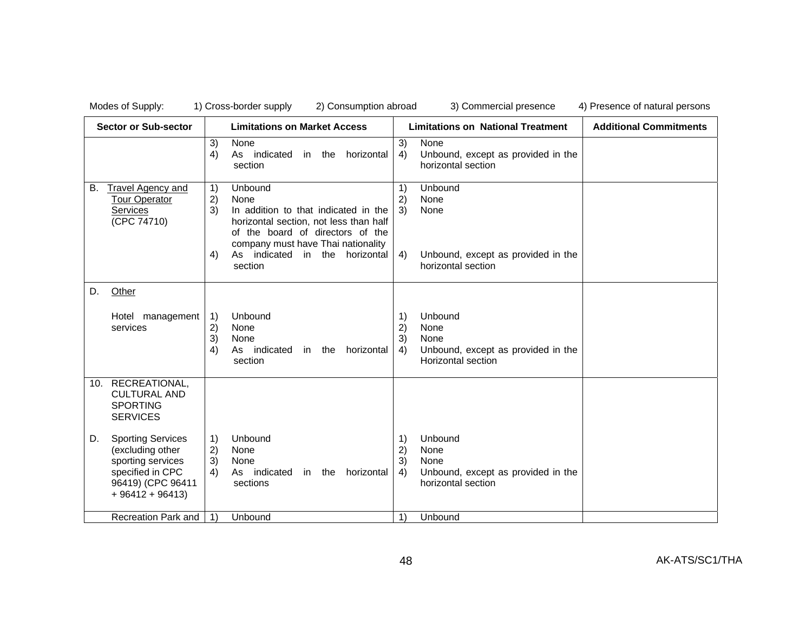| Modes of Supply:                                                                                                                     | 1) Cross-border supply<br>2) Consumption abroad                                                                                                                                                                                                        | 3) Commercial presence                                                                                                                                  | 4) Presence of natural persons |
|--------------------------------------------------------------------------------------------------------------------------------------|--------------------------------------------------------------------------------------------------------------------------------------------------------------------------------------------------------------------------------------------------------|---------------------------------------------------------------------------------------------------------------------------------------------------------|--------------------------------|
| <b>Sector or Sub-sector</b>                                                                                                          | <b>Limitations on Market Access</b>                                                                                                                                                                                                                    | <b>Limitations on National Treatment</b>                                                                                                                | <b>Additional Commitments</b>  |
|                                                                                                                                      | 3)<br>None<br>4)<br>As indicated<br>in the<br>horizontal<br>section                                                                                                                                                                                    | 3)<br><b>None</b><br>Unbound, except as provided in the<br>4)<br>horizontal section                                                                     |                                |
| <b>Travel Agency and</b><br>В.<br><b>Tour Operator</b><br><b>Services</b><br>(CPC 74710)                                             | 1)<br>Unbound<br>2)<br>None<br>3)<br>In addition to that indicated in the<br>horizontal section, not less than half<br>of the board of directors of the<br>company must have Thai nationality<br>As indicated<br>horizontal<br>in the<br>4)<br>section | Unbound<br>$\left( \begin{matrix} 1 \end{matrix} \right)$<br>2)<br>None<br>None<br>3)<br>Unbound, except as provided in the<br>4)<br>horizontal section |                                |
| D.<br>Other<br>Hotel management<br>services                                                                                          | Unbound<br>$\left( \begin{matrix} 1 \end{matrix} \right)$<br>2)<br>None<br>3)<br>None<br>4)<br>As indicated<br>horizontal<br>in the<br>section                                                                                                         | Unbound<br>1)<br>2)<br>None<br>3)<br>None<br>Unbound, except as provided in the<br>4)<br>Horizontal section                                             |                                |
| 10. RECREATIONAL,<br><b>CULTURAL AND</b><br><b>SPORTING</b><br><b>SERVICES</b>                                                       |                                                                                                                                                                                                                                                        |                                                                                                                                                         |                                |
| <b>Sporting Services</b><br>D.<br>(excluding other<br>sporting services<br>specified in CPC<br>96419) (CPC 96411<br>$+96412 + 96413$ | 1)<br>Unbound<br>2)<br>None<br>3)<br>None<br>4)<br>As indicated<br>in the<br>horizontal<br>sections                                                                                                                                                    | Unbound<br>1)<br>2)<br>None<br>3)<br>None<br>Unbound, except as provided in the<br>4)<br>horizontal section                                             |                                |
| Recreation Park and                                                                                                                  | Unbound<br>1)                                                                                                                                                                                                                                          | Unbound<br>1)                                                                                                                                           |                                |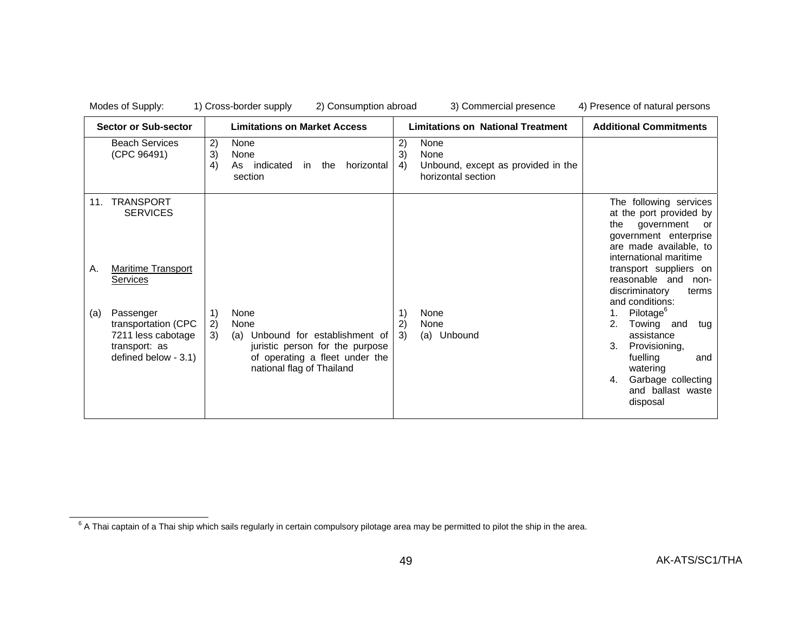| <b>Sector or Sub-sector</b>                                                                                                                                                                                |                       | <b>Limitations on Market Access</b>                                                                                                            |                | <b>Limitations on National Treatment</b>                                 |                             | <b>Additional Commitments</b>                                                                                                                                                                                                                                                                                                                                                                                              |
|------------------------------------------------------------------------------------------------------------------------------------------------------------------------------------------------------------|-----------------------|------------------------------------------------------------------------------------------------------------------------------------------------|----------------|--------------------------------------------------------------------------|-----------------------------|----------------------------------------------------------------------------------------------------------------------------------------------------------------------------------------------------------------------------------------------------------------------------------------------------------------------------------------------------------------------------------------------------------------------------|
| <b>Beach Services</b><br>(CPC 96491)                                                                                                                                                                       | 2)<br>3)<br>4)<br>As  | None<br>None<br>indicated<br>horizontal<br>the<br>in l<br>section                                                                              | 2)<br>3)<br>4) | None<br>None<br>Unbound, except as provided in the<br>horizontal section |                             |                                                                                                                                                                                                                                                                                                                                                                                                                            |
| <b>TRANSPORT</b><br>11.<br><b>SERVICES</b><br><b>Maritime Transport</b><br>Α.<br><b>Services</b><br>Passenger<br>(a)<br>transportation (CPC<br>7211 less cabotage<br>transport: as<br>defined below - 3.1) | 1)<br>2)<br>3)<br>(a) | None<br>None<br>Unbound for establishment of<br>juristic person for the purpose<br>of operating a fleet under the<br>national flag of Thailand | 1)<br>2)<br>3) | None<br>None<br>(a) Unbound                                              | the<br>1.<br>2.<br>3.<br>4. | The following services<br>at the port provided by<br>government<br>or<br>government enterprise<br>are made available, to<br>international maritime<br>transport suppliers on<br>reasonable and<br>non-<br>discriminatory<br>terms<br>and conditions:<br>Pilotage <sup>o</sup><br>Towing<br>and<br>tua<br>assistance<br>Provisioning,<br>fuelling<br>and<br>watering<br>Garbage collecting<br>and ballast waste<br>disposal |

 $6$  A Thai captain of a Thai ship which sails regularly in certain compulsory pilotage area may be permitted to pilot the ship in the area.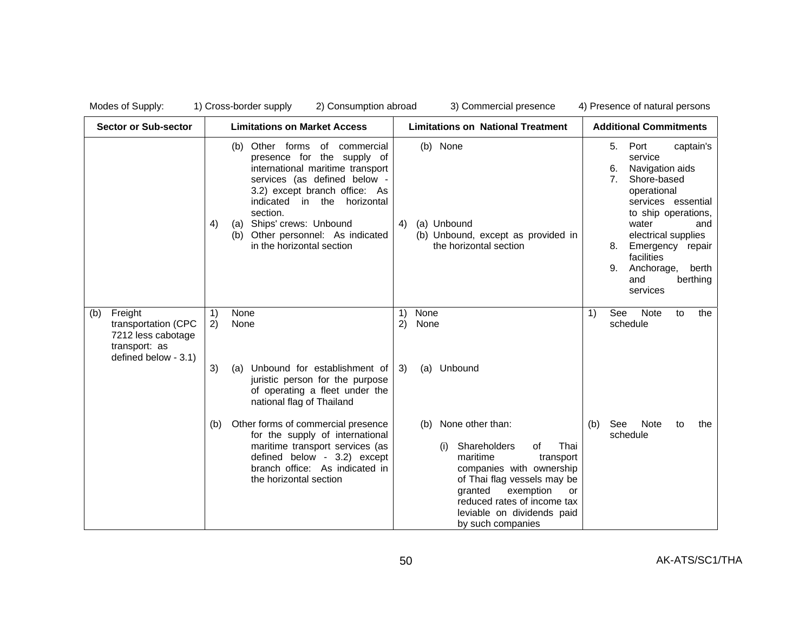| <b>Sector or Sub-sector</b>                                                                          | <b>Limitations on Market Access</b>                                                                                                                                                                                                                                                                                       | <b>Limitations on National Treatment</b>                                                                                                                                                                                                                         | <b>Additional Commitments</b>                                                                                                                                                                                                                                                                          |
|------------------------------------------------------------------------------------------------------|---------------------------------------------------------------------------------------------------------------------------------------------------------------------------------------------------------------------------------------------------------------------------------------------------------------------------|------------------------------------------------------------------------------------------------------------------------------------------------------------------------------------------------------------------------------------------------------------------|--------------------------------------------------------------------------------------------------------------------------------------------------------------------------------------------------------------------------------------------------------------------------------------------------------|
|                                                                                                      | Other forms of commercial<br>(b)<br>presence for the supply of<br>international maritime transport<br>services (as defined below -<br>3.2) except branch office: As<br>indicated in the horizontal<br>section.<br>Ships' crews: Unbound<br>4)<br>(a)<br>Other personnel: As indicated<br>(b)<br>in the horizontal section | (b) None<br>(a) Unbound<br>4)<br>(b) Unbound, except as provided in<br>the horizontal section                                                                                                                                                                    | Port<br>5.<br>captain's<br>service<br>Navigation aids<br>6.<br>7 <sub>1</sub><br>Shore-based<br>operational<br>services essential<br>to ship operations,<br>water<br>and<br>electrical supplies<br>Emergency<br>8.<br>repair<br>facilities<br>Anchorage,<br>9.<br>berth<br>berthing<br>and<br>services |
| Freight<br>(b)<br>transportation (CPC<br>7212 less cabotage<br>transport: as<br>defined below - 3.1) | None<br>1)<br>2)<br>None                                                                                                                                                                                                                                                                                                  | 1)<br>None<br>2)<br>None                                                                                                                                                                                                                                         | <b>Note</b><br>See<br>1)<br>to<br>the<br>schedule                                                                                                                                                                                                                                                      |
|                                                                                                      | 3)<br>Unbound for establishment of<br>(a)<br>juristic person for the purpose<br>of operating a fleet under the<br>national flag of Thailand                                                                                                                                                                               | (a) Unbound<br>3)                                                                                                                                                                                                                                                |                                                                                                                                                                                                                                                                                                        |
|                                                                                                      | Other forms of commercial presence<br>(b)<br>for the supply of international<br>maritime transport services (as<br>defined below - 3.2) except<br>branch office: As indicated in<br>the horizontal section                                                                                                                | None other than:<br>(b)<br>Shareholders<br>Thai<br>οf<br>(i)<br>maritime<br>transport<br>companies with ownership<br>of Thai flag vessels may be<br>granted<br>exemption<br>or<br>reduced rates of income tax<br>leviable on dividends paid<br>by such companies | See<br>Note<br>(b)<br>to<br>the<br>schedule                                                                                                                                                                                                                                                            |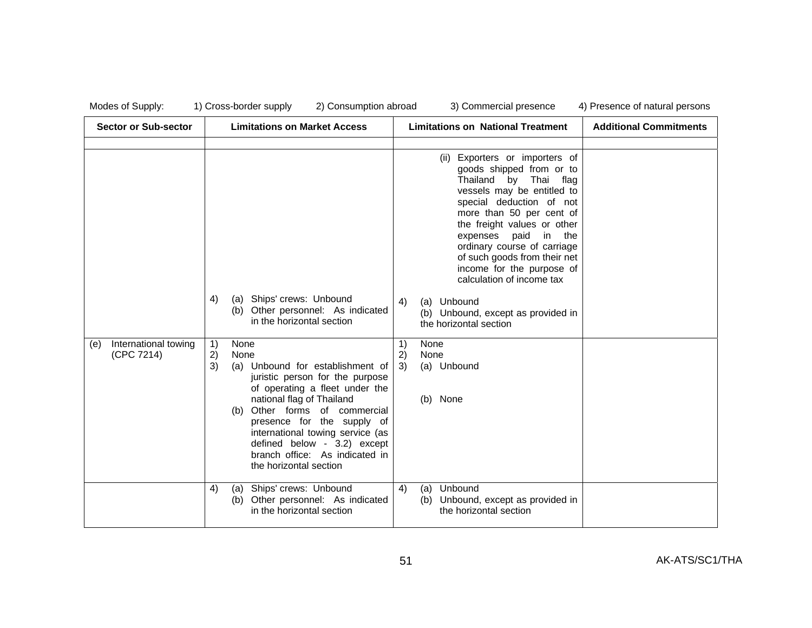| Sector or Sub-sector                      | <b>Limitations on Market Access</b>                                                                                                                                                                                                                                                                                                                                      | <b>Limitations on National Treatment</b>                                                                                                                                                                                                                                                                                                                                                                                                             | <b>Additional Commitments</b> |
|-------------------------------------------|--------------------------------------------------------------------------------------------------------------------------------------------------------------------------------------------------------------------------------------------------------------------------------------------------------------------------------------------------------------------------|------------------------------------------------------------------------------------------------------------------------------------------------------------------------------------------------------------------------------------------------------------------------------------------------------------------------------------------------------------------------------------------------------------------------------------------------------|-------------------------------|
|                                           | Ships' crews: Unbound<br>4)<br>(a)<br>Other personnel: As indicated<br>(b)<br>in the horizontal section                                                                                                                                                                                                                                                                  | (ii) Exporters or importers of<br>goods shipped from or to<br>Thailand<br>by Thai flag<br>vessels may be entitled to<br>special deduction of not<br>more than 50 per cent of<br>the freight values or other<br>expenses paid<br>in the<br>ordinary course of carriage<br>of such goods from their net<br>income for the purpose of<br>calculation of income tax<br>(a) Unbound<br>4)<br>(b) Unbound, except as provided in<br>the horizontal section |                               |
| International towing<br>(e)<br>(CPC 7214) | 1)<br>None<br>2)<br>None<br>3)<br>Unbound for establishment of<br>(a)<br>juristic person for the purpose<br>of operating a fleet under the<br>national flag of Thailand<br>Other forms of commercial<br>(b)<br>presence for the supply of<br>international towing service (as<br>defined below - 3.2) except<br>branch office: As indicated in<br>the horizontal section | 1)<br>None<br>2)<br>None<br>(a) Unbound<br>3)<br>(b) None                                                                                                                                                                                                                                                                                                                                                                                            |                               |
|                                           | Ships' crews: Unbound<br>4)<br>(a)<br>Other personnel: As indicated<br>(b)<br>in the horizontal section                                                                                                                                                                                                                                                                  | Unbound<br>4)<br>(a)<br>Unbound, except as provided in<br>(b)<br>the horizontal section                                                                                                                                                                                                                                                                                                                                                              |                               |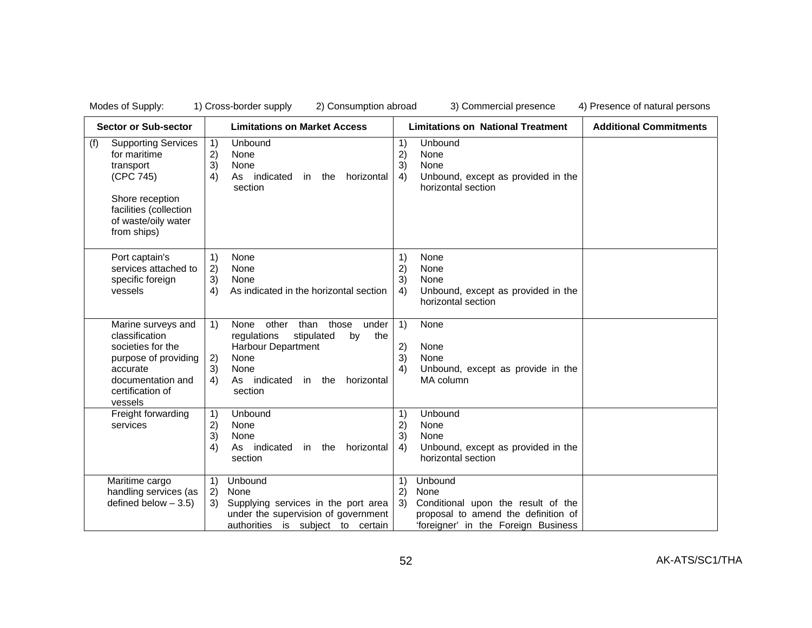| <b>Sector or Sub-sector</b>                                                                                                                                    | <b>Limitations on Market Access</b>                                                                                                                                                                                                                | <b>Limitations on National Treatment</b>                                                                                                                        | <b>Additional Commitments</b> |
|----------------------------------------------------------------------------------------------------------------------------------------------------------------|----------------------------------------------------------------------------------------------------------------------------------------------------------------------------------------------------------------------------------------------------|-----------------------------------------------------------------------------------------------------------------------------------------------------------------|-------------------------------|
| <b>Supporting Services</b><br>(f)<br>for maritime<br>transport<br>(CPC 745)<br>Shore reception<br>facilities (collection<br>of waste/oily water<br>from ships) | Unbound<br>1)<br>2)<br>None<br>3)<br>None<br>4)<br>As indicated<br>horizontal<br>in<br>the<br>section                                                                                                                                              | Unbound<br>1)<br>2)<br>None<br>3)<br>None<br>Unbound, except as provided in the<br>4)<br>horizontal section                                                     |                               |
| Port captain's<br>services attached to<br>specific foreign<br>vessels                                                                                          | 1)<br>None<br>2)<br>None<br>3)<br>None<br>As indicated in the horizontal section<br>4)                                                                                                                                                             | 1)<br>None<br>2)<br>None<br>3)<br>None<br>Unbound, except as provided in the<br>4)<br>horizontal section                                                        |                               |
| Marine surveys and<br>classification<br>societies for the<br>purpose of providing<br>accurate<br>documentation and<br>certification of<br>vessels              | other than<br>those<br>under<br>$\left( \begin{matrix} 1 \end{matrix} \right)$<br>None<br>stipulated<br>the<br>regulations<br>by<br><b>Harbour Department</b><br>None<br>2)<br>3)<br>None<br>4)<br>As indicated<br>horizontal<br>in the<br>section | 1)<br>None<br>2)<br>None<br>3)<br>None<br>4)<br>Unbound, except as provide in the<br>MA column                                                                  |                               |
| Freight forwarding<br>services                                                                                                                                 | Unbound<br>1)<br>2)<br>None<br>3)<br>None<br>As indicated<br>4)<br>horizontal<br>in the<br>section                                                                                                                                                 | Unbound<br>$\left( \begin{matrix} 1 \end{matrix} \right)$<br>2)<br>None<br>3)<br>None<br>Unbound, except as provided in the<br>4)<br>horizontal section         |                               |
| Maritime cargo<br>handling services (as<br>defined below $-3.5$ )                                                                                              | Unbound<br>1)<br>None<br>2)<br>Supplying services in the port area<br>3)<br>under the supervision of government<br>authorities is subject to certain                                                                                               | Unbound<br>1)<br>$\mathbf{2}$<br>None<br>3)<br>Conditional upon the result of the<br>proposal to amend the definition of<br>'foreigner' in the Foreign Business |                               |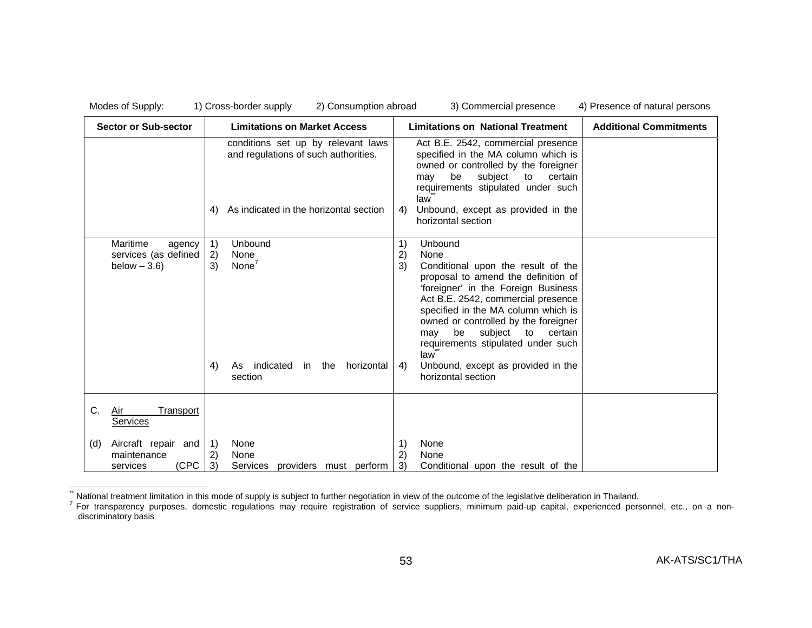| Sector or Sub-sector                                          | <b>Limitations on Market Access</b>                                                                                        | <b>Limitations on National Treatment</b>                                                                                                                                                                                                                                                                                                                                                                                     | <b>Additional Commitments</b> |
|---------------------------------------------------------------|----------------------------------------------------------------------------------------------------------------------------|------------------------------------------------------------------------------------------------------------------------------------------------------------------------------------------------------------------------------------------------------------------------------------------------------------------------------------------------------------------------------------------------------------------------------|-------------------------------|
|                                                               | conditions set up by relevant laws<br>and regulations of such authorities.<br>As indicated in the horizontal section<br>4) | Act B.E. 2542, commercial presence<br>specified in the MA column which is<br>owned or controlled by the foreigner<br>be<br>subject<br>certain<br>to<br>may<br>requirements stipulated under such<br>law<br>Unbound, except as provided in the<br>4)<br>horizontal section                                                                                                                                                    |                               |
| Maritime<br>agency<br>services (as defined<br>below $-3.6$ )  | 1)<br>Unbound<br>2)<br>None<br>None $7$<br>3)<br>4)<br>indicated<br>horizontal<br>in the<br>As<br>section                  | 1)<br>Unbound<br>2)<br>None<br>3)<br>Conditional upon the result of the<br>proposal to amend the definition of<br>'foreigner' in the Foreign Business<br>Act B.E. 2542, commercial presence<br>specified in the MA column which is<br>owned or controlled by the foreigner<br>be subject to<br>certain<br>may<br>requirements stipulated under such<br>law<br>Unbound, except as provided in the<br>4)<br>horizontal section |                               |
| C.<br><b>Transport</b><br>Air<br>Services                     |                                                                                                                            |                                                                                                                                                                                                                                                                                                                                                                                                                              |                               |
| Aircraft repair and<br>(d)<br>maintenance<br>(CPC<br>services | None<br>-1)<br>2)<br>None<br>3)<br>Services providers must perform                                                         | None<br>1)<br>2)<br>None<br>3)<br>Conditional upon the result of the                                                                                                                                                                                                                                                                                                                                                         |                               |

<sup>&</sup>quot; National treatment limitation in this mode of supply is subject to further negotiation in view of the outcome of the legislative deliberation in Thailand.<br><sup>7</sup> For transparency purposes, domestic regulations may require r discriminatory basis \*\*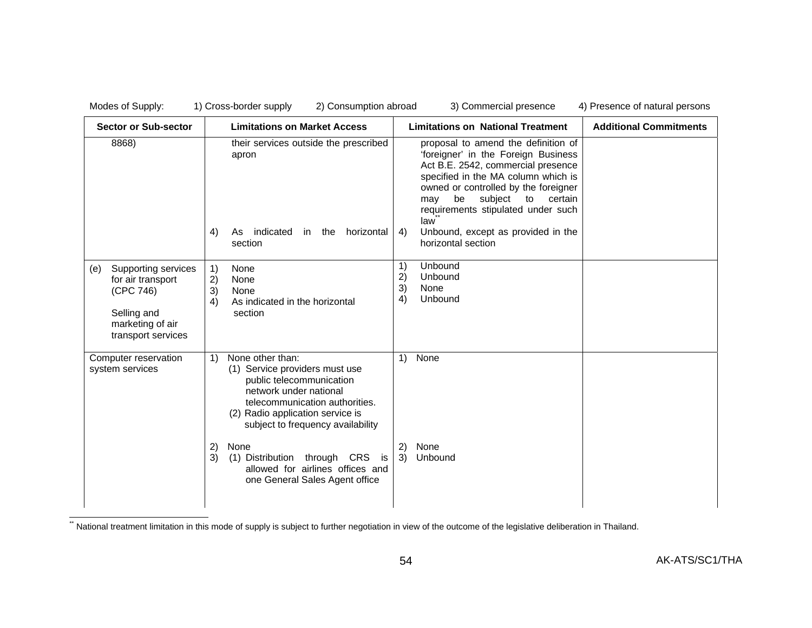| Modes of Supply:                                                                                                      | 1) Cross-border supply<br>2) Consumption abroad                                                                                                                                                                                                                       | 3) Commercial presence                                                                                                                                                                                                                                                                                                                                  | 4) Presence of natural persons |
|-----------------------------------------------------------------------------------------------------------------------|-----------------------------------------------------------------------------------------------------------------------------------------------------------------------------------------------------------------------------------------------------------------------|---------------------------------------------------------------------------------------------------------------------------------------------------------------------------------------------------------------------------------------------------------------------------------------------------------------------------------------------------------|--------------------------------|
| <b>Sector or Sub-sector</b>                                                                                           | <b>Limitations on Market Access</b>                                                                                                                                                                                                                                   | <b>Limitations on National Treatment</b>                                                                                                                                                                                                                                                                                                                | <b>Additional Commitments</b>  |
| 8868)                                                                                                                 | their services outside the prescribed<br>apron<br>indicated<br>4)<br>horizontal<br>in the<br>As<br>section                                                                                                                                                            | proposal to amend the definition of<br>'foreigner' in the Foreign Business<br>Act B.E. 2542, commercial presence<br>specified in the MA column which is<br>owned or controlled by the foreigner<br>be<br>subject<br>to<br>certain<br>may<br>requirements stipulated under such<br>law<br>Unbound, except as provided in the<br>4)<br>horizontal section |                                |
| Supporting services<br>(e)<br>for air transport<br>(CPC 746)<br>Selling and<br>marketing of air<br>transport services | 1)<br>None<br>2)<br>None<br>3)<br>None<br>4)<br>As indicated in the horizontal<br>section                                                                                                                                                                             | Unbound<br>1)<br>Unbound<br>2)<br>3)<br>None<br>Unbound<br>4)                                                                                                                                                                                                                                                                                           |                                |
| Computer reservation<br>system services                                                                               | None other than:<br>$\left( \begin{matrix} 1 \end{matrix} \right)$<br>(1) Service providers must use<br>public telecommunication<br>network under national<br>telecommunication authorities.<br>(2) Radio application service is<br>subject to frequency availability | None<br>1)                                                                                                                                                                                                                                                                                                                                              |                                |
|                                                                                                                       | 2)<br>None<br>3)<br>(1) Distribution<br>through CRS<br>is<br>allowed for airlines offices and<br>one General Sales Agent office                                                                                                                                       | 2)<br>None<br>3)<br>Unbound                                                                                                                                                                                                                                                                                                                             |                                |

\*\* National treatment limitation in this mode of supply is subject to further negotiation in view of the outcome of the legislative deliberation in Thailand.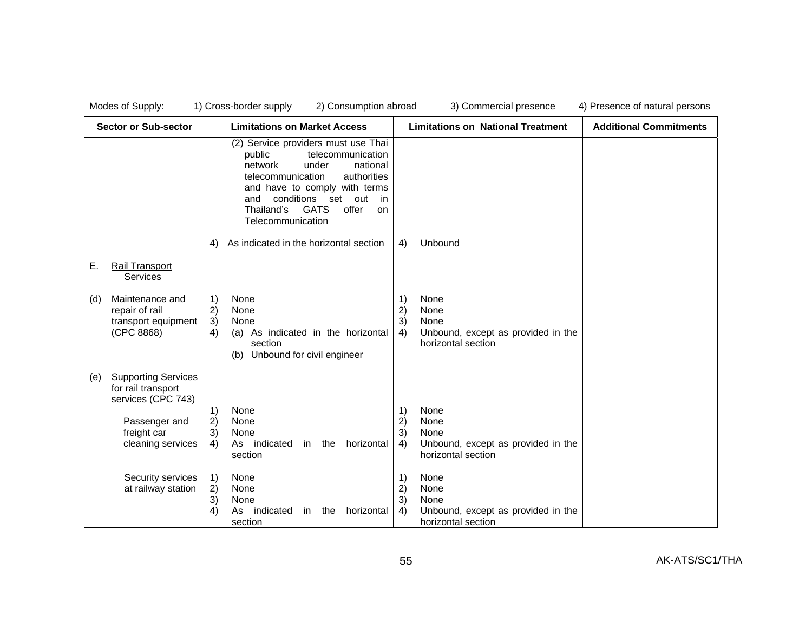| <b>Sector or Sub-sector</b>                                                                                                        | <b>Limitations on Market Access</b>                                                                                                                                                                                                                                            | <b>Limitations on National Treatment</b>                                                                 | <b>Additional Commitments</b> |
|------------------------------------------------------------------------------------------------------------------------------------|--------------------------------------------------------------------------------------------------------------------------------------------------------------------------------------------------------------------------------------------------------------------------------|----------------------------------------------------------------------------------------------------------|-------------------------------|
|                                                                                                                                    | (2) Service providers must use Thai<br>telecommunication<br>public<br>network<br>under<br>national<br>telecommunication<br>authorities<br>and have to comply with terms<br>conditions<br>and<br>set out<br>in<br>Thailand's<br><b>GATS</b><br>offer<br>on<br>Telecommunication |                                                                                                          |                               |
|                                                                                                                                    | As indicated in the horizontal section<br>4)                                                                                                                                                                                                                                   | 4)<br>Unbound                                                                                            |                               |
| Ε.<br>Rail Transport<br><b>Services</b>                                                                                            |                                                                                                                                                                                                                                                                                |                                                                                                          |                               |
| Maintenance and<br>(d)<br>repair of rail<br>transport equipment<br>(CPC 8868)                                                      | 1)<br>None<br>2)<br>None<br>3)<br>None<br>As indicated in the horizontal<br>4)<br>(a)<br>section<br>Unbound for civil engineer<br>(b)                                                                                                                                          | None<br>1)<br>2)<br>None<br>3)<br>None<br>Unbound, except as provided in the<br>4)<br>horizontal section |                               |
| <b>Supporting Services</b><br>(e)<br>for rail transport<br>services (CPC 743)<br>Passenger and<br>freight car<br>cleaning services | 1)<br>None<br>2)<br>None<br>3)<br>None<br>4)<br>As indicated<br>horizontal<br>in the<br>section                                                                                                                                                                                | None<br>1)<br>2)<br>None<br>3)<br>None<br>Unbound, except as provided in the<br>4)<br>horizontal section |                               |
| Security services<br>at railway station                                                                                            | 1)<br>None<br>2)<br>None<br>3)<br>None<br>4)<br>indicated<br>in the<br>horizontal<br>As<br>section                                                                                                                                                                             | 1)<br>None<br>2)<br>None<br>3)<br>None<br>4)<br>Unbound, except as provided in the<br>horizontal section |                               |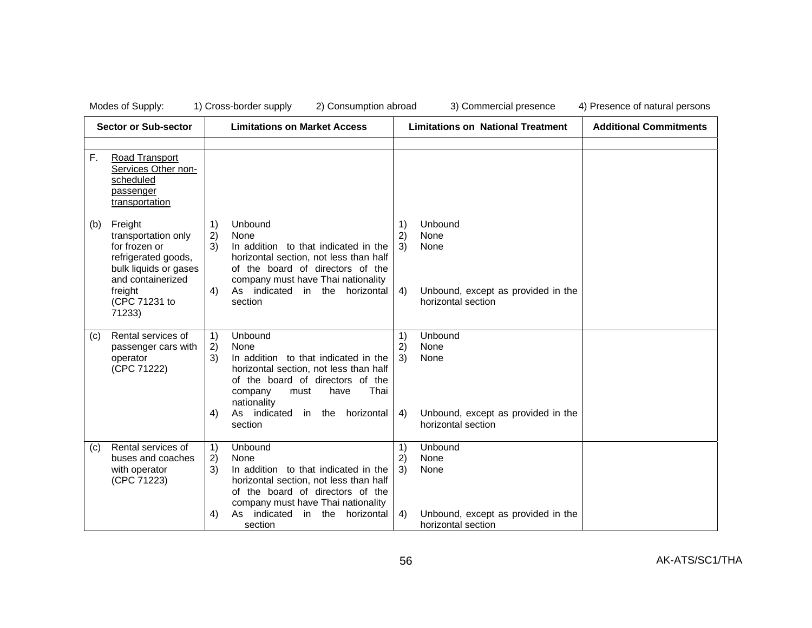| <b>Sector or Sub-sector</b> |                                                                                                                                 | <b>Limitations on Market Access</b> |                                                                                                                                                                                                               | <b>Limitations on National Treatment</b> |                                                               | <b>Additional Commitments</b> |
|-----------------------------|---------------------------------------------------------------------------------------------------------------------------------|-------------------------------------|---------------------------------------------------------------------------------------------------------------------------------------------------------------------------------------------------------------|------------------------------------------|---------------------------------------------------------------|-------------------------------|
|                             |                                                                                                                                 |                                     |                                                                                                                                                                                                               |                                          |                                                               |                               |
| F.                          | Road Transport<br>Services Other non-<br>scheduled<br>passenger<br>transportation                                               |                                     |                                                                                                                                                                                                               |                                          |                                                               |                               |
| (b)                         | Freight<br>transportation only<br>for frozen or<br>refrigerated goods,<br>bulk liquids or gases<br>and containerized<br>freight | 1)<br>2)<br>3)<br>4)                | Unbound<br>None<br>In addition to that indicated in the<br>horizontal section, not less than half<br>of the board of directors of the<br>company must have Thai nationality<br>As indicated in the horizontal | 1)<br>2)<br>3)<br>4)                     | Unbound<br>None<br>None<br>Unbound, except as provided in the |                               |
|                             | (CPC 71231 to<br>71233)                                                                                                         |                                     | section                                                                                                                                                                                                       |                                          | horizontal section                                            |                               |
| (c)                         | Rental services of<br>passenger cars with<br>operator<br>(CPC 71222)                                                            | 1)<br>2)<br>3)                      | Unbound<br>None<br>In addition to that indicated in the<br>horizontal section, not less than half<br>of the board of directors of the<br>Thai<br>have<br>company<br>must<br>nationality                       | 1)<br>2)<br>3)                           | Unbound<br>None<br>None                                       |                               |
|                             |                                                                                                                                 | 4)                                  | As indicated<br>in the<br>horizontal<br>section                                                                                                                                                               | 4)                                       | Unbound, except as provided in the<br>horizontal section      |                               |
| (c)                         | Rental services of<br>buses and coaches<br>with operator<br>(CPC 71223)                                                         | 1)<br>2)<br>3)                      | Unbound<br>None<br>In addition to that indicated in the<br>horizontal section, not less than half<br>of the board of directors of the<br>company must have Thai nationality                                   | 1)<br>2)<br>3)                           | Unbound<br>None<br>None                                       |                               |
|                             |                                                                                                                                 | 4)                                  | As indicated<br>in the horizontal<br>section                                                                                                                                                                  | 4)                                       | Unbound, except as provided in the<br>horizontal section      |                               |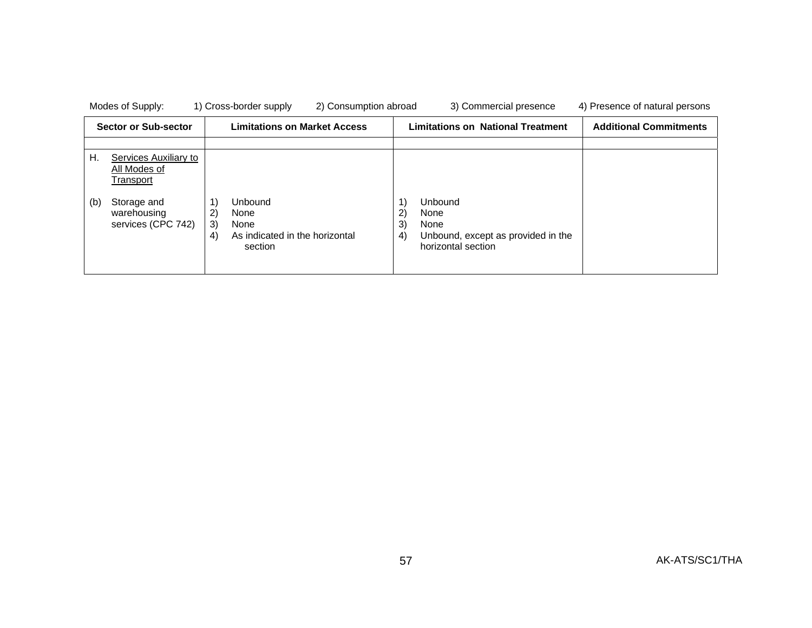| Modes of Supply:                                         | 1) Cross-border supply<br>2) Consumption abroad                                               | 3) Commercial presence                                                                                          | 4) Presence of natural persons |
|----------------------------------------------------------|-----------------------------------------------------------------------------------------------|-----------------------------------------------------------------------------------------------------------------|--------------------------------|
| <b>Sector or Sub-sector</b>                              | <b>Limitations on Market Access</b>                                                           | <b>Limitations on National Treatment</b>                                                                        | <b>Additional Commitments</b>  |
|                                                          |                                                                                               |                                                                                                                 |                                |
| Η.<br>Services Auxiliary to<br>All Modes of<br>Transport |                                                                                               |                                                                                                                 |                                |
| (b)<br>Storage and<br>warehousing<br>services (CPC 742)  | <b>Unbound</b><br>2)<br>None<br>3)<br>None<br>As indicated in the horizontal<br>4)<br>section | Unbound<br>$\mathbf{2}$<br>None<br>3)<br>None<br>4)<br>Unbound, except as provided in the<br>horizontal section |                                |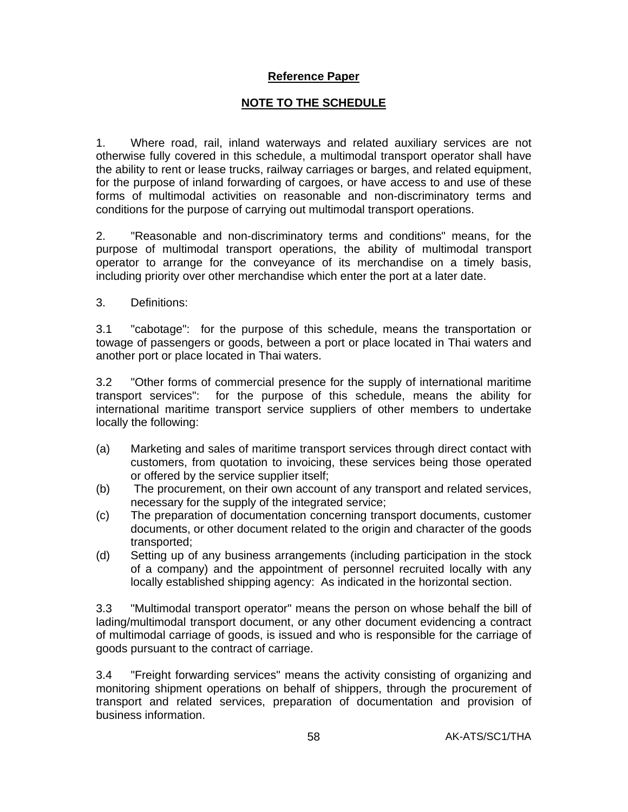# **Reference Paper**

# **NOTE TO THE SCHEDULE**

1. Where road, rail, inland waterways and related auxiliary services are not otherwise fully covered in this schedule, a multimodal transport operator shall have the ability to rent or lease trucks, railway carriages or barges, and related equipment, for the purpose of inland forwarding of cargoes, or have access to and use of these forms of multimodal activities on reasonable and non-discriminatory terms and conditions for the purpose of carrying out multimodal transport operations.

2. "Reasonable and non-discriminatory terms and conditions" means, for the purpose of multimodal transport operations, the ability of multimodal transport operator to arrange for the conveyance of its merchandise on a timely basis, including priority over other merchandise which enter the port at a later date.

3. Definitions:

3.1 "cabotage": for the purpose of this schedule, means the transportation or towage of passengers or goods, between a port or place located in Thai waters and another port or place located in Thai waters.

3.2 "Other forms of commercial presence for the supply of international maritime transport services": for the purpose of this schedule, means the ability for international maritime transport service suppliers of other members to undertake locally the following:

- (a) Marketing and sales of maritime transport services through direct contact with customers, from quotation to invoicing, these services being those operated or offered by the service supplier itself;
- (b) The procurement, on their own account of any transport and related services, necessary for the supply of the integrated service;
- (c) The preparation of documentation concerning transport documents, customer documents, or other document related to the origin and character of the goods transported;
- (d) Setting up of any business arrangements (including participation in the stock of a company) and the appointment of personnel recruited locally with any locally established shipping agency: As indicated in the horizontal section.

3.3 "Multimodal transport operator" means the person on whose behalf the bill of lading/multimodal transport document, or any other document evidencing a contract of multimodal carriage of goods, is issued and who is responsible for the carriage of goods pursuant to the contract of carriage.

3.4 "Freight forwarding services" means the activity consisting of organizing and monitoring shipment operations on behalf of shippers, through the procurement of transport and related services, preparation of documentation and provision of business information.